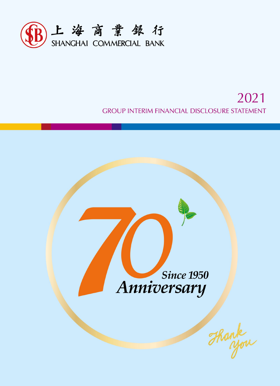

# 2021 **GROUP INTERIM FINANCIAL DISCLOSURE STATEMENT**

**Since 1950** Anniversary

Thank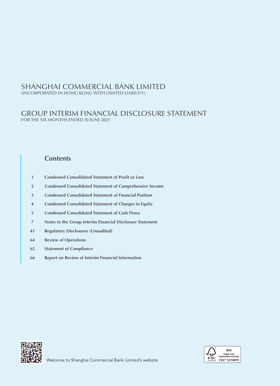(INCORPORATED IN HONG KONG WITH LIMITED LIABILITY)

# GROUP INTERIM FINANCIAL DISCLOSURE STATEMENT FOR THE SIX MONTHS ENDED 30 JUNE 2021

# **Contents**

- **1** Condensed Consolidated Statement of Profit or Loss
- **2 Condensed Consolidated Statement of Comprehensive Income**
- **3 Condensed Consolidated Statement of Financial Position**
- **4 Condensed Consolidated Statement of Changes in Equity**
- **5 Condensed Consolidated Statement of Cash Flows**
- **7 Notes to the Group Interim Financial Disclosure Statement**
- **41 Regulatory Disclosures (Unaudited)**
- **64 Review of Operations**
- **65 Statement of Compliance**
- **66 Report on Review of Interim Financial Information**



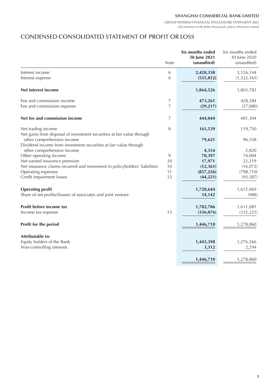GROUP INTERIM FINANCIAL DISCLOSURE STATEMENT 2021 (All amounts in HK dollar thousands unless otherwise stated)

# CONDENSED CONSOLIDATED STATEMENT OF PROFIT OR LOSS

|                                                                                                                                                                          | <b>Note</b>    | Six months ended<br>30 June 2021<br>(unaudited) | Six months ended<br>30 June 2020<br>(unaudited) |
|--------------------------------------------------------------------------------------------------------------------------------------------------------------------------|----------------|-------------------------------------------------|-------------------------------------------------|
| Interest income                                                                                                                                                          | 6              | 2,420,338                                       | 3,126,144                                       |
| Interest expense                                                                                                                                                         | 6              | (555, 812)                                      | (1,322,361)                                     |
| Net interest income                                                                                                                                                      |                | 1,864,526                                       | 1,803,783                                       |
| Fee and commission income                                                                                                                                                | 7              | 473,261                                         | 428,384                                         |
| Fee and commission expense                                                                                                                                               | $\overline{7}$ | (29, 217)                                       | (27,080)                                        |
| Net fee and commission income                                                                                                                                            | 7              | 444,044                                         | 401,304                                         |
| Net trading income                                                                                                                                                       | 8              | 161,539                                         | 119,750                                         |
| Net gains from disposal of investment securities at fair value through<br>other comprehensive income<br>Dividend income from investment securities at fair value through |                | 79,621                                          | 96,558                                          |
| other comprehensive income                                                                                                                                               |                | 4,354                                           | 2,820                                           |
| Other operating income                                                                                                                                                   | 9              | 70,397                                          | 74,004                                          |
| Net earned insurance premium                                                                                                                                             | 10             | 17,971                                          | 22,219                                          |
| Net insurance claims incurred and movement in policyholders' liabilities                                                                                                 | 10             | (12, 361)                                       | (16,072)                                        |
| Operating expenses                                                                                                                                                       | 11             | (857, 226)                                      | (798, 710)                                      |
| Credit impairment losses                                                                                                                                                 | 12             | (44, 221)                                       | (93, 587)                                       |
| <b>Operating profit</b>                                                                                                                                                  |                | 1,728,644                                       | 1,612,069                                       |
| Share of net profits/(losses) of associates and joint venture                                                                                                            |                | 54,142                                          | (988)                                           |
| Profit before income tax                                                                                                                                                 |                | 1,782,786                                       | 1,611,081                                       |
| Income tax expense                                                                                                                                                       | 13             | (336, 076)                                      | (332, 221)                                      |
| <b>Profit for the period</b>                                                                                                                                             |                | 1,446,710                                       | 1,278,860                                       |
| Attributable to:                                                                                                                                                         |                |                                                 |                                                 |
| Equity holders of the Bank                                                                                                                                               |                | 1,443,398                                       | 1,276,566                                       |
| Non-controlling interests                                                                                                                                                |                | 3,312                                           | 2,294                                           |
|                                                                                                                                                                          |                | 1,446,710                                       | 1,278,860                                       |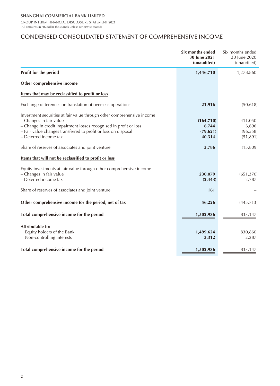GROUP INTERIM FINANCIAL DISCLOSURE STATEMENT 2021 (All amounts in HK dollar thousands unless otherwise stated)

# CONDENSED CONSOLIDATED STATEMENT OF COMPREHENSIVE INCOME

|                                                                                                                                                                                                                                                                   | Six months ended<br>30 June 2021<br>(unaudited) | Six months ended<br>30 June 2020<br>(unaudited) |
|-------------------------------------------------------------------------------------------------------------------------------------------------------------------------------------------------------------------------------------------------------------------|-------------------------------------------------|-------------------------------------------------|
| Profit for the period                                                                                                                                                                                                                                             | 1,446,710                                       | 1,278,860                                       |
| Other comprehensive income                                                                                                                                                                                                                                        |                                                 |                                                 |
| Items that may be reclassified to profit or loss                                                                                                                                                                                                                  |                                                 |                                                 |
| Exchange differences on translation of overseas operations                                                                                                                                                                                                        | 21,916                                          | (50, 618)                                       |
| Investment securities at fair value through other comprehensive income<br>- Changes in fair value<br>- Change in credit impairment losses recognised in profit or loss<br>- Fair value changes transferred to profit or loss on disposal<br>- Deferred income tax | (164, 710)<br>6,744<br>(79, 621)<br>40,314      | 411,050<br>6,696<br>(96, 558)<br>(51, 891)      |
| Share of reserves of associates and joint venture                                                                                                                                                                                                                 | 3,786                                           | (15,809)                                        |
| Items that will not be reclassified to profit or loss                                                                                                                                                                                                             |                                                 |                                                 |
| Equity investments at fair value through other comprehensive income<br>- Changes in fair value<br>- Deferred income tax<br>Share of reserves of associates and joint venture                                                                                      | 230,079<br>(2, 443)<br>161                      | (651, 370)<br>2,787                             |
|                                                                                                                                                                                                                                                                   |                                                 |                                                 |
| Other comprehensive income for the period, net of tax                                                                                                                                                                                                             | 56,226                                          | (445, 713)                                      |
| Total comprehensive income for the period                                                                                                                                                                                                                         | 1,502,936                                       | 833,147                                         |
| Attributable to:<br>Equity holders of the Bank<br>Non-controlling interests                                                                                                                                                                                       | 1,499,624<br>3,312                              | 830,860<br>2,287                                |
| Total comprehensive income for the period                                                                                                                                                                                                                         | 1,502,936                                       | 833,147                                         |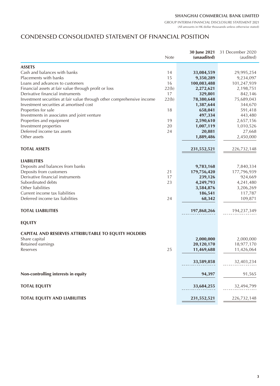GROUP INTERIM FINANCIAL DISCLOSURE STATEMENT 2021 (All amounts in HK dollar thousands unless otherwise stated)

# CONDENSED CONSOLIDATED STATEMENT OF FINANCIAL POSITION

|                                                                        | <b>Note</b> | 30 June 2021<br>(unaudited) | 31 December 2020<br>(audited) |
|------------------------------------------------------------------------|-------------|-----------------------------|-------------------------------|
| <b>ASSETS</b>                                                          |             |                             |                               |
| Cash and balances with banks                                           | 14          | 33,084,559                  | 29,995,254                    |
| Placements with banks                                                  | 15          | 9,350,289                   | 9,234,097                     |
| Loans and advances to customers                                        | 16          | 100,083,488                 | 101,247,939                   |
| Financial assets at fair value through profit or loss                  | 22(b)       | 2,272,621                   | 2,198,751                     |
| Derivative financial instruments                                       | 17          | 329,801                     | 842,146                       |
| Investment securities at fair value through other comprehensive income | 22(b)       | 78,380,648                  | 75,689,043                    |
| Investment securities at amortised cost                                |             | 1,387,644                   | 344,670                       |
| Properties for sale                                                    | 18          | 658,041                     | 591,418                       |
| Investments in associates and joint venture                            |             | 497,334                     | 443,480                       |
| Properties and equipment                                               | 19          | 2,590,610                   | 2,657,156                     |
| Investment properties                                                  | 20          | 1,007,119                   | 1,010,526                     |
| Deferred income tax assets                                             | 24          | 20,881                      | 27,668                        |
| Other assets                                                           |             | 1,889,486                   | 2,450,000                     |
| <b>TOTAL ASSETS</b>                                                    |             |                             |                               |
|                                                                        |             | 231,552,521                 | 226,732,148                   |
| <b>LIABILITIES</b>                                                     |             |                             |                               |
| Deposits and balances from banks                                       |             | 9,783,168                   | 7,840,334                     |
| Deposits from customers                                                | 21          | 179,756,420                 | 177,796,939                   |
| Derivative financial instruments                                       | 17          | 239,126                     | 924,669                       |
| Subordinated debts                                                     | 23          | 4,249,793                   | 4,241,480                     |
| Other liabilities                                                      |             | 3,584,876                   | 3,206,269                     |
| Current income tax liabilities                                         |             | 186,541                     | 117,787                       |
| Deferred income tax liabilities                                        | 24          | 68,342                      | 109,871                       |
| <b>TOTAL LIABILITIES</b>                                               |             | 197,868,266                 | 194,237,349                   |
| <b>EQUITY</b>                                                          |             |                             |                               |
| <b>CAPITAL AND RESERVES ATTRIBUTABLE TO EQUITY HOLDERS</b>             |             |                             |                               |
| Share capital                                                          |             | 2,000,000                   | 2,000,000                     |
| Retained earnings                                                      |             | 20,120,170                  | 18,977,170                    |
| Reserves                                                               | 25          | 11,469,688                  | 11,426,064                    |
|                                                                        |             | 33,589,858                  | 32,403,234                    |
| Non-controlling interests in equity                                    |             | 94,397                      | 91,565                        |
| <b>TOTAL EQUITY</b>                                                    |             | 33,684,255                  | 32,494,799                    |
|                                                                        |             |                             |                               |
| <b>TOTAL EQUITY AND LIABILITIES</b>                                    |             | 231,552,521                 | 226,732,148                   |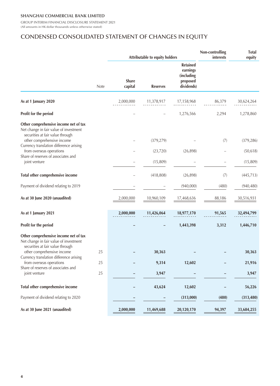GROUP INTERIM FINANCIAL DISCLOSURE STATEMENT 2021 (All amounts in HK dollar thousands unless otherwise stated)

# CONDENSED CONSOLIDATED STATEMENT OF CHANGES IN EQUITY

|                                                                                                                                                   |      |                         | Attributable to equity holders |                                                                     | Non-controlling<br>interests | <b>Total</b><br>equity |
|---------------------------------------------------------------------------------------------------------------------------------------------------|------|-------------------------|--------------------------------|---------------------------------------------------------------------|------------------------------|------------------------|
|                                                                                                                                                   | Note | <b>Share</b><br>capital | <b>Reserves</b>                | <b>Retained</b><br>earnings<br>(including<br>proposed<br>dividends) |                              |                        |
| As at 1 January 2020                                                                                                                              |      | 2,000,000               | 11,378,917                     | 17,158,968                                                          | 86,379                       | 30,624,264             |
| Profit for the period                                                                                                                             |      |                         |                                | 1,276,566                                                           | 2,294                        | 1,278,860              |
| Other comprehensive income net of tax<br>Net change in fair value of investment<br>securities at fair value through<br>other comprehensive income |      |                         | (379, 279)                     |                                                                     | (7)                          | (379, 286)             |
| Currency translation difference arising<br>from overseas operations                                                                               |      |                         | (23, 720)                      | (26, 898)                                                           |                              | (50, 618)              |
| Share of reserves of associates and<br>joint venture                                                                                              |      |                         | (15, 809)                      |                                                                     |                              | (15,809)               |
| Total other comprehensive income                                                                                                                  |      |                         | (418, 808)                     | (26, 898)                                                           | (7)                          | (445, 713)             |
| Payment of dividend relating to 2019                                                                                                              |      |                         |                                | (940,000)                                                           | (480)                        | (940, 480)             |
| As at 30 June 2020 (unaudited)                                                                                                                    |      | 2,000,000               | 10,960,109                     | 17,468,636                                                          | 88,186                       | 30,516,931             |
| As at 1 January 2021                                                                                                                              |      | 2,000,000               | 11,426,064                     | 18,977,170                                                          | 91,565                       | 32,494,799             |
| Profit for the period                                                                                                                             |      |                         |                                | 1,443,398                                                           | 3,312                        | 1,446,710              |
| Other comprehensive income net of tax<br>Net change in fair value of investment<br>securities at fair value through                               |      |                         |                                |                                                                     |                              |                        |
| other comprehensive income<br>Currency translation difference arising                                                                             | 25   |                         | 30,363                         |                                                                     |                              | 30,363                 |
| from overseas operations<br>Share of reserves of associates and                                                                                   | 25   |                         | 9,314                          | 12,602                                                              |                              | 21,916                 |
| joint venture                                                                                                                                     | 25   |                         | 3,947                          |                                                                     |                              | 3,947                  |
| Total other comprehensive income                                                                                                                  |      |                         | 43,624                         | 12,602                                                              |                              | 56,226                 |
| Payment of dividend relating to 2020                                                                                                              |      |                         |                                | (313,000)                                                           | (480)                        | (313, 480)             |
| As at 30 June 2021 (unaudited)                                                                                                                    |      | 2,000,000               | 11,469,688                     | 20,120,170                                                          | 94,397                       | 33,684,255             |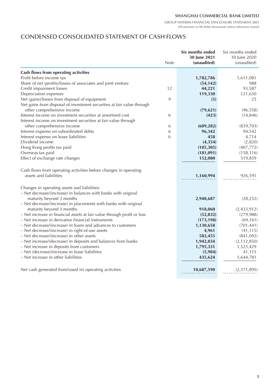GROUP INTERIM FINANCIAL DISCLOSURE STATEMENT 2021 (All amounts in HK dollar thousands unless otherwise stated)

# CONDENSED CONSOLIDATED STATEMENT OF CASH FLOWS

|                                                                                                                              | <b>Note</b> | Six months ended<br>30 June 2021<br>(unaudited) | Six months ended<br>30 June 2020<br>(unaudited) |
|------------------------------------------------------------------------------------------------------------------------------|-------------|-------------------------------------------------|-------------------------------------------------|
|                                                                                                                              |             |                                                 |                                                 |
| Cash flows from operating activities                                                                                         |             |                                                 |                                                 |
| Profit before income tax                                                                                                     |             | 1,782,786                                       | 1,611,081                                       |
| Share of net (profits)/losses of associates and joint venture                                                                |             | (54, 142)                                       | 988                                             |
| Credit impairment losses                                                                                                     | 12          | 44,221                                          | 93,587                                          |
| Depreciation expenses                                                                                                        |             | 119,330                                         | 121,630                                         |
| Net (gains)/losses from disposal of equipment<br>Net gains from disposal of investment securities at fair value through      | 9           | (5)                                             | 25                                              |
| other comprehensive income                                                                                                   |             | (79, 621)                                       | (96, 558)                                       |
| Interest income on investment securities at amortised cost<br>Interest income on investment securities at fair value through | 6           | (423)                                           | (14, 846)                                       |
| other comprehensive income                                                                                                   | 6           | (609, 282)                                      | (839,703)                                       |
| Interest expense on subordinated debts                                                                                       | 6           | 96,342                                          | 94,542                                          |
| Interest expense on lease liabilities                                                                                        | 6           | 458                                             | 4,714                                           |
| Dividend income                                                                                                              |             | (4, 354)                                        | (2,820)                                         |
| Hong Kong profits tax paid                                                                                                   |             | (105, 305)                                      | (407, 772)                                      |
| Overseas tax paid                                                                                                            |             | (181, 091)                                      | (158, 116)                                      |
| Effect of exchange rate changes                                                                                              |             | 152,080                                         | 519,839                                         |
| Cash flows from operating activities before changes in operating                                                             |             |                                                 |                                                 |
| assets and liabilities                                                                                                       |             | 1,160,994                                       | 926,591                                         |
| Changes in operating assets and liabilities:                                                                                 |             |                                                 |                                                 |
| - Net decrease/(increase) in balances with banks with original                                                               |             |                                                 |                                                 |
| maturity beyond 3 months                                                                                                     |             | 2,948,687                                       | (28, 252)                                       |
| - Net decrease/(increase) in placements with banks with original                                                             |             |                                                 |                                                 |
| maturity beyond 3 months                                                                                                     |             | 918,060                                         | (2,433,912)                                     |
| - Net increase in financial assets at fair value through profit or loss                                                      |             | (52, 832)                                       | (279, 988)                                      |
| - Net increase in derivative financial instruments                                                                           |             | (173, 198)                                      | (69, 161)                                       |
| - Net decrease/(increase) in loans and advances to customers                                                                 |             | 1,130,658                                       | (701, 441)                                      |
| - Net decrease/(increase) in right-of-use assets                                                                             |             | 4,961                                           | (41, 115)                                       |
| - Net decrease/(increase) in other assets                                                                                    |             | 582,455                                         | (841,092)                                       |
| - Net increase/(decrease) in deposits and balances from banks                                                                |             | 1,942,834                                       | (2, 112, 850)                                   |
| - Net increase in deposits from customers                                                                                    |             | 1,795,331                                       | 1,523,429                                       |
| - Net (decrease)/increase in lease liabilities                                                                               |             | (5,984)                                         | 41,115                                          |
| - Net increase in other liabilities                                                                                          |             | 435,624                                         | 1,644,781                                       |
| Net cash generated from/(used in) operating activities                                                                       |             | 10,687,590                                      | (2,371,895)                                     |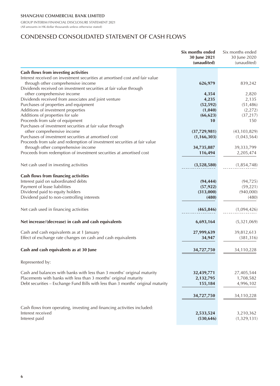GROUP INTERIM FINANCIAL DISCLOSURE STATEMENT 2021 (All amounts in HK dollar thousands unless otherwise stated)

# CONDENSED CONSOLIDATED STATEMENT OF CASH FLOWS

|                                                                                  | Six months ended<br>30 June 2021<br>(unaudited) | Six months ended<br>30 June 2020<br>(unaudited) |
|----------------------------------------------------------------------------------|-------------------------------------------------|-------------------------------------------------|
| Cash flows from investing activities                                             |                                                 |                                                 |
| Interest received on investment securities at amortised cost and fair value      |                                                 |                                                 |
| through other comprehensive income                                               | 626,979                                         | 839,242                                         |
| Dividends received on investment securities at fair value through                |                                                 |                                                 |
| other comprehensive income                                                       | 4,354                                           | 2,820                                           |
| Dividends received from associates and joint venture                             | 4,235                                           | 2,135                                           |
| Purchases of properties and equipment                                            | (52, 592)                                       | (51, 486)                                       |
| Additions of investment properties                                               | (1,040)                                         | (2, 272)                                        |
| Additions of properties for sale                                                 | (66, 623)                                       | (37, 217)                                       |
| Proceeds from sale of equipment                                                  | 10                                              | 150                                             |
| Purchases of investment securities at fair value through                         |                                                 |                                                 |
| other comprehensive income                                                       | (37, 729, 981)                                  | (43, 103, 829)                                  |
| Purchases of investment securities at amortised cost                             | (1, 166, 303)                                   | (1,043,564)                                     |
| Proceeds from sale and redemption of investment securities at fair value         |                                                 |                                                 |
| through other comprehensive income                                               | 34,735,887                                      | 39,333,799                                      |
| Proceeds from redemption of investment securities at amortised cost              | 116,494                                         | 2,205,474                                       |
|                                                                                  |                                                 |                                                 |
| Net cash used in investing activities                                            | (3,528,580)                                     | (1, 854, 748)                                   |
| Cash flows from financing activities                                             |                                                 |                                                 |
| Interest paid on subordinated debts                                              | (94, 444)                                       | (94, 725)                                       |
| Payment of lease liabilities                                                     | (57, 922)                                       | (59, 221)                                       |
| Dividend paid to equity holders                                                  | (313,000)                                       | (940,000)                                       |
| Dividend paid to non-controlling interests                                       | (480)                                           | (480)                                           |
|                                                                                  |                                                 |                                                 |
| Net cash used in financing activities                                            | (465, 846)                                      | (1,094,426)                                     |
| Net increase/(decrease) in cash and cash equivalents                             | 6,693,164                                       | (5,321,069)                                     |
| Cash and cash equivalents as at 1 January                                        | 27,999,639                                      | 39,812,613                                      |
| Effect of exchange rate changes on cash and cash equivalents                     | 34,947                                          | (381, 316)                                      |
| Cash and cash equivalents as at 30 June                                          | 34,727,750                                      | 34,110,228                                      |
|                                                                                  |                                                 |                                                 |
| Represented by:                                                                  |                                                 |                                                 |
| Cash and balances with banks with less than 3 months' original maturity          | 32,439,771                                      | 27,405,544                                      |
| Placements with banks with less than 3 months' original maturity                 | 2,132,795                                       | 1,708,582                                       |
| Debt securities - Exchange Fund Bills with less than 3 months' original maturity | 155,184                                         | 4,996,102                                       |
|                                                                                  |                                                 |                                                 |
|                                                                                  | 34,727,750                                      | 34,110,228                                      |
| Cash flows from operating, investing and financing activities included:          |                                                 |                                                 |
| Interest received                                                                | 2,533,524                                       | 3,210,362                                       |
| Interest paid                                                                    | (530, 646)                                      | (1,329,131)                                     |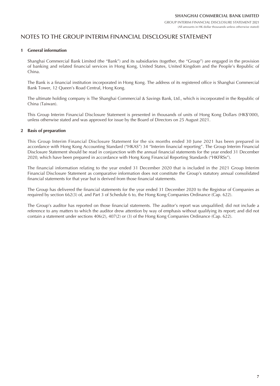# NOTES TO THE GROUP INTERIM FINANCIAL DISCLOSURE STATEMENT

#### **1 General information**

Shanghai Commercial Bank Limited (the "Bank") and its subsidiaries (together, the "Group") are engaged in the provision of banking and related financial services in Hong Kong, United States, United Kingdom and the People's Republic of China.

The Bank is a financial institution incorporated in Hong Kong. The address of its registered office is Shanghai Commercial Bank Tower, 12 Queen's Road Central, Hong Kong.

The ultimate holding company is The Shanghai Commercial & Savings Bank, Ltd., which is incorporated in the Republic of China (Taiwan).

This Group Interim Financial Disclosure Statement is presented in thousands of units of Hong Kong Dollars (HK\$'000), unless otherwise stated and was approved for issue by the Board of Directors on 25 August 2021.

#### **2 Basis of preparation**

This Group Interim Financial Disclosure Statement for the six months ended 30 June 2021 has been prepared in accordance with Hong Kong Accounting Standard ("HKAS") 34 "Interim financial reporting". The Group Interim Financial Disclosure Statement should be read in conjunction with the annual financial statements for the year ended 31 December 2020, which have been prepared in accordance with Hong Kong Financial Reporting Standards ("HKFRSs").

The financial information relating to the year ended 31 December 2020 that is included in the 2021 Group Interim Financial Disclosure Statement as comparative information does not constitute the Group's statutory annual consolidated financial statements for that year but is derived from those financial statements.

The Group has delivered the financial statements for the year ended 31 December 2020 to the Registrar of Companies as required by section 662(3) of, and Part 3 of Schedule 6 to, the Hong Kong Companies Ordinance (Cap. 622).

The Group's auditor has reported on those financial statements. The auditor's report was unqualified; did not include a reference to any matters to which the auditor drew attention by way of emphasis without qualifying its report; and did not contain a statement under sections 406(2), 407(2) or (3) of the Hong Kong Companies Ordinance (Cap. 622).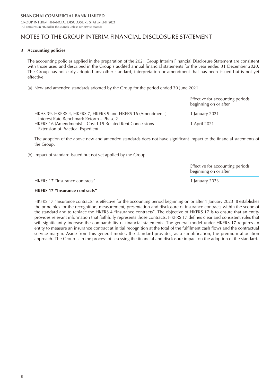# NOTES TO THE GROUP INTERIM FINANCIAL DISCLOSURE STATEMENT

#### **3 Accounting policies**

The accounting policies applied in the preparation of the 2021 Group Interim Financial Disclosure Statement are consistent with those used and described in the Group's audited annual financial statements for the year ended 31 December 2020. The Group has not early adopted any other standard, interpretation or amendment that has been issued but is not yet effective.

(a) New and amended standards adopted by the Group for the period ended 30 June 2021

|                                                                | Effective for accounting periods<br>beginning on or after |
|----------------------------------------------------------------|-----------------------------------------------------------|
| HKAS 39, HKFRS 4, HKFRS 7, HKFRS 9 and HKFRS 16 (Amendments) – | 1 January 2021                                            |
| Interest Rate Benchmark Reform - Phase 2                       |                                                           |
| HKFRS 16 (Amendments) – Covid-19 Related Rent Concessions –    | 1 April 2021                                              |
| Extension of Practical Expedient                               |                                                           |

The adoption of the above new and amended standards does not have significant impact to the financial statements of the Group.

(b) Impact of standard issued but not yet applied by the Group

Effective for accounting periods beginning on or after

HKFRS 17 "Insurance contracts" 1 January 2023

#### **HKFRS 17 "Insurance contracts"**

HKFRS 17 "Insurance contracts" is effective for the accounting period beginning on or after 1 January 2023. It establishes the principles for the recognition, measurement, presentation and disclosure of insurance contracts within the scope of the standard and to replace the HKFRS 4 "Insurance contracts". The objective of HKFRS 17 is to ensure that an entity provides relevant information that faithfully represents those contracts. HKFRS 17 defines clear and consistent rules that will significantly increase the comparability of financial statements. The general model under HKFRS 17 requires an entity to measure an insurance contract at initial recognition at the total of the fulfilment cash flows and the contractual service margin. Aside from this general model, the standard provides, as a simplification, the premium allocation approach. The Group is in the process of assessing the financial and disclosure impact on the adoption of the standard.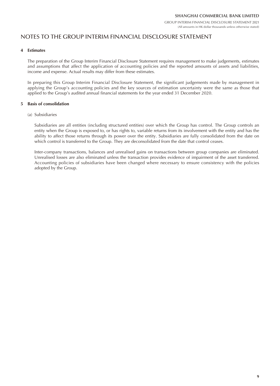# NOTES TO THE GROUP INTERIM FINANCIAL DISCLOSURE STATEMENT

#### **4 Estimates**

The preparation of the Group Interim Financial Disclosure Statement requires management to make judgements, estimates and assumptions that affect the application of accounting policies and the reported amounts of assets and liabilities, income and expense. Actual results may differ from these estimates.

In preparing this Group Interim Financial Disclosure Statement, the significant judgements made by management in applying the Group's accounting policies and the key sources of estimation uncertainty were the same as those that applied to the Group's audited annual financial statements for the year ended 31 December 2020.

### **5 Basis of consolidation**

(a) Subsidiaries

Subsidiaries are all entities (including structured entities) over which the Group has control. The Group controls an entity when the Group is exposed to, or has rights to, variable returns from its involvement with the entity and has the ability to affect those returns through its power over the entity. Subsidiaries are fully consolidated from the date on which control is transferred to the Group. They are deconsolidated from the date that control ceases.

Inter-company transactions, balances and unrealised gains on transactions between group companies are eliminated. Unrealised losses are also eliminated unless the transaction provides evidence of impairment of the asset transferred. Accounting policies of subsidiaries have been changed where necessary to ensure consistency with the policies adopted by the Group.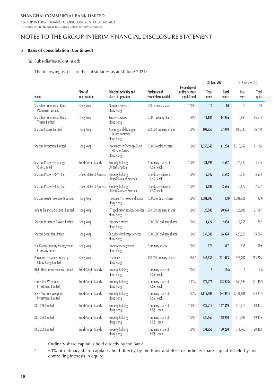GROUP INTERIM FINANCIAL DISCLOSURE STATEMENT 2021 (All amounts in HK dollar thousands unless otherwise stated)

### NOTES TO THE GROUP INTERIM FINANCIAL DISCLOSURE STATEMENT

#### **5 Basis of consolidation (Continued)**

#### (a) Subsidiaries (Continued)

The following is a list of the subsidiaries as at 30 June 2021:

|                                                    |                           |                                                                    |                                        | 30 June 2021                                    |                 | 31 December 2020       |                 |                 |
|----------------------------------------------------|---------------------------|--------------------------------------------------------------------|----------------------------------------|-------------------------------------------------|-----------------|------------------------|-----------------|-----------------|
| <b>Name</b>                                        | Place of<br>incorporation | Principal activities and<br>place of operation                     | Particulars of<br>issued share capital | Percentage of<br>ordinary share<br>capital held | Total<br>assets | <b>Total</b><br>equity | Total<br>assets | Total<br>equity |
| Shanghai Commercial Bank<br>(Nominees) Limited     | Hong Kong                 | Nominee services<br>Hong Kong                                      | 100 ordinary shares                    | $100\%$ <sup>1</sup>                            | 10              | 10                     | 10              | 10              |
| Shanghai Commercial Bank<br><b>Trustee Limited</b> | Hong Kong                 | Trustee services<br>Hong Kong                                      | 1,000 ordinary shares                  | $60\%$ <sup>2</sup>                             | 15,187          | 14,986                 | 15,865          | 15,643          |
| Shacom Futures Limited                             | Hong Kong                 | Advising and dealing in<br>futures contracts<br>Hong Kong          | 600,000 ordinary shares                | $100\%$ <sup>1</sup>                            | 103,953         | 57,040                 | 105,785         | 56,750          |
| Shacom Investment Limited                          | Hong Kong                 | Investment in Exchange Fund<br><b>Bills and Notes</b><br>Hong Kong | 10,000 ordinary shares                 | $100\%$ <sup>1</sup>                            | 3,058,543       | 11,298                 | 3,015,962       | 11,186          |
| Shacom Property Holdings<br>(BVI) Limited          | British Virgin Islands    | Property holding<br>United Kingdom                                 | 2 ordinary shares of<br>US\$1 each     | $100\%$ <sup>1</sup>                            | 31,695          | 4,667                  | 26,340          | 3,645           |
| Shacom Property (NY), Inc.                         | United States of America  | Property holding<br>United States of America                       | 10 ordinary shares of<br>US\$1 each    | $100\%$ <sup>1</sup>                            | 5,542           | 5,542                  | 5,533           | 5,533           |
| Shacom Property (CA), Inc.                         | United States of America  | Property holding<br>United States of America                       | 10 ordinary shares of<br>US\$1 each    | 100%                                            | 2,686           | 2,686                  | 2,677           | 2,677           |
| Shacom Assets Investments Limited                  | Hong Kong                 | Investment in notes and bonds<br>Hong Kong                         | 10,000 ordinary shares                 | $100\%$                                         | 1,081,885       | (58)                   | 1,081,921       | (29)            |
| Infinite Financial Solutions Limited               | Hong Kong                 | I.T. application services provider<br>Hong Kong                    | 500,000 ordinary shares                | $100\%$ <sup>1</sup>                            | 28,888          | 20,074                 | 29,608          | 21,987          |
| Shacom Insurance Brokers Limited                   | Hong Kong                 | Insurance broker<br>Hong Kong                                      | 1,000,000 ordinary shares              | 100%                                            | 4,424           | 2,098                  | 2,755           | 1,882           |
| Shacom Securities Limited                          | Hong Kong                 | Securities brokerage services<br>Hong Kong                         | 1,000,000 ordinary shares              | $100\%$ <sup>1</sup>                            | 337,388         | 166,824                | 420,520         | 165,686         |
| Hai Kwang Property Management<br>Company Limited   | Hong Kong                 | Property management<br>Hong Kong                                   | 2 ordinary shares                      | $100\%$ <sup>1</sup>                            | 876             | 617                    | 835             | 589             |
| Paofoong Insurance Company<br>(Hong Kong) Limited  | Hong Kong                 | Insurance<br>Hong Kong                                             | 500,000 ordinary shares                | $60\%$ <sup>2</sup>                             | 343,636         | 221,013                | 328,707         | 213,276         |
| Right Honour Investments Limited                   | British Virgin Islands    | Property holding<br>Hong Kong                                      | 1 ordinary share of<br>US\$1 each      | 100%                                            | 3               | (166)                  | 6               | (163)           |
| <b>Glory Step Westpoint</b><br>Investments Limited | British Virgin Islands    | Property holding<br>Hong Kong                                      | 1 ordinary share of<br>US\$1 each      | 100%                                            | 379,475         | (23, 925)              | 360,593         | (21, 462)       |
| Silver Wisdom Westpoint<br>Investments Limited     | British Virgin Islands    | Property holding<br>Hong Kong                                      | 1 ordinary share of<br>US\$1 each      | 100%                                            | 1,119,806       | (34, 961)              | 1,041,801       | (24, 857)       |
| KCC 23F Limited                                    | British Virgin Islands    | Property holding<br>Hong Kong                                      | 1 ordinary share of<br>HK\$1 each      | $100\%$ <sup>1</sup>                            | 329,219         | 147,479                | 310,013         | 118,441         |
| KCC 25F Limited                                    | British Virgin Islands    | Property holding<br>Hong Kong                                      | 1 ordinary share of<br>HK\$1 each      | $100\%$ <sup>1</sup>                            | 330,760         | 148,950                | 310,998         | 119,356         |
| KCC 26F Limited                                    | British Virgin Islands    | Property holding<br>Hong Kong                                      | 1 ordinary share of<br>HK\$1 each      | $100\%$ <sup>1</sup>                            | 331,956         | 150,290                | 311,960         | 120,463         |

1 Ordinary share capital is held directly by the Bank.

2 60% of ordinary share capital is held directly by the Bank and 40% of ordinary share capital is held by noncontrolling interests in equity.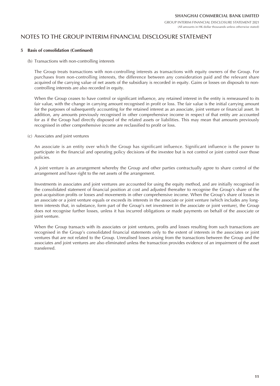## NOTES TO THE GROUP INTERIM FINANCIAL DISCLOSURE STATEMENT

#### **5 Basis of consolidation (Continued)**

(b) Transactions with non-controlling interests

The Group treats transactions with non-controlling interests as transactions with equity owners of the Group. For purchases from non-controlling interests, the difference between any consideration paid and the relevant share acquired of the carrying value of net assets of the subsidiary is recorded in equity. Gains or losses on disposals to noncontrolling interests are also recorded in equity.

When the Group ceases to have control or significant influence, any retained interest in the entity is remeasured to its fair value, with the change in carrying amount recognised in profit or loss. The fair value is the initial carrying amount for the purposes of subsequently accounting for the retained interest as an associate, joint venture or financial asset. In addition, any amounts previously recognised in other comprehensive income in respect of that entity are accounted for as if the Group had directly disposed of the related assets or liabilities. This may mean that amounts previously recognised in other comprehensive income are reclassified to profit or loss.

(c) Associates and joint ventures

An associate is an entity over which the Group has significant influence. Significant influence is the power to participate in the financial and operating policy decisions of the investee but is not control or joint control over those policies.

A joint venture is an arrangement whereby the Group and other parties contractually agree to share control of the arrangement and have right to the net assets of the arrangement.

Investments in associates and joint ventures are accounted for using the equity method, and are initially recognised in the consolidated statement of financial position at cost and adjusted thereafter to recognise the Group's share of the post-acquisition profits or losses and movements in other comprehensive income. When the Group's share of losses in an associate or a joint venture equals or exceeds its interests in the associate or joint venture (which includes any longterm interests that, in substance, form part of the Group's net investment in the associate or joint venture), the Group does not recognise further losses, unless it has incurred obligations or made payments on behalf of the associate or joint venture.

When the Group transacts with its associates or joint ventures, profits and losses resulting from such transactions are recognised in the Group's consolidated financial statements only to the extent of interests in the associates or joint ventures that are not related to the Group. Unrealised losses arising from the transactions between the Group and the associates and joint ventures are also eliminated unless the transaction provides evidence of an impairment of the asset transferred.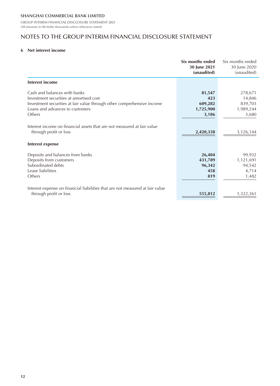# NOTES TO THE GROUP INTERIM FINANCIAL DISCLOSURE STATEMENT

#### **6 Net interest income**

|                                                                                                                                                                                                | Six months ended<br>30 June 2021<br>(unaudited) | Six months ended<br>30 June 2020<br>(unaudited)    |
|------------------------------------------------------------------------------------------------------------------------------------------------------------------------------------------------|-------------------------------------------------|----------------------------------------------------|
| <b>Interest income</b>                                                                                                                                                                         |                                                 |                                                    |
| Cash and balances with banks<br>Investment securities at amortised cost<br>Investment securities at fair value through other comprehensive income<br>Loans and advances to customers<br>Others | 81,547<br>423<br>609,282<br>1,725,900<br>3,186  | 278,671<br>14,846<br>839,703<br>1,989,244<br>3,680 |
| Interest income on financial assets that are not measured at fair value<br>through profit or loss<br>Interest expense                                                                          | 2,420,338                                       | 3,126,144                                          |
| Deposits and balances from banks<br>Deposits from customers<br>Subordinated debts<br>Lease liabilities<br>Others                                                                               | 26,404<br>431,789<br>96,342<br>458<br>819       | 99,932<br>1,121,691<br>94,542<br>4,714<br>1,482    |
| Interest expense on financial liabilities that are not measured at fair value<br>through profit or loss                                                                                        | 555,812                                         | 1,322,361                                          |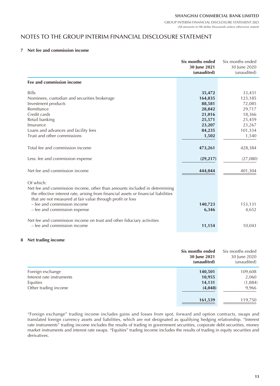GROUP INTERIM FINANCIAL DISCLOSURE STATEMENT 2021 (All amounts in HK dollar thousands unless otherwise stated)

### NOTES TO THE GROUP INTERIM FINANCIAL DISCLOSURE STATEMENT

#### **7 Net fee and commission income**

|                                                                                                                                                                                                                                | Six months ended<br>30 June 2021<br>(unaudited) | Six months ended<br>30 June 2020<br>(unaudited) |
|--------------------------------------------------------------------------------------------------------------------------------------------------------------------------------------------------------------------------------|-------------------------------------------------|-------------------------------------------------|
| Fee and commission income                                                                                                                                                                                                      |                                                 |                                                 |
| <b>Bills</b>                                                                                                                                                                                                                   | 35,472                                          | 33,431                                          |
| Nominees, custodian and securities brokerage                                                                                                                                                                                   | 164,835                                         | 123,185                                         |
| Investment products                                                                                                                                                                                                            | 88,581                                          | 72,085                                          |
| Remittance                                                                                                                                                                                                                     | 28,842                                          | 29,717                                          |
| Credit cards                                                                                                                                                                                                                   | 21,016                                          | 18,366                                          |
| Retail banking                                                                                                                                                                                                                 | 25,571                                          | 25,459                                          |
| Insurance                                                                                                                                                                                                                      | 23,207                                          | 23,267                                          |
| Loans and advances and facility fees                                                                                                                                                                                           | 84,235                                          | 101,334                                         |
| Trust and other commissions                                                                                                                                                                                                    | 1,502                                           | 1,540                                           |
| Total fee and commission income                                                                                                                                                                                                | 473,261                                         | 428,384                                         |
| Less: fee and commission expense                                                                                                                                                                                               | (29, 217)                                       | (27,080)                                        |
| Net fee and commission income                                                                                                                                                                                                  | 444,044                                         | 401,304                                         |
| Of which:                                                                                                                                                                                                                      |                                                 |                                                 |
| Net fee and commission income, other than amounts included in determining<br>the effective interest rate, arising from financial assets or financial liabilities<br>that are not measured at fair value through profit or loss |                                                 |                                                 |
| – fee and commission income                                                                                                                                                                                                    | 140,723                                         | 153,131                                         |
| - fee and commission expense                                                                                                                                                                                                   | 6,346                                           | 4,652                                           |
| Net fee and commission income on trust and other fiduciary activities                                                                                                                                                          |                                                 |                                                 |
| - fee and commission income                                                                                                                                                                                                    | 11,154                                          | 10,043                                          |

#### **8 Net trading income**

|                           | Six months ended<br>30 June 2021<br>(unaudited) | Six months ended<br>30 June 2020<br>(unaudited) |
|---------------------------|-------------------------------------------------|-------------------------------------------------|
| Foreign exchange          | 140,501                                         | 109,608                                         |
| Interest rate instruments | 10,955                                          | 2,060                                           |
| Equities                  | 14,131                                          | (1,884)                                         |
| Other trading income      | (4,048)                                         | 9,966                                           |
|                           | 161,539                                         | 119,750                                         |

"Foreign exchange" trading income includes gains and losses from spot, forward and option contracts, swaps and translated foreign currency assets and liabilities, which are not designated as qualifying hedging relationship. "Interest rate instruments" trading income includes the results of trading in government securities, corporate debt securities, money market instruments and interest rate swaps. "Equities" trading income includes the results of trading in equity securities and derivatives.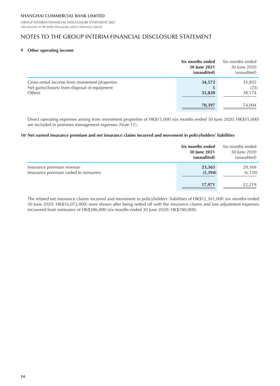# NOTES TO THE GROUP INTERIM FINANCIAL DISCLOSURE STATEMENT

#### **9 Other operating income**

|                                                                                                                  | Six months ended<br>30 June 2021<br>(unaudited) | Six months ended<br>30 June 2020<br>(unaudited) |
|------------------------------------------------------------------------------------------------------------------|-------------------------------------------------|-------------------------------------------------|
| Gross rental income from investment properties<br>Net gains/(losses) from disposal of equipment<br><b>Others</b> | 34,572<br>5<br>35,820                           | 35,855<br>(25)<br>38,174                        |
|                                                                                                                  | 70,397                                          | 74,004                                          |

Direct operating expenses arising from investment properties of HK\$11,000 (six months ended 30 June 2020: HK\$55,000) are included in premises management expenses (Note 11).

#### **10 Net earned insurance premium and net insurance claims incurred and movement in policyholders' liabilities**

|                                                                    | Six months ended<br>30 June 2021<br>(unaudited) | Six months ended<br>30 June 2020<br>(unaudited) |
|--------------------------------------------------------------------|-------------------------------------------------|-------------------------------------------------|
| Insurance premium revenue<br>Insurance premium ceded to reinsurers | 23,365<br>(5,394)                               | 28,369<br>(6, 150)                              |
|                                                                    | 17,971                                          | 22.219                                          |

The related net insurance claims incurred and movement in policyholders' liabilities of HK\$12,361,000 (six months ended 30 June 2020: HK\$16,072,000) were shown after being netted off with the insurance claims and loss adjustment expenses recovered from reinsurers of HK\$386,000 (six months ended 30 June 2020: HK\$780,000).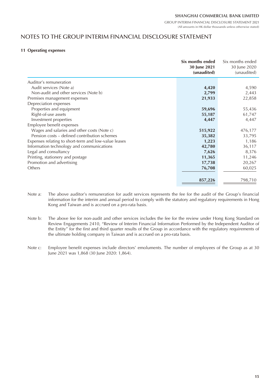### NOTES TO THE GROUP INTERIM FINANCIAL DISCLOSURE STATEMENT

#### **11 Operating expenses**

|                                                      | Six months ended<br>30 June 2021<br>(unaudited) | Six months ended<br>30 June 2020<br>(unaudited) |
|------------------------------------------------------|-------------------------------------------------|-------------------------------------------------|
| Auditor's remuneration                               |                                                 |                                                 |
| Audit services (Note a)                              | 4,420                                           | 4,590                                           |
| Non-audit and other services (Note b)                | 2,799                                           | 2,443                                           |
| Premises management expenses                         | 21,933                                          | 22,858                                          |
| Depreciation expenses                                |                                                 |                                                 |
| Properties and equipment                             | 59,696                                          | 55,436                                          |
| Right-of-use assets                                  | 55,187                                          | 61,747                                          |
| Investment properties                                | 4,447                                           | 4,447                                           |
| Employee benefit expenses                            |                                                 |                                                 |
| Wages and salaries and other costs (Note c)          | 515,922                                         | 476,177                                         |
| Pension costs – defined contribution schemes         | 35,382                                          | 33,795                                          |
| Expenses relating to short-term and low-value leases | 1,223                                           | 1,186                                           |
| Information technology and communications            | 42,780                                          | 36,117                                          |
| Legal and consultancy                                | 7,626                                           | 8,376                                           |
| Printing, stationery and postage                     | 11,365                                          | 11,246                                          |
| Promotion and advertising                            | 17,738                                          | 20,267                                          |
| Others                                               | 76,708                                          | 60,025                                          |
|                                                      | 857,226                                         | 798,710                                         |

- Note a: The above auditor's remuneration for audit services represents the fee for the audit of the Group's financial information for the interim and annual period to comply with the statutory and regulatory requirements in Hong Kong and Taiwan and is accrued on a pro-rata basis.
- Note b: The above fee for non-audit and other services includes the fee for the review under Hong Kong Standard on Review Engagements 2410, "Review of Interim Financial Information Performed by the Independent Auditor of the Entity" for the first and third quarter results of the Group in accordance with the regulatory requirements of the ultimate holding company in Taiwan and is accrued on a pro-rata basis.
- Note c: Employee benefit expenses include directors' emoluments. The number of employees of the Group as at 30 June 2021 was 1,868 (30 June 2020: 1,864).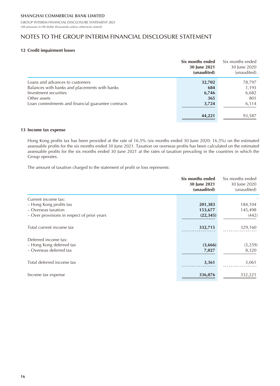### NOTES TO THE GROUP INTERIM FINANCIAL DISCLOSURE STATEMENT

### **12 Credit impairment losses**

|                                                    | Six months ended<br>30 June 2021<br>(unaudited) | Six months ended<br>30 June 2020<br>(unaudited) |
|----------------------------------------------------|-------------------------------------------------|-------------------------------------------------|
| Loans and advances to customers                    | 32,702                                          | 78,797                                          |
| Balances with banks and placements with banks      | 684                                             | 1,193                                           |
| Investment securities                              | 6,746                                           | 6,682                                           |
| Other assets                                       | 365                                             | 801                                             |
| Loan commitments and financial guarantee contracts | 3,724                                           | 6,114                                           |
|                                                    | 44,221                                          | 93,587                                          |

#### **13 Income tax expense**

Hong Kong profits tax has been provided at the rate of 16.5% (six months ended 30 June 2020: 16.5%) on the estimated assessable profits for the six months ended 30 June 2021. Taxation on overseas profits has been calculated on the estimated assessable profits for the six months ended 30 June 2021 at the rates of taxation prevailing in the countries in which the Group operates.

The amount of taxation charged to the statement of profit or loss represents:

|                                             | Six months ended<br>30 June 2021<br>(unaudited) | Six months ended<br>30 June 2020<br>(unaudited) |
|---------------------------------------------|-------------------------------------------------|-------------------------------------------------|
| Current income tax:                         |                                                 |                                                 |
| - Hong Kong profits tax                     | 201,383                                         | 184,104                                         |
| - Overseas taxation                         | 153,677                                         | 145,498                                         |
| - Over provisions in respect of prior years | (22, 345)                                       | (442)                                           |
| Total current income tax                    | 332,715                                         | 329,160                                         |
| Deferred income tax:                        |                                                 |                                                 |
| - Hong Kong deferred tax                    | (3,666)                                         | (5, 259)                                        |
| - Overseas deferred tax                     | 7,027                                           | 8,320                                           |
| Total deferred income tax                   | 3,361                                           | 3,061                                           |
| Income tax expense                          | 336,076                                         | 332,221                                         |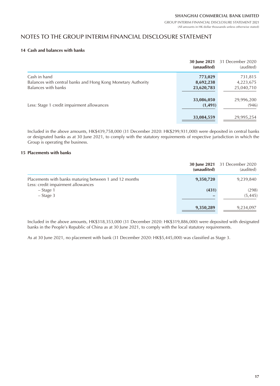### NOTES TO THE GROUP INTERIM FINANCIAL DISCLOSURE STATEMENT

#### **14 Cash and balances with banks**

|                                                                              | (unaudited)            | <b>30 June 2021</b> 31 December 2020<br>(audited) |
|------------------------------------------------------------------------------|------------------------|---------------------------------------------------|
| Cash in hand<br>Balances with central banks and Hong Kong Monetary Authority | 773,029<br>8,692,238   | 731,815<br>4,223,675                              |
| Balances with banks                                                          | 23,620,783             | 25,040,710                                        |
| Less: Stage 1 credit impairment allowances                                   | 33,086,050<br>(1, 491) | 29,996,200<br>(946)                               |
|                                                                              | 33,084,559             | 29,995,254                                        |

Included in the above amounts, HK\$439,758,000 (31 December 2020: HK\$299,931,000) were deposited in central banks or designated banks as at 30 June 2021, to comply with the statutory requirements of respective jurisdiction in which the Group is operating the business.

#### **15 Placements with banks**

|                                                                                              | (unaudited) | <b>30 June 2021</b> 31 December 2020<br>(audited) |
|----------------------------------------------------------------------------------------------|-------------|---------------------------------------------------|
| Placements with banks maturing between 1 and 12 months<br>Less: credit impairment allowances | 9,350,720   | 9,239,840                                         |
| - Stage 1<br>$-$ Stage 3                                                                     | (431)       | (298)<br>(5, 445)                                 |
|                                                                                              | 9,350,289   | 9,234,097                                         |

Included in the above amounts, HK\$318,353,000 (31 December 2020: HK\$319,886,000) were deposited with designated banks in the People's Republic of China as at 30 June 2021, to comply with the local statutory requirements.

As at 30 June 2021, no placement with bank (31 December 2020: HK\$5,445,000) was classified as Stage 3.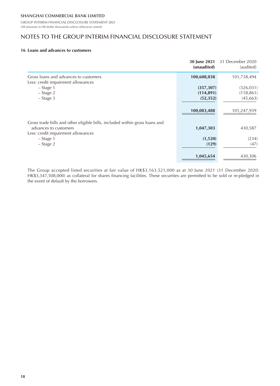GROUP INTERIM FINANCIAL DISCLOSURE STATEMENT 2021 (All amounts in HK dollar thousands unless otherwise stated)

### NOTES TO THE GROUP INTERIM FINANCIAL DISCLOSURE STATEMENT

#### **16 Loans and advances to customers**

|                                                                                                                                            | 30 June 2021<br>(unaudited)           | 31 December 2020<br>(audited)         |
|--------------------------------------------------------------------------------------------------------------------------------------------|---------------------------------------|---------------------------------------|
| Gross loans and advances to customers<br>Less: credit impairment allowances                                                                | 100,608,038                           | 101,738,494                           |
| – Stage 1<br>- Stage 2<br>$-$ Stage 3                                                                                                      | (357, 307)<br>(114, 891)<br>(52, 352) | (326, 031)<br>(118, 861)<br>(45, 663) |
|                                                                                                                                            | 100,083,488                           | 101,247,939                           |
| Gross trade bills and other eligible bills, included within gross loans and<br>advances to customers<br>Less: credit impairment allowances | 1,047,303                             | 430,587                               |
| – Stage 1<br>$-$ Stage 2                                                                                                                   | (1,520)<br>(129)                      | (234)<br>(47)                         |
|                                                                                                                                            | 1,045,654                             | 430,306                               |

The Group accepted listed securities at fair value of HK\$3,163,521,000 as at 30 June 2021 (31 December 2020: HK\$3,347,508,000) as collateral for shares financing facilities. These securities are permitted to be sold or re-pledged in the event of default by the borrowers.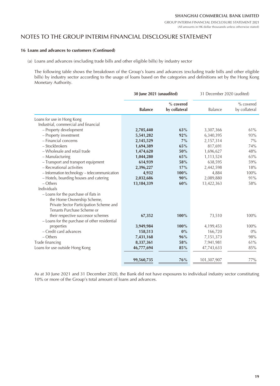### NOTES TO THE GROUP INTERIM FINANCIAL DISCLOSURE STATEMENT

#### **16 Loans and advances to customers (Continued)**

(a) Loans and advances (excluding trade bills and other eligible bills) by industry sector

The following table shows the breakdown of the Group's loans and advances (excluding trade bills and other eligible bills) by industry sector according to the usage of loans based on the categories and definitions set by the Hong Kong Monetary Authority.

|                                               | 30 June 2021 (unaudited) |                            | 31 December 2020 (audited) |                            |
|-----------------------------------------------|--------------------------|----------------------------|----------------------------|----------------------------|
|                                               | <b>Balance</b>           | % covered<br>by collateral | Balance                    | % covered<br>by collateral |
| Loans for use in Hong Kong                    |                          |                            |                            |                            |
| Industrial, commercial and financial          |                          |                            |                            |                            |
| - Property development                        | 2,705,440                | 63%                        | 3,307,366                  | 61%                        |
| - Property investment                         | 5,541,282                | 92%                        | 6,340,395                  | 93%                        |
| - Financial concerns                          | 2,145,529                | $7\%$                      | 2,157,314                  | $7\%$                      |
| - Stockbrokers                                | 1,694,389                | 65%                        | 817,691                    | 74%                        |
| - Wholesale and retail trade                  | 1,474,620                | 50%                        | 1,696,627                  | 48%                        |
| - Manufacturing                               | 1,044,280                | 65%                        | 1,113,524                  | 63%                        |
| - Transport and transport equipment           | 614,939                  | 58%                        | 638,595                    | 59%                        |
| - Recreational activities                     | 2,396,227                | 17%                        | 2,442,598                  | 18%                        |
| - Information technology - telecommunication  | 4,932                    | 100%                       | 4,884                      | 100%                       |
| - Hotels, boarding houses and catering        | 2,032,686                | 90%                        | 2,089,880                  | 91%                        |
| $-$ Others                                    | 13,184,339               | 60%                        | 13,422,363                 | 58%                        |
| Individuals                                   |                          |                            |                            |                            |
| - Loans for the purchase of flats in          |                          |                            |                            |                            |
| the Home Ownership Scheme,                    |                          |                            |                            |                            |
| Private Sector Participation Scheme and       |                          |                            |                            |                            |
| Tenants Purchase Scheme or                    |                          |                            |                            |                            |
| their respective successor schemes            | 67,352                   | 100%                       | 73,510                     | 100%                       |
| - Loans for the purchase of other residential |                          |                            |                            |                            |
| properties                                    | 3,949,984                | 100%                       | 4,199,453                  | 100%                       |
| - Credit card advances                        | 158,513                  | 0%                         | 166,720                    | $0\%$                      |
| - Others                                      | 7,431,168                | 96%                        | 7,151,373                  | 98%                        |
| Trade financing                               | 8,337,361                | 58%                        | 7,941,981                  | 61%                        |
| Loans for use outside Hong Kong               | 46,777,694               | 85%                        | 47,743,633                 | 85%                        |
|                                               |                          |                            |                            |                            |
|                                               | 99,560,735               | 76%                        | 101,307,907                | 77%                        |
|                                               |                          |                            |                            |                            |

As at 30 June 2021 and 31 December 2020, the Bank did not have exposures to individual industry sector constituting 10% or more of the Group's total amount of loans and advances.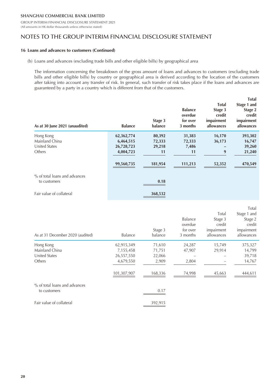GROUP INTERIM FINANCIAL DISCLOSURE STATEMENT 2021 (All amounts in HK dollar thousands unless otherwise stated)

### NOTES TO THE GROUP INTERIM FINANCIAL DISCLOSURE STATEMENT

#### **16 Loans and advances to customers (Continued)**

(b) Loans and advances (excluding trade bills and other eligible bills) by geographical area

The information concerning the breakdown of the gross amount of loans and advances to customers (excluding trade bills and other eligible bills) by country or geographical area is derived according to the location of the customers after taking into account any transfer of risk. In general, such transfer of risk takes place if the loans and advances are guaranteed by a party in a country which is different from that of the customers.

| As at 30 June 2021 (unaudited)                                | <b>Balance</b>                                     | Stage 3<br>balance               | <b>Balance</b><br>overdue<br>for over<br>3 months | <b>Total</b><br>Stage 3<br>credit<br>impairment<br>allowances | <b>Total</b><br>Stage 1 and<br>Stage 2<br>credit<br>impairment<br>allowances |
|---------------------------------------------------------------|----------------------------------------------------|----------------------------------|---------------------------------------------------|---------------------------------------------------------------|------------------------------------------------------------------------------|
| Hong Kong<br>Mainland China<br><b>United States</b><br>Others | 62,362,774<br>6,464,515<br>26,728,723<br>4,004,723 | 80,392<br>72,333<br>29,218<br>11 | 31,383<br>72,333<br>7,486<br>11                   | 16,170<br>36,173<br>9                                         | 393,302<br>16,747<br>39,260<br>21,240                                        |
| % of total loans and advances<br>to customers                 | 99,560,735                                         | 181,954<br>0.18                  | 111,213                                           | 52,352                                                        | 470,549                                                                      |
| Fair value of collateral                                      |                                                    | 368,532                          |                                                   |                                                               |                                                                              |

| As at 31 December 2020 (audited)              | Balance     | Stage 3<br>balance | Balance<br>overdue<br>for over<br>3 months | Total<br>Stage 3<br>credit<br>impairment<br>allowances | Total<br>Stage 1 and<br>Stage 2<br>credit<br>impairment<br>allowances |
|-----------------------------------------------|-------------|--------------------|--------------------------------------------|--------------------------------------------------------|-----------------------------------------------------------------------|
| Hong Kong                                     | 62,915,349  | 71,610             | 24,287                                     | 15,749                                                 | 375,327                                                               |
| Mainland China                                | 7,155,458   | 71,751             | 47,907                                     | 29,914                                                 | 14,799                                                                |
| <b>United States</b>                          | 26,557,550  | 22,066             |                                            |                                                        | 39,718                                                                |
| Others                                        | 4,679,550   | 2,909              | 2,804                                      |                                                        | 14,767                                                                |
|                                               | 101,307,907 | 168,336            | 74,998                                     | 45,663                                                 | 444,611                                                               |
| % of total loans and advances<br>to customers |             | 0.17               |                                            |                                                        |                                                                       |
| Fair value of collateral                      |             | 392,915            |                                            |                                                        |                                                                       |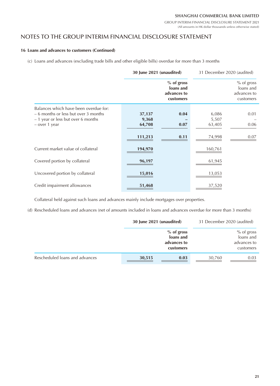GROUP INTERIM FINANCIAL DISCLOSURE STATEMENT 2021 (All amounts in HK dollar thousands unless otherwise stated)

### NOTES TO THE GROUP INTERIM FINANCIAL DISCLOSURE STATEMENT

#### **16 Loans and advances to customers (Continued)**

(c) Loans and advances (excluding trade bills and other eligible bills) overdue for more than 3 months

|                                                                                                                                      | 30 June 2021 (unaudited)  |                                                       | 31 December 2020 (audited) |                                                     |
|--------------------------------------------------------------------------------------------------------------------------------------|---------------------------|-------------------------------------------------------|----------------------------|-----------------------------------------------------|
|                                                                                                                                      |                           | $%$ of gross<br>loans and<br>advances to<br>customers |                            | % of gross<br>loans and<br>advances to<br>customers |
| Balances which have been overdue for:<br>- 6 months or less but over 3 months<br>- 1 year or less but over 6 months<br>- over 1 year | 37,137<br>9,368<br>64,708 | 0.04<br>0.07                                          | 6,086<br>5,507<br>63,405   | 0.01<br>0.06                                        |
|                                                                                                                                      | 111,213                   | 0.11                                                  | 74,998                     | 0.07                                                |
| Current market value of collateral                                                                                                   | 194,970                   |                                                       | 160,761                    |                                                     |
| Covered portion by collateral                                                                                                        | 96,197                    |                                                       | 61,945                     |                                                     |
| Uncovered portion by collateral                                                                                                      | 15,016                    |                                                       | 13,053                     |                                                     |
| Credit impairment allowances                                                                                                         | 51,468                    |                                                       | 37,520                     |                                                     |

Collateral held against such loans and advances mainly include mortgages over properties.

(d) Rescheduled loans and advances (net of amounts included in loans and advances overdue for more than 3 months)

|                                | 30 June 2021 (unaudited) |                           | 31 December 2020 (audited) |                          |
|--------------------------------|--------------------------|---------------------------|----------------------------|--------------------------|
|                                |                          | $%$ of gross<br>loans and |                            | % of gross<br>loans and  |
|                                |                          | advances to<br>customers  |                            | advances to<br>customers |
| Rescheduled loans and advances | 30,515                   | 0.03                      | 30,760                     | 0.03                     |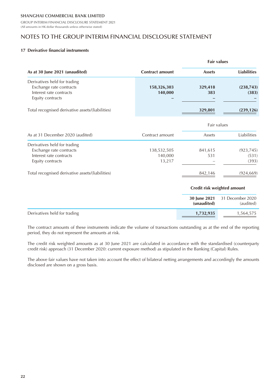GROUP INTERIM FINANCIAL DISCLOSURE STATEMENT 2021 (All amounts in HK dollar thousands unless otherwise stated)

## NOTES TO THE GROUP INTERIM FINANCIAL DISCLOSURE STATEMENT

#### **17 Derivative financial instruments**

|                                                                                                        |                                  | <b>Fair values</b> |                              |  |
|--------------------------------------------------------------------------------------------------------|----------------------------------|--------------------|------------------------------|--|
| As at 30 June 2021 (unaudited)                                                                         | <b>Contract amount</b>           | <b>Assets</b>      | <b>Liabilities</b>           |  |
| Derivatives held for trading<br>Exchange rate contracts<br>Interest rate contracts<br>Equity contracts | 158,326,303<br>140,000           | 329,418<br>383     | (238, 743)<br>(383)          |  |
| Total recognised derivative assets/(liabilities)                                                       |                                  | 329,801            | (239, 126)                   |  |
|                                                                                                        |                                  |                    | Fair values                  |  |
| As at 31 December 2020 (audited)                                                                       | Contract amount                  | Assets             | Liabilities                  |  |
| Derivatives held for trading<br>Exchange rate contracts<br>Interest rate contracts<br>Equity contracts | 138,532,505<br>140,000<br>13,217 | 841,615<br>531     | (923, 745)<br>(531)<br>(393) |  |
| Total recognised derivative assets/(liabilities)                                                       |                                  | 842,146            | (924, 669)                   |  |
|                                                                                                        |                                  |                    | Credit risk weighted amount  |  |
|                                                                                                        |                                  | 30 June 2021       | 31 December 2020             |  |

|                              | (unaudited) | <b>30 June 2021</b> 31 December 2020<br>(audited) |
|------------------------------|-------------|---------------------------------------------------|
| Derivatives held for trading | 1,732,935   | 1.564.575                                         |

The contract amounts of these instruments indicate the volume of transactions outstanding as at the end of the reporting period, they do not represent the amounts at risk.

The credit risk weighted amounts as at 30 June 2021 are calculated in accordance with the standardised (counterparty credit risk) approach (31 December 2020: current exposure method) as stipulated in the Banking (Capital) Rules.

The above fair values have not taken into account the effect of bilateral netting arrangements and accordingly the amounts disclosed are shown on a gross basis.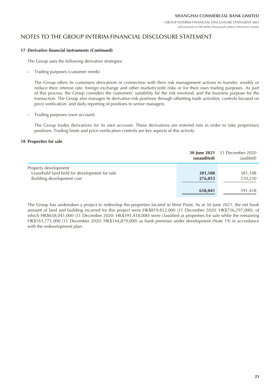# NOTES TO THE GROUP INTERIM FINANCIAL DISCLOSURE STATEMENT

#### **17 Derivative financial instruments (Continued)**

The Group uses the following derivative strategies:

– Trading purposes (customer needs)

The Group offers its customers derivatives in connection with their risk management actions to transfer, modify or reduce their interest rate, foreign exchange and other market/credit risks or for their own trading purposes. As part of this process, the Group considers the customers' suitability for the risk involved, and the business purpose for the transaction. The Group also manages its derivative-risk positions through offsetting trade activities, controls focused on price verification, and daily reporting of positions to senior managers.

– Trading purposes (own account)

The Group trades derivatives for its own account. These derivatives are entered into in order to take proprietary positions. Trading limits and price verification controls are key aspects of this activity.

#### **18 Properties for sale**

|                                                                                                   | (unaudited)        | 30 June 2021 31 December 2020<br>(audited) |
|---------------------------------------------------------------------------------------------------|--------------------|--------------------------------------------|
| Property development<br>Leasehold land held for development for sale<br>Building development cost | 381,188<br>276,853 | 381,188<br>210,230                         |
|                                                                                                   | 658,041            | 591,418                                    |

The Group has undertaken a project to redevelop the properties located in West Point. As at 30 June 2021, the net book amount of land and building incurred for this project were HK\$819,812,000 (31 December 2020: HK\$736,297,000), of which HK\$658,041,000 (31 December 2020: HK\$591,418,000) were classified as properties for sale while the remaining HK\$161,771,000 (31 December 2020: HK\$144,879,000) as bank premises under development (Note 19) in accordance with the redevelopment plan.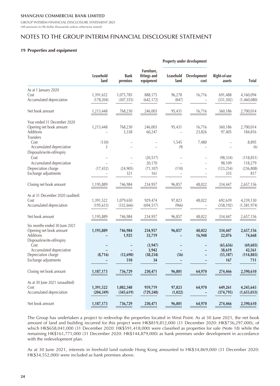GROUP INTERIM FINANCIAL DISCLOSURE STATEMENT 2021 (All amounts in HK dollar thousands unless otherwise stated)

### NOTES TO THE GROUP INTERIM FINANCIAL DISCLOSURE STATEMENT

#### **19 Properties and equipment**

|                                                                       |                         |                         |                                         |                                  | Property under development                           |                        |                          |
|-----------------------------------------------------------------------|-------------------------|-------------------------|-----------------------------------------|----------------------------------|------------------------------------------------------|------------------------|--------------------------|
|                                                                       | Leasehold<br>land       | <b>Bank</b><br>premises | Furniture,<br>fittings and<br>equipment | Leasehold<br>land                | Development<br>cost                                  | Right-of-use<br>assets | <b>Total</b>             |
| As at 1 January 2020                                                  |                         |                         |                                         |                                  |                                                      |                        |                          |
| Cost<br>Accumulated depreciation                                      | 1,391,652<br>(178, 204) | 1,075,785<br>(307, 555) | 888,175<br>(642, 172)                   | 96,278<br>(847)                  | 16,716                                               | 691,488<br>(331, 302)  | 4,160,094<br>(1,460,080) |
| Net book amount                                                       | 1,213,448               | 768,230                 | 246,003                                 | 95,431                           | 16,716                                               | 360,186                | 2,700,014                |
| Year ended 31 December 2020                                           |                         |                         |                                         |                                  |                                                      |                        |                          |
| Opening net book amount<br><b>Additions</b><br><b>Transfers</b>       | 1,213,448               | 768,230<br>3,338        | 246,003<br>60,247                       | 95,431                           | 16,716<br>23,826                                     | 360,186<br>97,405      | 2,700,014<br>184,816     |
| Cost<br>Accumulated depreciation<br>Disposals/write-off/expiry        | (130)<br>3              |                         |                                         | 1,545<br>(9)                     | 7,480                                                |                        | 8,895<br>(6)             |
| Cost<br>Accumulated depreciation                                      |                         |                         | (20, 517)<br>20,170                     |                                  |                                                      | (98, 334)<br>98,109    | (118, 851)<br>118,279    |
| Depreciation charge<br>Exchange adjustments                           | (17, 432)               | (24, 905)<br>321        | (71, 107)<br>161                        | (110)                            | $\overline{\phantom{0}}$<br>$\sim$                   | (123, 254)<br>335      | (236, 808)<br>817        |
| Closing net book amount                                               | 1,195,889               | 746,984                 | 234,957                                 | 96,857                           | 48,022                                               | 334,447                | 2,657,156                |
| As at 31 December 2020 (audited)                                      |                         |                         |                                         |                                  |                                                      |                        |                          |
| Cost<br>Accumulated depreciation                                      | 1,391,522<br>(195, 633) | 1,079,650<br>(332, 666) | 929,474<br>(694, 517)                   | 97,823<br>(966)                  | 48,022                                               | 692,639<br>(358, 192)  | 4,239,130<br>(1,581,974) |
| Net book amount                                                       | 1,195,889               | 746,984                 | 234,957                                 | 96,857                           | 48,022                                               | 334,447                | 2,657,156                |
| Six months ended 30 June 2021<br>Opening net book amount<br>Additions | 1,195,889               | 746,984<br>1,925        | 234,957<br>33,719                       | 96,857                           | 48,022<br>16,948                                     | 334,447<br>22,076      | 2,657,156<br>74,668      |
| Disposals/write-off/expiry<br>Cost                                    |                         |                         | (3,947)                                 |                                  |                                                      | (65, 656)              | (69, 603)                |
| Accumulated depreciation<br>Depreciation charge                       | (8, 716)                | (12,690)                | 3,942<br>(38, 234)                      | $\overline{\phantom{0}}$<br>(56) | $\overline{\phantom{0}}$<br>$\overline{\phantom{0}}$ | 38,619<br>(55, 187)    | 42,561                   |
| Exchange adjustments                                                  |                         | 510                     | 34                                      |                                  |                                                      | 167                    | (114, 883)<br>711        |
| Closing net book amount                                               | 1,187,173               | 736,729                 | 230,471                                 | 96,801                           | 64,970                                               | 274,466                | 2,590,610                |
| As at 30 June 2021 (unaudited)                                        |                         |                         |                                         |                                  |                                                      |                        |                          |
| Cost<br>Accumulated depreciation                                      | 1,391,522<br>(204, 349) | 1,082,348<br>(345, 619) | 959,719<br>(729, 248)                   | 97,823<br>(1,022)                | 64,970                                               | 649,261<br>(374, 795)  | 4,245,643<br>(1,655,033) |
| Net book amount                                                       | 1,187,173               | 736,729                 | 230,471                                 | 96,801                           | 64,970                                               | 274,466                | 2,590,610                |

The Group has undertaken a project to redevelop the properties located in West Point. As at 30 June 2021, the net book amount of land and building incurred for this project were HK\$819,812,000 (31 December 2020: HK\$736,297,000), of which HK\$658,041,000 (31 December 2020: HK\$591,418,000) were classified as properties for sale (Note 18) while the remaining HK\$161,771,000 (31 December 2020: HK\$144,879,000) as bank premises under development in accordance with the redevelopment plan.

As at 30 June 2021, interests in freehold land outside Hong Kong amounted to HK\$34,869,000 (31 December 2020: HK\$34,552,000) were included as bank premises above.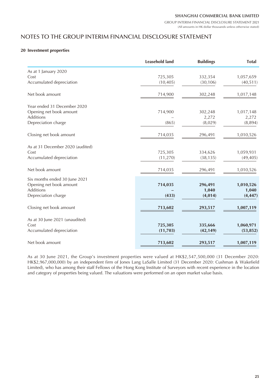### NOTES TO THE GROUP INTERIM FINANCIAL DISCLOSURE STATEMENT

#### **20 Investment properties**

|                                  | <b>Leasehold land</b> | <b>Buildings</b> | <b>Total</b> |
|----------------------------------|-----------------------|------------------|--------------|
| As at 1 January 2020             |                       |                  |              |
| Cost                             | 725,305               | 332,354          | 1,057,659    |
| Accumulated depreciation         | (10, 405)             | (30, 106)        | (40, 511)    |
|                                  |                       |                  |              |
| Net book amount                  | 714,900               | 302,248          | 1,017,148    |
|                                  |                       |                  |              |
| Year ended 31 December 2020      |                       |                  |              |
| Opening net book amount          | 714,900               | 302,248          | 1,017,148    |
| Additions                        |                       | 2,272            | 2,272        |
| Depreciation charge              | (865)                 | (8,029)          | (8,894)      |
|                                  |                       |                  |              |
| Closing net book amount          | 714,035               | 296,491          | 1,010,526    |
|                                  |                       |                  |              |
| As at 31 December 2020 (audited) |                       |                  |              |
| Cost                             | 725,305               | 334,626          | 1,059,931    |
| Accumulated depreciation         | (11, 270)             | (38, 135)        | (49, 405)    |
|                                  |                       |                  |              |
| Net book amount                  | 714,035               | 296,491          | 1,010,526    |
|                                  |                       |                  |              |
| Six months ended 30 June 2021    |                       |                  |              |
| Opening net book amount          | 714,035               | 296,491          | 1,010,526    |
| Additions                        |                       | 1,040            | 1,040        |
| Depreciation charge              | (433)                 | (4, 014)         | (4, 447)     |
|                                  |                       |                  |              |
| Closing net book amount          | 713,602               | 293,517          | 1,007,119    |
| As at 30 June 2021 (unaudited)   |                       |                  |              |
| Cost                             | 725,305               | 335,666          | 1,060,971    |
| Accumulated depreciation         | (11,703)              | (42, 149)        | (53, 852)    |
|                                  |                       |                  |              |
| Net book amount                  | 713,602               | 293,517          | 1,007,119    |
|                                  |                       |                  |              |

As at 30 June 2021, the Group's investment properties were valued at HK\$2,547,500,000 (31 December 2020: HK\$2,967,000,000) by an independent firm of Jones Lang LaSalle Limited (31 December 2020: Cushman & Wakefield Limited), who has among their staff Fellows of the Hong Kong Institute of Surveyors with recent experience in the location and category of properties being valued. The valuations were performed on an open market value basis.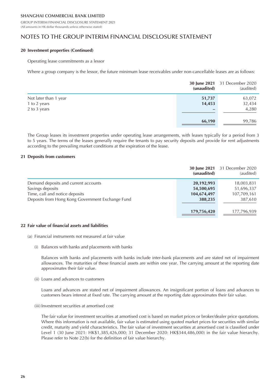GROUP INTERIM FINANCIAL DISCLOSURE STATEMENT 2021 (All amounts in HK dollar thousands unless otherwise stated)

### NOTES TO THE GROUP INTERIM FINANCIAL DISCLOSURE STATEMENT

#### **20 Investment properties (Continued)**

#### Operating lease commitments as a lessor

Where a group company is the lessor, the future minimum lease receivables under non-cancellable leases are as follows:

|                       | (unaudited) | <b>30 June 2021</b> 31 December 2020<br>(audited) |
|-----------------------|-------------|---------------------------------------------------|
| Not later than 1 year | 51,737      | 63,072                                            |
| 1 to 2 years          | 14,453      | 32,434                                            |
| 2 to 3 years          | -           | 4,280                                             |
|                       | 66,190      | 99,786                                            |

The Group leases its investment properties under operating lease arrangements, with leases typically for a period from 3 to 5 years. The terms of the leases generally require the tenants to pay security deposits and provide for rent adjustments according to the prevailing market conditions at the expiration of the lease.

#### **21 Deposits from customers**

|                                                  | (unaudited) | <b>30 June 2021</b> 31 December 2020<br>(audited) |
|--------------------------------------------------|-------------|---------------------------------------------------|
| Demand deposits and current accounts             | 20,192,993  | 18,003,831                                        |
| Savings deposits                                 | 54,500,695  | 51,696,337                                        |
| Time, call and notice deposits                   | 104,674,497 | 107,709,161                                       |
| Deposits from Hong Kong Government Exchange Fund | 388,235     | 387,610                                           |
|                                                  |             |                                                   |
|                                                  | 179,756,420 | 177,796,939                                       |

#### **22 Fair value of financial assets and liabilities**

- (a) Financial instruments not measured at fair value
	- (i) Balances with banks and placements with banks

Balances with banks and placements with banks include inter-bank placements and are stated net of impairment allowances. The maturities of these financial assets are within one year. The carrying amount at the reporting date approximates their fair value.

(ii) Loans and advances to customers

Loans and advances are stated net of impairment allowances. An insignificant portion of loans and advances to customers bears interest at fixed rate. The carrying amount at the reporting date approximates their fair value.

(iii) Investment securities at amortised cost

The fair value for investment securities at amortised cost is based on market prices or broker/dealer price quotations. Where this information is not available, fair value is estimated using quoted market prices for securities with similar credit, maturity and yield characteristics. The fair value of investment securities at amortised cost is classified under Level 1 (30 June 2021: HK\$1,385,426,000; 31 December 2020: HK\$344,486,000) in the fair value hierarchy. Please refer to Note 22(b) for the definition of fair value hierarchy.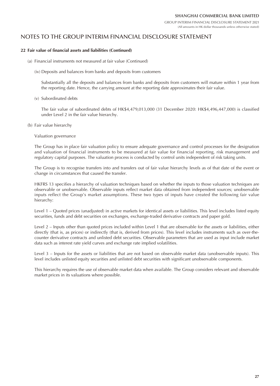### NOTES TO THE GROUP INTERIM FINANCIAL DISCLOSURE STATEMENT

#### **22 Fair value of financial assets and liabilities (Continued)**

- (a) Financial instruments not measured at fair value (Continued)
	- (iv) Deposits and balances from banks and deposits from customers

Substantially all the deposits and balances from banks and deposits from customers will mature within 1 year from the reporting date. Hence, the carrying amount at the reporting date approximates their fair value.

(v) Subordinated debts

The fair value of subordinated debts of HK\$4,479,013,000 (31 December 2020: HK\$4,496,447,000) is classified under Level 2 in the fair value hierarchy.

(b) Fair value hierarchy

Valuation governance

The Group has in place fair valuation policy to ensure adequate governance and control processes for the designation and valuation of financial instruments to be measured at fair value for financial reporting, risk management and regulatory capital purposes. The valuation process is conducted by control units independent of risk taking units.

The Group is to recognise transfers into and transfers out of fair value hierarchy levels as of that date of the event or change in circumstances that caused the transfer.

HKFRS 13 specifies a hierarchy of valuation techniques based on whether the inputs to those valuation techniques are observable or unobservable. Observable inputs reflect market data obtained from independent sources; unobservable inputs reflect the Group's market assumptions. These two types of inputs have created the following fair value hierarchy:

Level 1 – Quoted prices (unadjusted) in active markets for identical assets or liabilities. This level includes listed equity securities, funds and debt securities on exchanges, exchange-traded derivative contracts and paper gold.

Level 2 – Inputs other than quoted prices included within Level 1 that are observable for the assets or liabilities, either directly (that is, as prices) or indirectly (that is, derived from prices). This level includes instruments such as over-thecounter derivative contracts and unlisted debt securities. Observable parameters that are used as input include market data such as interest rate yield curves and exchange rate implied volatilities.

Level 3 – Inputs for the assets or liabilities that are not based on observable market data (unobservable inputs). This level includes unlisted equity securities and unlisted debt securities with significant unobservable components.

This hierarchy requires the use of observable market data when available. The Group considers relevant and observable market prices in its valuations where possible.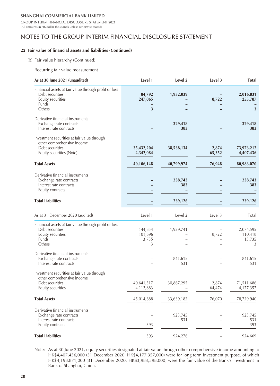GROUP INTERIM FINANCIAL DISCLOSURE STATEMENT 2021 (All amounts in HK dollar thousands unless otherwise stated)

### NOTES TO THE GROUP INTERIM FINANCIAL DISCLOSURE STATEMENT

#### **22 Fair value of financial assets and liabilities (Continued)**

(b) Fair value hierarchy (Continued)

Recurring fair value measurement

| As at 30 June 2021 (unaudited)                                                                                                         | Level 1                           | Level 2        | Level 3         | <b>Total</b>                        |
|----------------------------------------------------------------------------------------------------------------------------------------|-----------------------------------|----------------|-----------------|-------------------------------------|
| Financial assets at fair value through profit or loss<br>Debt securities<br>Equity securities<br>Funds<br>Others                       | 84,792<br>247,065<br>3            | 1,932,039      | 8,722           | 2,016,831<br>255,787<br>3           |
|                                                                                                                                        |                                   |                |                 |                                     |
| Derivative financial instruments<br>Exchange rate contracts<br>Interest rate contracts                                                 |                                   | 329,418<br>383 |                 | 329,418<br>383                      |
| Investment securities at fair value through<br>other comprehensive income<br>Debt securities<br>Equity securities (Note)               | 35,432,204<br>4,342,084           | 38,538,134     | 2,874<br>65,352 | 73,973,212<br>4,407,436             |
| <b>Total Assets</b>                                                                                                                    | 40,106,148                        | 40,799,974     | 76,948          | 80,983,070                          |
| Derivative financial instruments<br>Exchange rate contracts<br>Interest rate contracts<br>Equity contracts                             |                                   | 238,743<br>383 |                 | 238,743<br>383                      |
| <b>Total Liabilities</b>                                                                                                               |                                   | 239,126        |                 | 239,126                             |
| As at 31 December 2020 (audited)                                                                                                       | Level 1                           | Level 2        | Level 3         | Total                               |
| Financial assets at fair value through profit or loss<br>Debt securities<br>Equity securities<br>Funds<br>Others                       | 144,854<br>101,696<br>13,735<br>3 | 1,929,741      | 8,722           | 2,074,595<br>110,418<br>13,735<br>3 |
| Derivative financial instruments<br>Exchange rate contracts<br>Interest rate contracts                                                 |                                   | 841,615<br>531 |                 | 841,615<br>531                      |
| Investment securities at fair value through<br>other comprehensive income<br>Debt securities<br>Equity securities                      | 40,641,517<br>4,112,883           | 30,867,295     | 2,874<br>64,474 | 71,511,686<br>4,177,357             |
| <b>Total Assets</b>                                                                                                                    | 45,014,688                        | 33,639,182     | 76,070          | 78,729,940                          |
| Derivative financial instruments<br>Exchange rate contracts<br>Interest rate contracts<br>Equity contracts<br><b>Total Liabilities</b> | 393                               | 923,745<br>531 |                 | 923,745<br>531<br>393               |
|                                                                                                                                        | 393                               | 924,276        |                 | 924,669                             |

Note: As at 30 June 2021, equity securities designated at fair value through other comprehensive income amounting to HK\$4,407,436,000 (31 December 2020: HK\$4,177,357,000) were for long term investment purpose, of which HK\$4,198,871,000 (31 December 2020: HK\$3,983,598,000) were the fair value of the Bank's investment in Bank of Shanghai, China.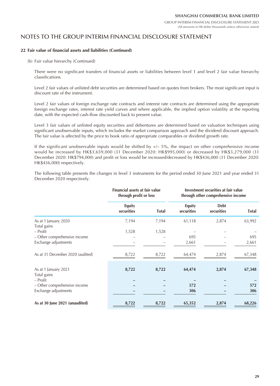### NOTES TO THE GROUP INTERIM FINANCIAL DISCLOSURE STATEMENT

#### **22 Fair value of financial assets and liabilities (Continued)**

(b) Fair value hierarchy (Continued)

There were no significant transfers of financial assets or liabilities between level 1 and level 2 fair value hierarchy classifications.

Level 2 fair values of unlisted debt securities are determined based on quotes from brokers. The most significant input is discount rate of the instrument.

Level 2 fair values of foreign exchange rate contracts and interest rate contracts are determined using the appropriate foreign exchange rates, interest rate yield curves and where applicable, the implied option volatility at the reporting date, with the expected cash-flow discounted back to present value.

Level 3 fair values of unlisted equity securities and debentures are determined based on valuation techniques using significant unobservable inputs, which includes the market comparison approach and the dividend discount approach. The fair value is affected by the price to book ratio of appropriate comparables or dividend growth rate.

If the significant unobservable inputs would be shifted by  $+/-5%$ , the impact on other comprehensive income would be increased by HK\$3,659,000 (31 December 2020: HK\$995,000) or decreased by HK\$3,279,000 (31 December 2020: HK\$794,000) and profit or loss would be increased/decreased by HK\$436,000 (31 December 2020: HK\$436,000) respectively.

The following table presents the changes in level 3 instruments for the period ended 30 June 2021 and year ended 31 December 2020 respectively.

|                                     | Financial assets at fair value<br>through profit or loss |              | Investment securities at fair value<br>through other comprehensive income |                           |              |
|-------------------------------------|----------------------------------------------------------|--------------|---------------------------------------------------------------------------|---------------------------|--------------|
|                                     | <b>Equity</b><br>securities                              | <b>Total</b> | <b>Equity</b><br>securities                                               | <b>Debt</b><br>securities | <b>Total</b> |
| As at 1 January 2020<br>Total gains | 7,194                                                    | 7,194        | 61,118                                                                    | 2,874                     | 63,992       |
| – Profit                            | 1,528                                                    | 1,528        |                                                                           |                           |              |
| – Other comprehensive income        |                                                          |              | 695                                                                       |                           | 695          |
| Exchange adjustments                |                                                          |              | 2,661                                                                     |                           | 2,661        |
| As at 31 December 2020 (audited)    | 8,722                                                    | 8,722        | 64,474                                                                    | 2,874                     | 67,348       |
| As at 1 January 2021                | 8,722                                                    | 8,722        | 64,474                                                                    | 2,874                     | 67,348       |
| Total gains                         |                                                          |              |                                                                           |                           |              |
| – Profit                            |                                                          |              |                                                                           |                           |              |
| - Other comprehensive income        |                                                          |              | 572                                                                       |                           | 572          |
| Exchange adjustments                |                                                          |              | 306                                                                       |                           | 306          |
| As at 30 June 2021 (unaudited)      | 8,722                                                    | 8,722        | 65,352                                                                    | 2,874                     | 68,226       |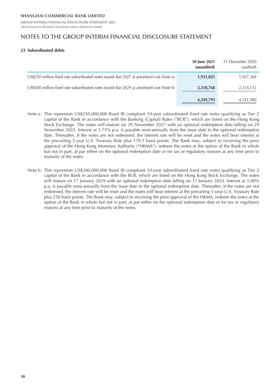GROUP INTERIM FINANCIAL DISCLOSURE STATEMENT 2021 (All amounts in HK dollar thousands unless otherwise stated)

### NOTES TO THE GROUP INTERIM FINANCIAL DISCLOSURE STATEMENT

#### **23 Subordinated debts**

|                                                                                          | 30 June 2021<br>(unaudited) | 31 December 2020<br>(audited) |
|------------------------------------------------------------------------------------------|-----------------------------|-------------------------------|
| US\$250 million fixed rate subordinated notes issued due 2027 at amortised cost (Note a) | 1,931,025                   | 1,927,368                     |
| US\$300 million fixed rate subordinated notes issued due 2029 at amortised cost (Note b) | 2,318,768                   | 2,314,112                     |
|                                                                                          | 4,249,793                   | 4,241,480                     |

- Note a: This represents US\$250,000,000 Basel III compliant 10-year subordinated fixed rate notes qualifying as Tier 2 capital of the Bank in accordance with the Banking (Capital) Rules ("BCR"), which are listed on the Hong Kong Stock Exchange. The notes will mature on 29 November 2027 with an optional redemption date falling on 29 November 2022. Interest at 3.75% p.a. is payable semi-annually from the issue date to the optional redemption date. Thereafter, if the notes are not redeemed, the interest rate will be reset and the notes will bear interest at the prevailing 5-year U.S. Treasury Rate plus 170.5 basis points. The Bank may, subject to receiving the prior approval of the Hong Kong Monetary Authority ("HKMA"), redeem the notes at the option of the Bank in whole but not in part, at par either on the optional redemption date or for tax or regulatory reasons at any time prior to maturity of the notes.
- Note b: This represents US\$300,000,000 Basel III compliant 10-year subordinated fixed rate notes qualifying as Tier 2 capital of the Bank in accordance with the BCR, which are listed on the Hong Kong Stock Exchange. The notes will mature on 17 January 2029 with an optional redemption date falling on 17 January 2024. Interest at 5.00% p.a. is payable semi-annually from the issue date to the optional redemption date. Thereafter, if the notes are not redeemed, the interest rate will be reset and the notes will bear interest at the prevailing 5-year U.S. Treasury Rate plus 250 basis points. The Bank may, subject to receiving the prior approval of the HKMA, redeem the notes at the option of the Bank in whole but not in part, at par either on the optional redemption date or for tax or regulatory reasons at any time prior to maturity of the notes.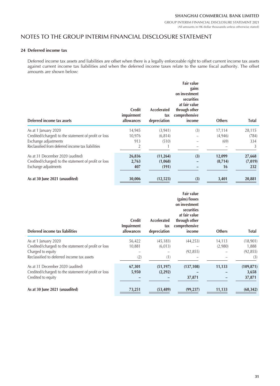### NOTES TO THE GROUP INTERIM FINANCIAL DISCLOSURE STATEMENT

#### **24 Deferred income tax**

Deferred income tax assets and liabilities are offset when there is a legally enforceable right to offset current income tax assets against current income tax liabilities and when the deferred income taxes relate to the same fiscal authority. The offset amounts are shown below:

| Deferred income tax assets                            | <b>Credit</b><br>impairment<br>allowances | <b>Accelerated</b><br>tax<br>depreciation | Fair value<br>gains<br>on investment<br>securities<br>at fair value<br>through other<br>comprehensive<br>income | <b>Others</b> | <b>Total</b> |
|-------------------------------------------------------|-------------------------------------------|-------------------------------------------|-----------------------------------------------------------------------------------------------------------------|---------------|--------------|
| As at 1 January 2020                                  | 14,945                                    | (3, 941)                                  | (3)                                                                                                             | 17,114        | 28,115       |
| Credited/(charged) to the statement of profit or loss | 10,976                                    | (6, 814)                                  |                                                                                                                 | (4,946)       | (784)        |
| Exchange adjustments                                  | 913                                       | (510)                                     |                                                                                                                 | (69)          | 334          |
| Reclassified from deferred income tax liabilities     | $\overline{2}$                            |                                           |                                                                                                                 |               | 3            |
| As at 31 December 2020 (audited)                      | 26,836                                    | (11, 264)                                 | (3)                                                                                                             | 12,099        | 27,668       |
| Credited/(charged) to the statement of profit or loss | 2,763                                     | (1,068)                                   |                                                                                                                 | (8,714)       | (7,019)      |
| Exchange adjustments                                  | 407                                       | (191)                                     |                                                                                                                 | 16            | 232          |
| As at 30 June 2021 (unaudited)                        | 30,006                                    | (12,523)                                  | (3)                                                                                                             | 3,401         | 20,881       |

| Deferred income tax liabilities                       | <b>Credit</b><br>Impairment<br>allowances | Accelerated<br>tax<br>depreciation | <b>Fair value</b><br>(gains)/losses<br>on investment<br>securities<br>at fair value<br>through other<br>comprehensive<br>income | <b>Others</b> | <b>Total</b> |
|-------------------------------------------------------|-------------------------------------------|------------------------------------|---------------------------------------------------------------------------------------------------------------------------------|---------------|--------------|
| As at 1 January 2020                                  | 56,422                                    | (45, 183)                          | (44, 253)                                                                                                                       | 14,113        | (18,901)     |
| Credited/(charged) to the statement of profit or loss | 10,881                                    | (6,013)                            |                                                                                                                                 | (2,980)       | 1,888        |
| Charged to equity                                     |                                           |                                    | (92, 855)                                                                                                                       |               | (92, 855)    |
| Reclassified to deferred income tax assets            | (2)                                       | (1)                                |                                                                                                                                 |               | (3)          |
| As at 31 December 2020 (audited)                      | 67,301                                    | (51, 197)                          | (137, 108)                                                                                                                      | 11,133        | (109, 871)   |
| Credited/(charged) to the statement of profit or loss | 5,950                                     | (2, 292)                           |                                                                                                                                 |               | 3,658        |
| Credited to equity                                    |                                           |                                    | 37,871                                                                                                                          |               | 37,871       |
| As at 30 June 2021 (unaudited)                        | 73,251                                    | (53, 489)                          | (99, 237)                                                                                                                       | 11,133        | (68, 342)    |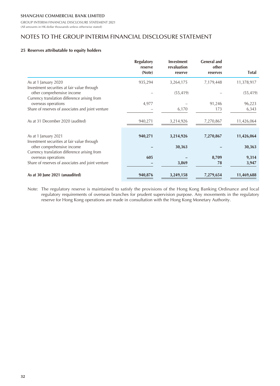GROUP INTERIM FINANCIAL DISCLOSURE STATEMENT 2021 (All amounts in HK dollar thousands unless otherwise stated)

## NOTES TO THE GROUP INTERIM FINANCIAL DISCLOSURE STATEMENT

#### **25 Reserves attributable to equity holders**

|                                                   | <b>Regulatory</b><br>reserve | <b>Investment</b><br>revaluation | <b>General and</b><br>other |              |
|---------------------------------------------------|------------------------------|----------------------------------|-----------------------------|--------------|
|                                                   | (Note)                       | reserve                          | reserves                    | <b>Total</b> |
| As at 1 January 2020                              | 935,294                      | 3,264,175                        | 7,179,448                   | 11,378,917   |
| Investment securities at fair value through       |                              |                                  |                             |              |
| other comprehensive income                        |                              | (55, 419)                        |                             | (55, 419)    |
| Currency translation difference arising from      |                              |                                  |                             |              |
| overseas operations                               | 4,977                        |                                  | 91,246                      | 96,223       |
| Share of reserves of associates and joint venture |                              | 6,170                            | 173                         | 6,343        |
| As at 31 December 2020 (audited)                  | 940,271                      | 3,214,926                        | 7,270,867                   | 11,426,064   |
|                                                   |                              |                                  |                             |              |
| As at 1 January 2021                              | 940,271                      | 3,214,926                        | 7,270,867                   | 11,426,064   |
| Investment securities at fair value through       |                              |                                  |                             |              |
| other comprehensive income                        |                              | 30,363                           |                             | 30,363       |
| Currency translation difference arising from      |                              |                                  |                             |              |
| overseas operations                               | 605                          |                                  | 8,709                       | 9,314        |
| Share of reserves of associates and joint venture |                              | 3,869                            | 78                          | 3,947        |
| As at 30 June 2021 (unaudited)                    | 940,876                      | 3,249,158                        | 7,279,654                   | 11,469,688   |

Note: The regulatory reserve is maintained to satisfy the provisions of the Hong Kong Banking Ordinance and local regulatory requirements of overseas branches for prudent supervision purpose. Any movements in the regulatory reserve for Hong Kong operations are made in consultation with the Hong Kong Monetary Authority.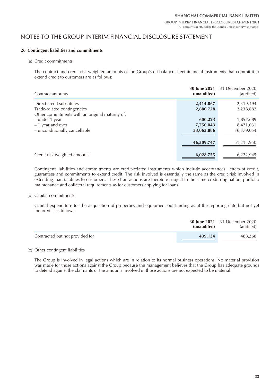### NOTES TO THE GROUP INTERIM FINANCIAL DISCLOSURE STATEMENT

#### **26 Contingent liabilities and commitments**

(a) Credit commitments

The contract and credit risk weighted amounts of the Group's off-balance sheet financial instruments that commit it to extend credit to customers are as follows:

| Contract amounts                                                                                            | (unaudited)                        | <b>30 June 2021</b> 31 December 2020<br>(audited) |
|-------------------------------------------------------------------------------------------------------------|------------------------------------|---------------------------------------------------|
| Direct credit substitutes<br>Trade-related contingencies<br>Other commitments with an original maturity of: | 2,414,867<br>2,680,728             | 2,319,494<br>2,238,682                            |
| - under 1 year<br>- 1 year and over<br>- unconditionally cancellable                                        | 600,223<br>7,750,043<br>33,063,886 | 1,857,689<br>8,421,031<br>36,379,054              |
|                                                                                                             | 46,509,747                         | 51,215,950                                        |
| Credit risk weighted amounts                                                                                | 6,028,755                          | 6,222,945                                         |

Contingent liabilities and commitments are credit-related instruments which include acceptances, letters of credit, guarantees and commitments to extend credit. The risk involved is essentially the same as the credit risk involved in extending loan facilities to customers. These transactions are therefore subject to the same credit origination, portfolio maintenance and collateral requirements as for customers applying for loans.

(b) Capital commitments

Capital expenditure for the acquisition of properties and equipment outstanding as at the reporting date but not yet incurred is as follows:

|                                 | (unaudited) | <b>30 June 2021</b> 31 December 2020<br>(audited) |
|---------------------------------|-------------|---------------------------------------------------|
| Contracted but not provided for | 439,134     | 488.368                                           |

#### (c) Other contingent liabilities

The Group is involved in legal actions which are in relation to its normal business operations. No material provision was made for those actions against the Group because the management believes that the Group has adequate grounds to defend against the claimants or the amounts involved in those actions are not expected to be material.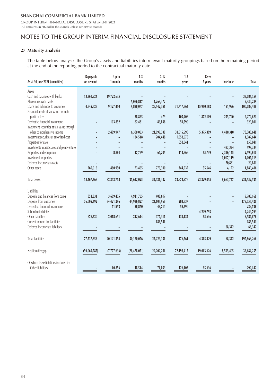GROUP INTERIM FINANCIAL DISCLOSURE STATEMENT 2021 (All amounts in HK dollar thousands unless otherwise stated)

# NOTES TO THE GROUP INTERIM FINANCIAL DISCLOSURE STATEMENT

#### **27 Maturity analysis**

The table below analyses the Group's assets and liabilities into relevant maturity groupings based on the remaining period at the end of the reporting period to the contractual maturity date.

| As at 30 June 2021 (unaudited)                               | Repayable<br>on demand | Up to<br>1 month | $1-3$<br>months        | $3-12$<br>months | $1-5$<br>years | Over<br>5 years     | Indefinite | Total                           |
|--------------------------------------------------------------|------------------------|------------------|------------------------|------------------|----------------|---------------------|------------|---------------------------------|
| Assets                                                       |                        |                  |                        |                  |                |                     |            |                                 |
| Cash and balances with banks                                 | 13,361,924             | 19,722,635       |                        |                  |                |                     |            | 33,084,559                      |
| Placements with banks                                        |                        |                  | 5,086,817              | 4,263,472        |                |                     |            | 9,350,289                       |
| Loans and advances to customers                              | 4,845,628              | 9,127,410        | 9,838,077              | 28,442,351       | 31,717,864     | 15,960,162          | 151,996    | 100,083,488                     |
| Financial assets at fair value through                       |                        |                  |                        |                  |                |                     |            |                                 |
| profit or loss                                               |                        |                  | 38,835                 | 479              | 105,408        | 1,872,109           | 255,790    | 2,272,621                       |
| Derivative financial instruments                             |                        | 103,892          | 82,481                 | 83,838           | 59,590         |                     |            | 329,801                         |
| Investment securities at fair value through                  |                        |                  |                        |                  |                |                     |            |                                 |
| other comprehensive income                                   | ÷,                     | 2,499,947        | 6,380,063              | 21,099,339       | 38,615,590     | 5,375,399           | 4,410,310  | 78,380,648                      |
| Investment securities at amortised cost                      |                        |                  | 124,518                | 204,448          | 1,058,678      |                     |            | 1,387,644                       |
| Properties for sale                                          |                        |                  |                        |                  | 658,041        |                     |            | 658,041                         |
| Investments in associates and joint venture                  |                        |                  |                        |                  |                |                     | 497,334    | 497,334                         |
| Properties and equipment                                     |                        | 8,884            | 17,769                 | 67,205           | 114,868        | 65,739              | 2,316,145  | 2,590,610                       |
| Investment properties                                        |                        |                  |                        |                  |                |                     | 1,007,119  | 1,007,119                       |
| Deferred income tax assets                                   |                        |                  |                        |                  |                |                     | 20,881     | 20,881                          |
| Other assets                                                 | 260,016                | 880,950          | 73,465                 | 270,300          | 344,937        | 55,646              | 4,172      | 1,889,486                       |
| Total assets                                                 | 18,467,568             | 32,343,718       | 21,642,025             | 54,431,432       | 72,674,976     | 23,329,055          | 8,663,747  | 231,552,521                     |
| <b>Liabilities</b>                                           |                        |                  |                        |                  |                |                     |            |                                 |
| Deposits and balances from banks                             | 853,331                | 3,609,455        | 4,911,765              | 408,617          |                |                     |            | 9,783,168                       |
| Deposits from customers                                      | 76,005,492             | 34,421,296       | 44,936,827             | 24,107,968       | 284,837        |                     |            | 179,756,420                     |
| Derivative financial instruments                             |                        | 71,952           | 58,870                 | 48,714           | 59,590         |                     |            | 239,126                         |
| Subordinated debts                                           |                        |                  |                        |                  |                | 4,249,793           |            | 4,249,793                       |
| Other liabilities                                            | 678,530                | 2,018,651        | 212,614                | 477,311          | 132,134        | 65,636              |            | 3,584,876                       |
| Current income tax liabilities                               |                        |                  |                        | 186,541          |                |                     |            | 186,541                         |
| Deferred income tax liabilities                              |                        |                  |                        |                  |                |                     | 68,342     | 68,342                          |
| <b>Total liabilities</b>                                     | 77,537,353<br>-------  | 40,121,354       | 50,120,076<br>-------- | 25,229,151       | 476,561<br>.   | 4,315,429<br>111111 | 68,342     | 197,868,266<br>-- <u>------</u> |
|                                                              |                        |                  |                        |                  |                |                     |            |                                 |
| Net liquidity gap                                            | (59,069,785)           | (7,777,636)      | (28, 478, 051)         | 29,202,281       | 72,198,415     | 19,013,626          | 8,595,405  | 33,684,255                      |
| Of which lease liabilities included in:<br>Other liabilities |                        | 10,856           | 18,514                 | 71,033           | 126,103        | 65,636              |            | 292,142                         |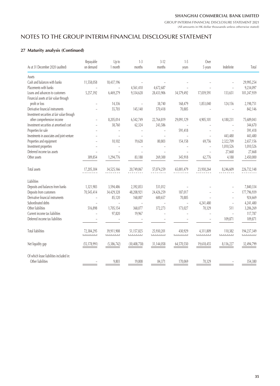# NOTES TO THE GROUP INTERIM FINANCIAL DISCLOSURE STATEMENT

### **27 Maturity analysis (Continued)**

|                                             | Repayable      | Up to                    | $1-3$          | $3-12$         | $1 - 5$    | Over                     |                |             |
|---------------------------------------------|----------------|--------------------------|----------------|----------------|------------|--------------------------|----------------|-------------|
| As at 31 December 2020 (audited)            | on demand      | 1 month                  | months         | months         | years      | 5 years                  | Indefinite     | Total       |
| Assets                                      |                |                          |                |                |            |                          |                |             |
| Cash and balances with banks                | 11,558,058     | 18,437,196               |                |                |            |                          |                | 29,995,254  |
| Placements with banks                       |                | $\overline{\phantom{0}}$ | 4,561,410      | 4,672,687      |            |                          | L.             | 9,234,097   |
| Loans and advances to customers             | 5,257,392      | 6,469,279                | 9,334,628      | 28,433,906     | 34,579,492 | 17,039,591               | 133,651        | 101,247,939 |
| Financial assets at fair value through      |                |                          |                |                |            |                          |                |             |
| profit or loss                              |                | 14,336                   |                | 38,740         | 168,479    | 1,853,040                | 124,156        | 2,198,751   |
| Derivative financial instruments            |                | 55,703                   | 145,140        | 570,418        | 70,885     |                          |                | 842,146     |
| Investment securities at fair value through |                |                          |                |                |            |                          |                |             |
| other comprehensive income                  |                | 8,205,014                | 6,542,749      | 22,764,819     | 29,091,129 | 4,905,101                | 4,180,231      | 75,689,043  |
| Investment securities at amortised cost     |                | 38,760                   | 62,324         | 243,586        |            |                          |                | 344,670     |
| Properties for sale                         |                |                          |                | $\overline{a}$ | 591,418    |                          | $\overline{a}$ | 591,418     |
| Investments in associates and joint venture |                |                          |                |                |            |                          | 443,480        | 443,480     |
| Properties and equipment                    |                | 10,102                   | 19,628         | 80,803         | 154,158    | 69,756                   | 2,322,709      | 2,657,156   |
| Investment properties                       |                | $\overline{a}$           |                |                |            | $\overline{\phantom{a}}$ | 1,010,526      | 1,010,526   |
| Deferred income tax assets                  |                |                          |                |                |            | $\overline{a}$           | 27,668         | 27,668      |
| Other assets                                | 389,854        | 1,294,776                | 83,188         | 269,300        | 345,918    | 62,776                   | 4,188          | 2,450,000   |
| Total assets                                | 17,205,304     |                          | 20,749,067     |                | 65,001,479 | 23,930,264               | 8,246,609      |             |
|                                             |                | 34,525,166               |                | 57,074,259     |            |                          |                | 226,732,148 |
| Liabilities                                 |                |                          |                |                |            |                          |                |             |
| Deposits and balances from banks            | 1,321,983      | 3,594,486                | 2,392,853      | 531,012        |            |                          |                | 7,840,334   |
| Deposits from customers                     | 70,545,414     | 34,429,328               | 48,208,921     | 24,426,259     | 187,017    |                          | L.             | 177,796,939 |
| Derivative financial instruments            |                | 85,120                   | 168,007        | 600,657        | 70,885     |                          |                | 924,669     |
| Subordinated debts                          |                |                          |                |                |            | 4,241,480                | $\overline{a}$ | 4,241,480   |
| Other liabilities                           | 516,898        | 1,705,154                | 368,077        | 372,273        | 173,027    | 70,329                   | 511            | 3,206,269   |
| Current income tax liabilities              |                | 97,820                   | 19,967         |                |            |                          |                | 117,787     |
| Deferred income tax liabilities             |                |                          |                |                |            |                          | 109,871        | 109,871     |
|                                             |                |                          |                |                |            |                          |                |             |
| <b>Total liabilities</b>                    | 72,384,295     | 39,911,908               | 51,157,825     | 25,930,201     | 430,929    | 4,311,809                | 110,382        | 194,237,349 |
|                                             |                |                          |                |                |            |                          | -------        |             |
| Net liquidity gap                           | (55, 178, 991) | (5,386,742)              | (30, 408, 758) | 31,144,058     | 64,570,550 | 19,618,455               | 8,136,227      | 32,494,799  |
|                                             |                |                          |                |                |            |                          |                |             |
| Of which lease liabilities included in:     |                |                          |                |                |            |                          |                |             |
| Other liabilities                           |                | 9,803                    | 19,808         | 84,371         | 170,069    | 70,329                   |                | 354,380     |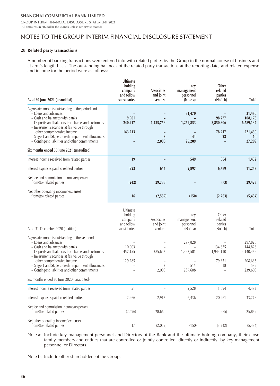GROUP INTERIM FINANCIAL DISCLOSURE STATEMENT 2021 (All amounts in HK dollar thousands unless otherwise stated)

# NOTES TO THE GROUP INTERIM FINANCIAL DISCLOSURE STATEMENT

#### **28 Related party transactions**

A number of banking transactions were entered into with related parties by the Group in the normal course of business and at arm's length basis. The outstanding balances of the related party transactions at the reporting date, and related expense and income for the period were as follows:

| As at 30 June 2021 (unaudited)                                                                                                                                                                                                                                                                                                                                                                    | Ultimate<br>holding<br>company<br>and fellow<br>subsidiaries | <b>Associates</b><br>and joint<br>venture     | Key<br>management<br>personnel<br>(Note a) | Other<br>related<br>parties<br>(Note b) | Total                                                        |
|---------------------------------------------------------------------------------------------------------------------------------------------------------------------------------------------------------------------------------------------------------------------------------------------------------------------------------------------------------------------------------------------------|--------------------------------------------------------------|-----------------------------------------------|--------------------------------------------|-----------------------------------------|--------------------------------------------------------------|
| Aggregate amounts outstanding at the period end<br>- Loans and advances<br>- Cash and balances with banks<br>- Deposits and balances from banks and customers<br>- Investment securities at fair value through<br>other comprehensive income<br>- Stage 1 and Stage 2 credit impairment allowances<br>- Contingent liabilities and other commitments<br>Six months ended 30 June 2021 (unaudited) | 9,901<br>240,217<br>143,213                                  | 1,435,758<br>$\overline{\mathbf{3}}$<br>2,000 | 31,470<br>1,262,853<br>44<br>25,209        | 98,277<br>3,850,306<br>78,217<br>23     | 31,470<br>108,178<br>6,789,134<br>221,430<br>70<br>27,209    |
| Interest income received from related parties                                                                                                                                                                                                                                                                                                                                                     | 19                                                           |                                               | 549                                        | 864                                     | 1,432                                                        |
| Interest expenses paid to related parties                                                                                                                                                                                                                                                                                                                                                         | 923                                                          | 644                                           | 2,897                                      | 6,789                                   | 11,253                                                       |
| Net fee and commission income/(expense)<br>from/(to) related parties                                                                                                                                                                                                                                                                                                                              | (242)                                                        | 29,738                                        |                                            | (73)                                    | 29,423                                                       |
| Net other operating income/(expense)<br>from/(to) related parties                                                                                                                                                                                                                                                                                                                                 | 16                                                           | (2,557)                                       | (150)                                      | (2,763)                                 | (5, 454)                                                     |
| As at 31 December 2020 (audited)                                                                                                                                                                                                                                                                                                                                                                  | Ultimate<br>holding<br>company<br>and fellow<br>subsidiaries | Associates<br>and joint<br>venture            | Key<br>management<br>personnel<br>(Note a) | Other<br>related<br>parties<br>(Note b) | Total                                                        |
| Aggregate amounts outstanding at the year end<br>- Loans and advances<br>- Cash and balances with banks<br>- Deposits and balances from banks and customers<br>- Investment securities at fair value through<br>other comprehensive income<br>- Stage 1 and Stage 2 credit impairment allowances<br>- Contingent liabilities and other commitments                                                | 10,003<br>457,155<br>129,285                                 | 385,642<br>$\overline{2}$<br>2,000            | 297,828<br>1,353,581<br>515<br>237,608     | 134,825<br>1,944,110<br>79,351<br>18    | 297,828<br>144,828<br>4,140,488<br>208,636<br>535<br>239,608 |
| Six months ended 30 June 2020 (unaudited)                                                                                                                                                                                                                                                                                                                                                         |                                                              |                                               |                                            |                                         |                                                              |
| Interest income received from related parties                                                                                                                                                                                                                                                                                                                                                     | 51                                                           |                                               | 2,528                                      | 1,894                                   | 4,473                                                        |
| Interest expenses paid to related parties                                                                                                                                                                                                                                                                                                                                                         | 2,966                                                        | 2,915                                         | 6,436                                      | 20,961                                  | 33,278                                                       |
| Net fee and commission income/(expense)<br>from/(to) related parties                                                                                                                                                                                                                                                                                                                              | (2,696)                                                      | 28,660                                        |                                            | (75)                                    | 25,889                                                       |
| Net other operating income/(expense)<br>from/(to) related parties                                                                                                                                                                                                                                                                                                                                 | 17                                                           | (2,059)                                       | (150)                                      | (3,242)                                 | (5, 434)                                                     |

Note a: Include key management personnel and Directors of the Bank and the ultimate holding company, their close family members and entities that are controlled or jointly controlled, directly or indirectly, by key management personnel or Directors.

Note b: Include other shareholders of the Group.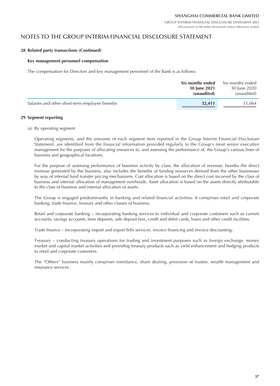### NOTES TO THE GROUP INTERIM FINANCIAL DISCLOSURE STATEMENT

#### **28 Related party transactions (Continued)**

#### **Key management personnel compensation**

The compensation for Directors and key management personnel of the Bank is as follows:

|                                                 | Six months ended<br>30 June 2021<br>(unaudited) | Six months ended<br>30 June 2020<br>(unaudited) |
|-------------------------------------------------|-------------------------------------------------|-------------------------------------------------|
| Salaries and other short-term employee benefits | 32,411                                          | 35,064                                          |

#### **29 Segment reporting**

(a) By operating segment

Operating segments, and the amounts of each segment item reported in the Group Interim Financial Disclosure Statement, are identified from the financial information provided regularly to the Group's most senior executive management for the purposes of allocating resources to, and assessing the performance of, the Group's various lines of business and geographical locations.

For the purpose of assessing performance of business activity by class, the allocation of revenue, besides the direct revenue generated by the business, also includes the benefits of funding resources derived from the other businesses by way of internal fund transfer pricing mechanisms. Cost allocation is based on the direct cost incurred by the class of business and internal allocation of management overheads. Asset allocation is based on the assets directly attributable to the class of business and internal allocation of assets.

The Group is engaged predominantly in banking and related financial activities. It comprises retail and corporate banking, trade finance, treasury and other classes of business.

Retail and corporate banking – incorporating banking services to individual and corporate customers such as current accounts, savings accounts, time deposits, safe deposit box, credit and debit cards, loans and other credit facilities.

Trade finance – incorporating import and export bills services, invoice financing and invoice discounting.

Treasury – conducting treasury operations for trading and investment purposes such as foreign exchange, money market and capital market activities and providing treasury products such as yield enhancement and hedging products to retail and corporate customers.

The "Others" business mainly comprises remittance, share dealing, provision of trustee, wealth management and insurance services.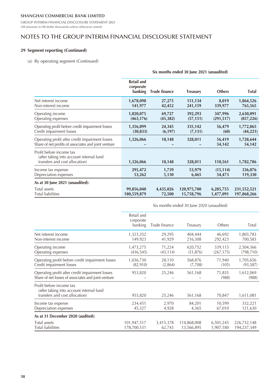GROUP INTERIM FINANCIAL DISCLOSURE STATEMENT 2021 (All amounts in HK dollar thousands unless otherwise stated)

## NOTES TO THE GROUP INTERIM FINANCIAL DISCLOSURE STATEMENT

### **29 Segment reporting (Continued)**

#### (a) By operating segment (Continued)

|                                                                                                         | Six months ended 30 June 2021 (unaudited) |                      |                 |                  |                     |  |
|---------------------------------------------------------------------------------------------------------|-------------------------------------------|----------------------|-----------------|------------------|---------------------|--|
|                                                                                                         | <b>Retail and</b><br>corporate<br>banking | <b>Trade finance</b> | <b>Treasury</b> | <b>Others</b>    | <b>Total</b>        |  |
| Net interest income                                                                                     | 1,678,098                                 | 27,275               | 151,134         | 8,019            | 1,864,526           |  |
| Non-interest income                                                                                     | 141,977                                   | 42,452               | 241,159         | 339,977          | 765,565             |  |
| Operating income                                                                                        | 1,820,075                                 | 69,727               | 392,293         | 347,996          | 2,630,091           |  |
| Operating expenses                                                                                      | (463, 176)                                | (45, 382)            | (57, 151)       | (291, 517)       | (857, 226)          |  |
| Operating profit before credit impairment losses                                                        | 1,356,899                                 | 24,345               | 335,142         | 56,479           | 1,772,865           |  |
| Credit impairment losses                                                                                | (30, 833)                                 | (6, 197)             | (7, 131)        | (60)             | (44, 221)           |  |
| Operating profit after credit impairment losses<br>Share of net profits of associates and joint venture | 1,326,066                                 | 18,148               | 328,011         | 56,419<br>54,142 | 1,728,644<br>54,142 |  |
| Profit before income tax<br>(after taking into account internal fund<br>transfers and cost allocation)  | 1,326,066                                 | 18,148               | 328,011         | 110,561          | 1,782,786           |  |
| Income tax expense                                                                                      | 295,472                                   | 1,739                | 53,979          | (15, 114)        | 336,076             |  |
| Depreciation expenses                                                                                   | 53,262                                    | 5,130                | 6,465           | 54,473           | 119,330             |  |
| As at 30 June 2021 (unaudited):                                                                         |                                           |                      |                 |                  |                     |  |
| Total assets                                                                                            | 99,856,040                                | 4,435,026            | 120,975,700     | 6,285,755        | 231,552,521         |  |
| <b>Total liabilities</b>                                                                                | 180,559,879                               | 72,500               | 15,758,796      | 1,477,091        | 197,868,266         |  |

|                                                                                                        |                                    |               | $\sigma$ indities chacal by june 2020 (unaquited) |                 |                    |
|--------------------------------------------------------------------------------------------------------|------------------------------------|---------------|---------------------------------------------------|-----------------|--------------------|
|                                                                                                        | Retail and<br>corporate<br>banking | Trade finance | Treasury                                          | Others          | Total              |
| Net interest income                                                                                    | 1,323,352                          | 29,295        | 404,444                                           | 46,692          | 1,803,783          |
| Non-interest income                                                                                    | 149,923                            | 41,929        | 216,308                                           | 292,423         | 700,583            |
| Operating income                                                                                       | 1,473,275                          | 71,224        | 620,752                                           | 339,115         | 2,504,366          |
| Operating expenses                                                                                     | (436, 545)                         | (43, 114)     | (51, 876)                                         | (267, 175)      | (798, 710)         |
| Operating profit before credit impairment losses                                                       | 1,036,730                          | 28,110        | 568,876                                           | 71,940          | 1,705,656          |
| Credit impairment losses                                                                               | (82, 910)                          | (2,864)       | (7,708)                                           | (105)           | (93, 587)          |
| Operating profit after credit impairment losses<br>Share of net losses of associates and joint venture | 953,820                            | 25,246        | 561,168                                           | 71,835<br>(988) | 1,612,069<br>(988) |
| Profit before income tax<br>(after taking into account internal fund<br>transfers and cost allocation) | 953,820                            | 25,246        | 561,168                                           | 70,847          | 1,611,081          |
| Income tax expense                                                                                     | 234,451                            | 2,970         | 84,201                                            | 10,599          | 332,221            |
| Depreciation expenses                                                                                  | 45,327                             | 4,928         | 4,365                                             | 67,010          | 121,630            |
| As at 31 December 2020 (audited):                                                                      |                                    |               |                                                   |                 |                    |
| Total assets                                                                                           | 101,947,517                        | 3,415,378     | 114,868,008                                       | 6,501,245       | 226,732,148        |
| Total liabilities                                                                                      | 178,700,531                        | 62,743        | 13,566,895                                        | 1,907,180       | 194,237,349        |

Six months ended 30 June 2020 (unaudited)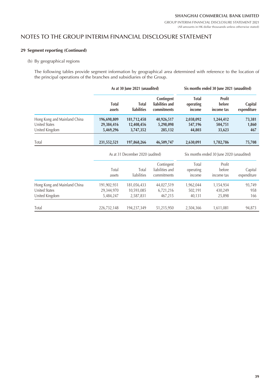### NOTES TO THE GROUP INTERIM FINANCIAL DISCLOSURE STATEMENT

### **29 Segment reporting (Continued)**

### (b) By geographical regions

The following tables provide segment information by geographical area determined with reference to the location of the principal operations of the branches and subsidiaries of the Group.

|                                                                 | As at 30 June 2021 (unaudited)         |                                        |                                              | Six months ended 30 June 2021 (unaudited) |                                |                        |  |
|-----------------------------------------------------------------|----------------------------------------|----------------------------------------|----------------------------------------------|-------------------------------------------|--------------------------------|------------------------|--|
|                                                                 | Total<br>assets                        | <b>Total</b><br><b>liabilities</b>     | Contingent<br>liabilities and<br>commitments | <b>Total</b><br>operating<br>income       | Profit<br>before<br>income tax | Capital<br>expenditure |  |
| Hong Kong and Mainland China<br>United States<br>United Kingdom | 196,698,809<br>29,384,416<br>5,469,296 | 181,712,458<br>12,408,456<br>3,747,352 | 40,926,517<br>5,298,098<br>285,132           | 2,038,092<br>547,196<br>44,803            | 1,244,412<br>504,751<br>33,623 | 73,381<br>1,860<br>467 |  |
| Total                                                           | 231,552,521                            | 197,868,266                            | 46,509,747                                   | 2,630,091                                 | 1,782,786                      | 75,708                 |  |
|                                                                 | As at 31 December 2020 (audited)       |                                        |                                              | Six months ended 30 June 2020 (unaudited) |                                |                        |  |
|                                                                 | Total<br>assets                        | Total<br>liabilities                   | Contingent<br>liabilities and<br>commitments | Total<br>operating<br>income              | Profit<br>before<br>income tax | Capital<br>expenditure |  |
| Hong Kong and Mainland China<br>United States<br>United Kingdom | 191,902,931<br>29,344,970<br>5,484,247 | 181,056,433<br>10,593,085<br>2,587,831 | 44,027,519<br>6,721,216<br>467,215           | 1,962,044<br>502,191<br>40,131            | 1,154,934<br>430,249<br>25,898 | 93,749<br>958<br>166   |  |
| Total                                                           | 226,732,148                            | 194,237,349                            | 51,215,950                                   | 2,504,366                                 | 1,611,081                      | 94,873                 |  |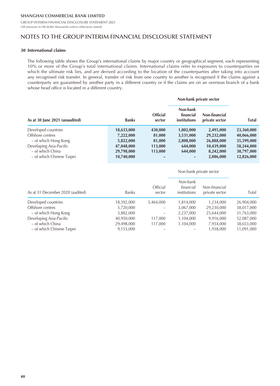GROUP INTERIM FINANCIAL DISCLOSURE STATEMENT 2021 (All amounts in HK dollar thousands unless otherwise stated)

### NOTES TO THE GROUP INTERIM FINANCIAL DISCLOSURE STATEMENT

#### **30 International claims**

The following table shows the Group's international claims by major country or geographical segment, each representing 10% or more of the Group's total international claims. International claims refer to exposures to counterparties on which the ultimate risk lies, and are derived according to the location of the counterparties after taking into account any recognised risk transfer. In general, transfer of risk from one country to another is recognised if the claims against a counterparty are guaranteed by another party in a different country or if the claims are on an overseas branch of a bank whose head office is located in a different country.

|                                |              |                           | Non-bank private sector                      |                                 |              |  |
|--------------------------------|--------------|---------------------------|----------------------------------------------|---------------------------------|--------------|--|
| As at 30 June 2021 (unaudited) | <b>Banks</b> | <b>Official</b><br>sector | Non-bank<br>financial<br><i>institutions</i> | Non-financial<br>private sector | <b>Total</b> |  |
| Developed countries            | 18,633,000   | 430,000                   | 1,802,000                                    | 2,495,000                       | 23,360,000   |  |
| Offshore centres               | 7,222,000    | 81,000                    | 3,531,000                                    | 29,232,000                      | 40,066,000   |  |
| - of which Hong Kong           | 5,822,000    | 81,000                    | 2,808,000                                    | 26,888,000                      | 35,599,000   |  |
| Developing Asia-Pacific        | 47,048,000   | 113,000                   | 644,000                                      | 10,439,000                      | 58,244,000   |  |
| – of which China               | 29,798,000   | 113,000                   | 644,000                                      | 8,242,000                       | 38,797,000   |  |
| – of which Chinese Taipei      | 10,740,000   |                           |                                              | 2,086,000                       | 12,826,000   |  |

|                                  |              |                    | Non-bank private sector               |                                 |            |
|----------------------------------|--------------|--------------------|---------------------------------------|---------------------------------|------------|
| As at 31 December 2020 (audited) | <b>Banks</b> | Official<br>sector | Non-bank<br>financial<br>institutions | Non-financial<br>private sector | Total      |
| Developed countries              | 18,392,000   | 5,464,000          | 1,814,000                             | 1,234,000                       | 26,904,000 |
| Offshore centres                 | 5,720,000    |                    | 3,067,000                             | 29,230,000                      | 38,017,000 |
| - of which Hong Kong             | 3,882,000    | -                  | 2,237,000                             | 25,644,000                      | 31,763,000 |
| Developing Asia-Pacific          | 40,950,000   | 117,000            | 1,104,000                             | 9,916,000                       | 52,087,000 |
| – of which China                 | 29,498,000   | 117,000            | 1,104,000                             | 7,934,000                       | 38,653,000 |
| - of which Chinese Taipei        | 9,153,000    |                    |                                       | 1,938,000                       | 11,091,000 |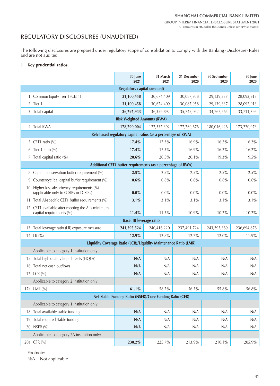# REGULATORY DISCLOSURES (UNAUDITED)

The following disclosures are prepared under regulatory scope of consolidation to comply with the Banking (Disclosure) Rules and are not audited.

#### **1 Key prudential ratios**

|                |                                                                                  | 30 June<br>2021                                                  | 31 March<br>2021 | 31 December<br>2020 | 30 September<br>2020 | 30 June<br>2020 |
|----------------|----------------------------------------------------------------------------------|------------------------------------------------------------------|------------------|---------------------|----------------------|-----------------|
|                |                                                                                  | Regulatory capital (amount)                                      |                  |                     |                      |                 |
| 1              | Common Equity Tier 1 (CET1)                                                      | 31,100,458                                                       | 30,674,409       | 30,087,958          | 29,139,337           | 28,092,913      |
| $\overline{2}$ | Tier 1                                                                           | 31,100,458                                                       | 30,674,409       | 30,087,958          | 29,139,337           | 28,092,913      |
| 3              | Total capital                                                                    | 36,797,943                                                       | 36,359,892       | 35,745,052          | 34,767,565           | 33,711,395      |
|                |                                                                                  | <b>Risk Weighted Amounts (RWA)</b>                               |                  |                     |                      |                 |
| $\overline{4}$ | <b>Total RWA</b>                                                                 | 178,790,004                                                      | 177,537,392      | 177,769,676         | 180,046,426          | 173,220,973     |
|                |                                                                                  | Risk-based regulatory capital ratios (as a percentage of RWA)    |                  |                     |                      |                 |
| 5              | CET1 ratio $(\% )$                                                               | 17.4%                                                            | 17.3%            | 16.9%               | 16.2%                | 16.2%           |
| 6              | Tier 1 ratio (%)                                                                 | 17.4%                                                            | 17.3%            | 16.9%               | 16.2%                | 16.2%           |
| 7              | Total capital ratio (%)                                                          | 20.6%                                                            | 20.5%            | 20.1%               | 19.3%                | 19.5%           |
|                |                                                                                  | Additional CET1 buffer requirements (as a percentage of RWA)     |                  |                     |                      |                 |
| 8              | Capital conservation buffer requirement (%)                                      | 2.5%                                                             | 2.5%             | 2.5%                | 2.5%                 | 2.5%            |
| 9              | Countercyclical capital buffer requirement (%)                                   | $0.6\%$                                                          | 0.6%             | 0.6%                | 0.6%                 | 0.6%            |
| 10             | Higher loss absorbency requirements (%)<br>(applicable only to G-SIBs or D-SIBs) | $0.0\%$                                                          | $0.0\%$          | $0.0\%$             | $0.0\%$              | $0.0\%$         |
| 11             | Total AI-specific CET1 buffer requirements (%)                                   | 3.1%                                                             | 3.1%             | 3.1%                | 3.1%                 | 3.1%            |
| 12             | CET1 available after meeting the AI's minimum<br>capital requirements (%)        | 11.4%                                                            | 11.3%            | 10.9%               | $10.2\%$             | 10.2%           |
|                |                                                                                  | <b>Basel III leverage ratio</b>                                  |                  |                     |                      |                 |
| 13             | Total leverage ratio (LR) exposure measure                                       | 241,395,524                                                      | 240,416,220      | 237,491,724         | 243,295,369          | 236,694,876     |
| 14             | LR $(%)$                                                                         | 12.9%                                                            | 12.8%            | 12.7%               | 12.0%                | 11.9%           |
|                |                                                                                  | Liquidity Coverage Ratio (LCR)/Liquidity Maintenance Ratio (LMR) |                  |                     |                      |                 |
|                | Applicable to category 1 institution only:                                       |                                                                  |                  |                     |                      |                 |
| 15             | Total high quality liquid assets (HQLA)                                          | N/A                                                              | N/A              | N/A                 | N/A                  | N/A             |
| 16             | Total net cash outflows                                                          | N/A                                                              | N/A              | N/A                 | N/A                  | N/A             |
| $17 \vert$     | LCR $(%)$                                                                        | N/A                                                              | N/A              | N/A                 | N/A                  | N/A             |
|                | Applicable to category 2 institution only:                                       |                                                                  |                  |                     |                      |                 |
|                | 17a   LMR (%)                                                                    | $61.1\%$                                                         | $58.7\%$         | $56.5\%$            | $55.8\%$             | $56.8\%$        |
|                |                                                                                  | Net Stable Funding Ratio (NSFR)/Core Funding Ratio (CFR)         |                  |                     |                      |                 |
|                | Applicable to category 1 institution only:                                       |                                                                  |                  |                     |                      |                 |
| 18             | Total available stable funding                                                   | N/A                                                              | N/A              | N/A                 | N/A                  | N/A             |
| 19             | Total required stable funding                                                    | N/A                                                              | N/A              | N/A                 | N/A                  | N/A             |
| 20             | NSFR (%)                                                                         | N/A                                                              | N/A              | N/A                 | N/A                  | N/A             |
|                | Applicable to category 2A institution only:                                      |                                                                  |                  |                     |                      |                 |
|                | 20a CFR (%)                                                                      | 230.2%                                                           | 225.7%           | 213.9%              | 210.1%               | 205.9%          |

Footnote:

N/A Not applicable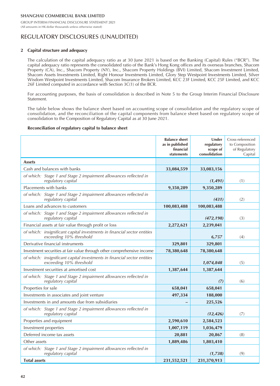# REGULATORY DISCLOSURES (UNAUDITED)

#### **2 Capital structure and adequacy**

The calculation of the capital adequacy ratio as at 30 June 2021 is based on the Banking (Capital) Rules ("BCR"). The capital adequacy ratio represents the consolidated ratio of the Bank's Hong Kong offices and its overseas branches, Shacom Property (CA), Inc., Shacom Property (NY), Inc., Shacom Property Holdings (BVI) Limited, Shacom Investment Limited, Shacom Assets Investments Limited, Right Honour Investments Limited, Glory Step Westpoint Investments Limited, Silver Wisdom Westpoint Investments Limited, Shacom Insurance Brokers Limited, KCC 23F Limited, KCC 25F Limited, and KCC 26F Limited computed in accordance with Section 3C(1) of the BCR.

For accounting purposes, the basis of consolidation is described in Note 5 to the Group Interim Financial Disclosure Statement.

The table below shows the balance sheet based on accounting scope of consolidation and the regulatory scope of consolidation, and the reconciliation of the capital components from balance sheet based on regulatory scope of consolidation to the Composition of Regulatory Capital as at 30 June 2021.

#### **Reconciliation of regulatory capital to balance sheet**

|                                                                                                     | <b>Balance sheet</b><br>as in published<br>financial<br>statements | Under<br>regulatory<br>scope of<br>consolidation | Cross-referenced<br>to Composition<br>of Regulatory<br>Capital |
|-----------------------------------------------------------------------------------------------------|--------------------------------------------------------------------|--------------------------------------------------|----------------------------------------------------------------|
| <b>Assets</b>                                                                                       |                                                                    |                                                  |                                                                |
| Cash and balances with banks                                                                        | 33,084,559                                                         | 33,083,156                                       |                                                                |
| of which: Stage 1 and Stage 2 impairment allowances reflected in<br>regulatory capital              |                                                                    | (1, 491)                                         | (1)                                                            |
| Placements with banks                                                                               | 9,350,289                                                          | 9,350,289                                        |                                                                |
| of which: Stage 1 and Stage 2 impairment allowances reflected in<br>regulatory capital              |                                                                    | (431)                                            | (2)                                                            |
| Loans and advances to customers                                                                     | 100,083,488                                                        | 100,083,488                                      |                                                                |
| of which: Stage 1 and Stage 2 impairment allowances reflected in<br>regulatory capital              |                                                                    | (472, 198)                                       | (3)                                                            |
| Financial assets at fair value through profit or loss                                               | 2,272,621                                                          | 2,239,041                                        |                                                                |
| of which: insignificant capital investments in financial sector entities<br>exceeding 10% threshold |                                                                    | 6,757                                            | (4)                                                            |
| Derivative financial instruments                                                                    | 329,801                                                            | 329,801                                          |                                                                |
| Investment securities at fair value through other comprehensive income                              | 78,380,648                                                         | 78,380,648                                       |                                                                |
| of which: insignificant capital investments in financial sector entities<br>exceeding 10% threshold |                                                                    | 1,074,848                                        | (5)                                                            |
| Investment securities at amortised cost                                                             | 1,387,644                                                          | 1,387,644                                        |                                                                |
| of which: Stage 1 and Stage 2 impairment allowances reflected in<br>regulatory capital              |                                                                    | (7)                                              | (6)                                                            |
| Properties for sale                                                                                 | 658,041                                                            | 658,041                                          |                                                                |
| Investments in associates and joint venture                                                         | 497,334                                                            | 188,000                                          |                                                                |
| Investments in and amounts due from subsidiaries                                                    |                                                                    | 225,526                                          |                                                                |
| of which: Stage 1 and Stage 2 impairment allowances reflected in<br>regulatory capital              |                                                                    | (12, 426)                                        | (7)                                                            |
| Properties and equipment                                                                            | 2,590,610                                                          | 2,584,523                                        |                                                                |
| Investment properties                                                                               | 1,007,119                                                          | 1,036,479                                        |                                                                |
| Deferred income tax assets                                                                          | 20,881                                                             | 20,867                                           | (8)                                                            |
| Other assets                                                                                        | 1,889,486                                                          | 1,803,410                                        |                                                                |
| of which: Stage 1 and Stage 2 impairment allowances reflected in<br>regulatory capital              |                                                                    | (1,738)                                          | (9)                                                            |
| <b>Total assets</b>                                                                                 | 231,552,521                                                        | 231,370,913                                      |                                                                |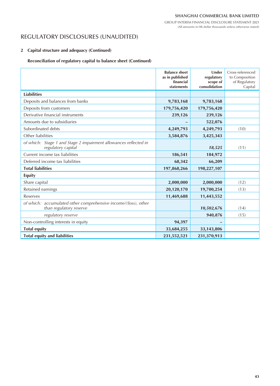(All amounts in HK dollar thousands unless otherwise stated)

# REGULATORY DISCLOSURES (UNAUDITED)

### **2 Capital structure and adequacy (Continued)**

### **Reconciliation of regulatory capital to balance sheet (Continued)**

|                                                                                           | <b>Balance sheet</b><br>as in published<br>financial<br>statements | Under<br>regulatory<br>scope of<br>consolidation | Cross-referenced<br>to Composition<br>of Regulatory<br>Capital |
|-------------------------------------------------------------------------------------------|--------------------------------------------------------------------|--------------------------------------------------|----------------------------------------------------------------|
| <b>Liabilities</b>                                                                        |                                                                    |                                                  |                                                                |
| Deposits and balances from banks                                                          | 9,783,168                                                          | 9,783,168                                        |                                                                |
| Deposits from customers                                                                   | 179,756,420                                                        | 179,756,420                                      |                                                                |
| Derivative financial instruments                                                          | 239,126                                                            | 239,126                                          |                                                                |
| Amounts due to subsidiaries                                                               |                                                                    | 522,076                                          |                                                                |
| Subordinated debts                                                                        | 4,249,793                                                          | 4,249,793                                        | (10)                                                           |
| Other liabilities                                                                         | 3,584,876                                                          | 3,425,343                                        |                                                                |
| of which: Stage 1 and Stage 2 impairment allowances reflected in<br>regulatory capital    |                                                                    | 18,525                                           | (11)                                                           |
| Current income tax liabilities                                                            | 186,541                                                            | 184,972                                          |                                                                |
| Deferred income tax liabilities                                                           | 68,342                                                             | 66,209                                           |                                                                |
| <b>Total liabilities</b>                                                                  | 197,868,266                                                        | 198,227,107                                      |                                                                |
| <b>Equity</b>                                                                             |                                                                    |                                                  |                                                                |
| Share capital                                                                             | 2,000,000                                                          | 2,000,000                                        | (12)                                                           |
| Retained earnings                                                                         | 20,120,170                                                         | 19,700,254                                       | (13)                                                           |
| <b>Reserves</b>                                                                           | 11,469,688                                                         | 11,443,552                                       |                                                                |
| of which: accumulated other comprehensive income/(loss), other<br>than regulatory reserve |                                                                    | 10,502,676                                       | (14)                                                           |
| regulatory reserve                                                                        |                                                                    | 940,876                                          | (15)                                                           |
| Non-controlling interests in equity                                                       | 94,397                                                             |                                                  |                                                                |
| <b>Total equity</b>                                                                       | 33,684,255                                                         | 33,143,806                                       |                                                                |
| <b>Total equity and liabilities</b>                                                       | 231,552,521                                                        | 231,370,913                                      |                                                                |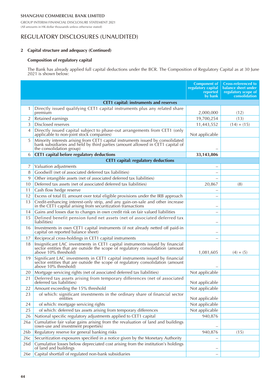GROUP INTERIM FINANCIAL DISCLOSURE STATEMENT 2021 (All amounts in HK dollar thousands unless otherwise stated)

### REGULATORY DISCLOSURES (UNAUDITED)

#### **2 Capital structure and adequacy (Continued)**

### **Composition of regulatory capital**

The Bank has already applied full capital deductions under the BCR. The Composition of Regulatory Capital as at 30 June 2021 is shown below:

|                 |                                                                                                                                                                                               | <b>Component of</b><br>regulatory capital<br>reported<br>by bank | <b>Cross-referenced to</b><br>balance sheet under<br>regulatory scope of<br>consolidation |
|-----------------|-----------------------------------------------------------------------------------------------------------------------------------------------------------------------------------------------|------------------------------------------------------------------|-------------------------------------------------------------------------------------------|
|                 | <b>CET1</b> capital: instruments and reserves                                                                                                                                                 |                                                                  |                                                                                           |
| 1               | Directly issued qualifying CET1 capital instruments plus any related share<br>premium                                                                                                         | 2,000,000                                                        | (12)                                                                                      |
| 2               | Retained earnings                                                                                                                                                                             | 19,700,254                                                       | (13)                                                                                      |
| 3               | Disclosed reserves                                                                                                                                                                            | 11,443,552                                                       | $(14) + (15)$                                                                             |
| 4               | Directly issued capital subject to phase-out arrangements from CET1 (only<br>applicable to non-joint stock companies)                                                                         | Not applicable                                                   |                                                                                           |
| 5               | Minority interests arising from CET1 capital instruments issued by consolidated<br>bank subsidiaries and held by third parties (amount allowed in CET1 capital of<br>the consolidation group) |                                                                  |                                                                                           |
| 6               | CET1 capital before regulatory deductions                                                                                                                                                     | 33, 143, 806                                                     |                                                                                           |
|                 | <b>CET1</b> capital: regulatory deductions                                                                                                                                                    |                                                                  |                                                                                           |
| 7               | Valuation adjustments                                                                                                                                                                         |                                                                  |                                                                                           |
| 8               | Goodwill (net of associated deferred tax liabilities)                                                                                                                                         |                                                                  |                                                                                           |
| 9               | Other intangible assets (net of associated deferred tax liabilities)                                                                                                                          |                                                                  |                                                                                           |
| 10              | Deferred tax assets (net of associated deferred tax liabilities)                                                                                                                              | 20,867                                                           | (8)                                                                                       |
| 11              | Cash flow hedge reserve                                                                                                                                                                       |                                                                  |                                                                                           |
| 12              | Excess of total EL amount over total eligible provisions under the IRB approach                                                                                                               |                                                                  |                                                                                           |
| 13              | Credit-enhancing interest-only strip, and any gain-on-sale and other increase<br>in the CET1 capital arising from securitization transactions                                                 |                                                                  |                                                                                           |
| 14              | Gains and losses due to changes in own credit risk on fair valued liabilities                                                                                                                 | —                                                                |                                                                                           |
| 15              | Defined benefit pension fund net assets (net of associated deferred tax<br>liabilities)                                                                                                       |                                                                  |                                                                                           |
| 16              | Investments in own CET1 capital instruments (if not already netted off paid-in<br>capital on reported balance sheet)                                                                          |                                                                  |                                                                                           |
| 17              | Reciprocal cross-holdings in CET1 capital instruments                                                                                                                                         |                                                                  |                                                                                           |
| 18              | Insignificant LAC investments in CET1 capital instruments issued by financial<br>sector entities that are outside the scope of regulatory consolidation (amount<br>above 10% threshold)       | 1,081,605                                                        | $(4) + (5)$                                                                               |
| 19              | Significant LAC investments in CET1 capital instruments issued by financial<br>sector entities that are outside the scope of regulatory consolidation (amount<br>above 10% threshold)         |                                                                  |                                                                                           |
| 20              | Mortgage servicing rights (net of associated deferred tax liabilities)                                                                                                                        | Not applicable                                                   |                                                                                           |
| 21              | Deferred tax assets arising from temporary differences (net of associated<br>deferred tax liabilities)                                                                                        | Not applicable                                                   |                                                                                           |
| 22              | Amount exceeding the 15% threshold                                                                                                                                                            | Not applicable                                                   |                                                                                           |
| 23              | of which: significant investments in the ordinary share of financial sector<br>entities                                                                                                       | Not applicable                                                   |                                                                                           |
| 24              | of which: mortgage servicing rights                                                                                                                                                           | Not applicable                                                   |                                                                                           |
| 25              | of which: deferred tax assets arising from temporary differences                                                                                                                              | Not applicable                                                   |                                                                                           |
| 26              | National specific regulatory adjustments applied to CET1 capital                                                                                                                              | 940,876                                                          |                                                                                           |
| 26a             | Cumulative fair value gains arising from the revaluation of land and buildings<br>(own-use and investment properties)                                                                         |                                                                  |                                                                                           |
| 26 <sub>b</sub> | Regulatory reserve for general banking risks                                                                                                                                                  | 940,876                                                          | (15)                                                                                      |
| 26c             | Securitization exposures specified in a notice given by the Monetary Authority                                                                                                                |                                                                  |                                                                                           |
| 26d             | Cumulative losses below depreciated cost arising from the institution's holdings<br>of land and buildings                                                                                     |                                                                  |                                                                                           |
| 26e             | Capital shortfall of regulated non-bank subsidiaries                                                                                                                                          |                                                                  |                                                                                           |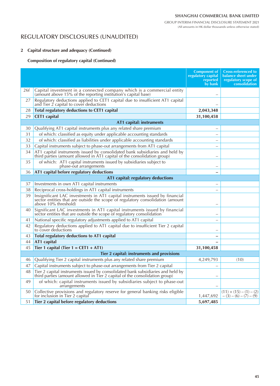# REGULATORY DISCLOSURES (UNAUDITED)

### **2 Capital structure and adequacy (Continued)**

### **Composition of regulatory capital (Continued)**

|     |                                                                                                                                                                                        | <b>Component of</b><br>regulatory capital<br>reported<br>by bank | <b>Cross-referenced to</b><br>balance sheet under<br>regulatory scope of<br>consolidation |
|-----|----------------------------------------------------------------------------------------------------------------------------------------------------------------------------------------|------------------------------------------------------------------|-------------------------------------------------------------------------------------------|
| 26f | Capital investment in a connected company which is a commercial entity<br>(amount above 15% of the reporting institution's capital base)                                               |                                                                  |                                                                                           |
| 27  | Regulatory deductions applied to CET1 capital due to insufficient AT1 capital<br>and Tier $\acute{2}$ capital to cover deductions                                                      |                                                                  |                                                                                           |
| 28  | Total regulatory deductions to CET1 capital                                                                                                                                            | 2,043,348                                                        |                                                                                           |
| 29  | <b>CET1</b> capital                                                                                                                                                                    | 31,100,458                                                       |                                                                                           |
|     | AT1 capital: instruments                                                                                                                                                               |                                                                  |                                                                                           |
| 30  | Qualifying AT1 capital instruments plus any related share premium                                                                                                                      |                                                                  |                                                                                           |
| 31  | of which: classified as equity under applicable accounting standards                                                                                                                   |                                                                  |                                                                                           |
| 32  | of which: classified as liabilities under applicable accounting standards                                                                                                              |                                                                  |                                                                                           |
| 33  | Capital instruments subject to phase-out arrangements from AT1 capital                                                                                                                 |                                                                  |                                                                                           |
| 34  | AT1 capital instruments issued by consolidated bank subsidiaries and held by<br>third parties (amount allowed in AT1 capital of the consolidation group)                               |                                                                  |                                                                                           |
| 35  | of which: AT1 capital instruments issued by subsidiaries subject to<br>phase-out arrangements                                                                                          |                                                                  |                                                                                           |
| 36  | AT1 capital before regulatory deductions                                                                                                                                               |                                                                  |                                                                                           |
|     | AT1 capital: regulatory deductions                                                                                                                                                     |                                                                  |                                                                                           |
| 37  | Investments in own AT1 capital instruments                                                                                                                                             |                                                                  |                                                                                           |
| 38  | Reciprocal cross-holdings in AT1 capital instruments                                                                                                                                   |                                                                  |                                                                                           |
| 39  | Insignificant LAC investments in AT1 capital instruments issued by financial<br>sector entities that are outside the scope of regulatory consolidation (amount<br>above 10% threshold) |                                                                  |                                                                                           |
| 40  | Significant LAC investments in AT1 capital instruments issued by financial sector entities that are outside the scope of regulatory consolidation                                      |                                                                  |                                                                                           |
| 41  | National specific regulatory adjustments applied to AT1 capital                                                                                                                        |                                                                  |                                                                                           |
| 42  | Regulatory deductions applied to AT1 capital due to insufficient Tier 2 capital<br>to cover deductions                                                                                 |                                                                  |                                                                                           |
| 43  | Total regulatory deductions to AT1 capital                                                                                                                                             |                                                                  |                                                                                           |
| 44  | AT1 capital                                                                                                                                                                            |                                                                  |                                                                                           |
| 45  | Tier 1 capital (Tier $1 = CET1 + AT1$ )                                                                                                                                                | 31,100,458                                                       |                                                                                           |
|     | Tier 2 capital: instruments and provisions                                                                                                                                             |                                                                  |                                                                                           |
| 46  | Qualifying Tier 2 capital instruments plus any related share premium                                                                                                                   | 4,249,793                                                        | (10)                                                                                      |
| 47  | Capital instruments subject to phase-out arrangements from Tier 2 capital                                                                                                              |                                                                  |                                                                                           |
| 48  | Tier 2 capital instruments issued by consolidated bank subsidiaries and held by<br>third parties (amount allowed in Tier 2 capital of the consolidation group)                         |                                                                  |                                                                                           |
| 49  | of which: capital instruments issued by subsidiaries subject to phase-out<br>arrangements                                                                                              |                                                                  |                                                                                           |
| 50  | Collective provisions and regulatory reserve for general banking risks eligible<br>for inclusion in Tier 2 capital                                                                     | 1,447,692                                                        | $(11) + (15) - (1) - (2)$<br>$-(3)-(6)-(7)-(9)$                                           |
| 51  | Tier 2 capital before regulatory deductions                                                                                                                                            | 5,697,485                                                        |                                                                                           |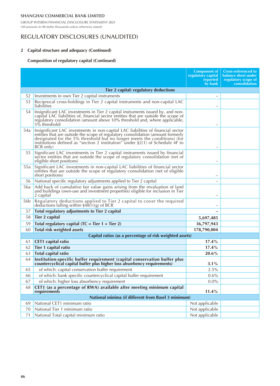GROUP INTERIM FINANCIAL DISCLOSURE STATEMENT 2021 (All amounts in HK dollar thousands unless otherwise stated)

### REGULATORY DISCLOSURES (UNAUDITED)

### **2 Capital structure and adequacy (Continued)**

### **Composition of regulatory capital (Continued)**

|                 |                                                                                                                                                                                                                                                                                                                                                   | <b>Component of</b><br>regulatory capital<br>reported<br>by bank | <b>Cross-referenced to</b><br>balance sheet under<br>regulatory scope of<br>consolidation |
|-----------------|---------------------------------------------------------------------------------------------------------------------------------------------------------------------------------------------------------------------------------------------------------------------------------------------------------------------------------------------------|------------------------------------------------------------------|-------------------------------------------------------------------------------------------|
|                 | <b>Tier 2 capital: regulatory deductions</b>                                                                                                                                                                                                                                                                                                      |                                                                  |                                                                                           |
| 52              | Investments in own Tier 2 capital instruments                                                                                                                                                                                                                                                                                                     |                                                                  |                                                                                           |
| 53              | Reciprocal cross-holdings in Tier 2 capital instruments and non-capital LAC<br>liabilities                                                                                                                                                                                                                                                        |                                                                  |                                                                                           |
| 54              | Insignificant LAC investments in Tier 2 capital instruments issued by, and non-<br>capital LAC liabilities of, financial sector entities that are outside the scope of<br>regulatory consolidation (amount above 10% threshold and, where applicable,<br>5% threshold)                                                                            |                                                                  |                                                                                           |
| 54a             | Insignificant LAC investments in non-capital LAC liabilities of financial sector<br>entities that are outside the scope of regulatory consolidation (amount formerly<br>designated for the 5% threshold but no longer meets the conditions) (for<br>institutions defined as "section 2 institution" under $\S2(1)$ of Schedule 4F to<br>BCR only) |                                                                  |                                                                                           |
| 55              | Significant LAC investments in Tier 2 capital instruments issued by financial<br>sector entities that are outside the scope of regulatory consolidation (net of<br>eligible short positions)                                                                                                                                                      |                                                                  |                                                                                           |
| 55a             | Significant LAC investments in non-capital LAC liabilities of financial sector<br>entities that are outside the scope of regulatory consolidation (net of eligible<br>short positions)                                                                                                                                                            |                                                                  |                                                                                           |
| 56              | National specific regulatory adjustments applied to Tier 2 capital                                                                                                                                                                                                                                                                                |                                                                  |                                                                                           |
| 56a             | Add back of cumulative fair value gains arising from the revaluation of land<br>and buildings (own-use and investment properties) eligible for inclusion in Tier<br>2 capital                                                                                                                                                                     |                                                                  |                                                                                           |
| 56 <sub>b</sub> | Regulatory deductions applied to Tier 2 capital to cover the required<br>deductions falling within $\S$ 48(1)(g) of BCR                                                                                                                                                                                                                           |                                                                  |                                                                                           |
| 57              | Total regulatory adjustments to Tier 2 capital                                                                                                                                                                                                                                                                                                    |                                                                  |                                                                                           |
| 58              | Tier 2 capital                                                                                                                                                                                                                                                                                                                                    | 5,697,485                                                        |                                                                                           |
| 59              | Total regulatory capital ( $TC = Tier 1 + Tier 2$ )                                                                                                                                                                                                                                                                                               | 36,797,943                                                       |                                                                                           |
| 60              | <b>Total risk weighted assets</b>                                                                                                                                                                                                                                                                                                                 | 178,790,004                                                      |                                                                                           |
|                 | Capital ratios (as a percentage of risk weighted assets)                                                                                                                                                                                                                                                                                          |                                                                  |                                                                                           |
| 61              | CET1 capital ratio                                                                                                                                                                                                                                                                                                                                | $17.4\%$                                                         |                                                                                           |
| 62              | Tier 1 capital ratio                                                                                                                                                                                                                                                                                                                              | 17.4%                                                            |                                                                                           |
| 63              | Total capital ratio                                                                                                                                                                                                                                                                                                                               | $20.6\%$                                                         |                                                                                           |
| 64              | Institution-specific buffer requirement (capital conservation buffer plus<br>countercyclical capital buffer plus higher loss absorbency requirements)                                                                                                                                                                                             | $3.1\%$                                                          |                                                                                           |
| 65              | of which: capital conservation buffer requirement                                                                                                                                                                                                                                                                                                 | 2.5%                                                             |                                                                                           |
| 66              | of which: bank specific countercyclical capital buffer requirement                                                                                                                                                                                                                                                                                | $0.6\%$                                                          |                                                                                           |
| 67              | of which: higher loss absorbency requirement                                                                                                                                                                                                                                                                                                      | $0.0\%$                                                          |                                                                                           |
| 68              | CET1 (as a percentage of RWA) available after meeting minimum capital<br>requirements                                                                                                                                                                                                                                                             | 11.4%                                                            |                                                                                           |
|                 | National minima (if different from Basel 3 minimum)                                                                                                                                                                                                                                                                                               |                                                                  |                                                                                           |
| 69              | National CET1 minimum ratio                                                                                                                                                                                                                                                                                                                       | Not applicable                                                   |                                                                                           |
| 70              | National Tier 1 minimum ratio                                                                                                                                                                                                                                                                                                                     | Not applicable                                                   |                                                                                           |
| 71              | National Total capital minimum ratio                                                                                                                                                                                                                                                                                                              | Not applicable                                                   |                                                                                           |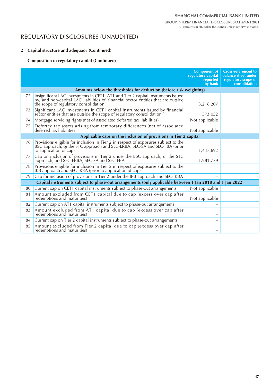# REGULATORY DISCLOSURES (UNAUDITED)

### **2 Capital structure and adequacy (Continued)**

### **Composition of regulatory capital (Continued)**

|    |                                                                                                                                                                                                                 | <b>Component of</b><br>regulatory capital<br>reported<br>by bank | <b>Cross-referenced to</b><br>balance sheet under<br>regulatory scope of<br><b>consolidation</b> |
|----|-----------------------------------------------------------------------------------------------------------------------------------------------------------------------------------------------------------------|------------------------------------------------------------------|--------------------------------------------------------------------------------------------------|
|    | Amounts below the thresholds for deduction (before risk weighting)                                                                                                                                              |                                                                  |                                                                                                  |
| 72 | Insignificant LAC investments in CET1, AT1 and Tier 2 capital instruments issued<br>by, and non-capital LAC liabilities of, financial sector entities that are outside<br>the scope of regulatory consolidation | 3,218,207                                                        |                                                                                                  |
| 73 | Significant LAC investments in CET1 capital instruments issued by financial sector entities that are outside the scope of regulatory consolidation                                                              | 573,052                                                          |                                                                                                  |
| 74 | Mortgage servicing rights (net of associated deferred tax liabilities)                                                                                                                                          | Not applicable                                                   |                                                                                                  |
| 75 | Deferred tax assets arising from temporary differences (net of associated<br>deferred tax liabilities)                                                                                                          | Not applicable                                                   |                                                                                                  |
|    | Applicable caps on the inclusion of provisions in Tier 2 capital                                                                                                                                                |                                                                  |                                                                                                  |
| 76 | Provisions eligible for inclusion in Tier 2 in respect of exposures subject to the BSC approach, or the STC approach and SEC-ERBA, SEC-SA and SEC-FBA (prior<br>to application of cap)                          | 1,447,692                                                        |                                                                                                  |
| 77 | Cap on inclusion of provisions in Tier 2 under the BSC approach, or the STC approach, and SEC-ERBA, SEC-SA and SEC-FBA                                                                                          | 1,981,779                                                        |                                                                                                  |
| 78 | Provisions eligible for inclusion in Tier 2 in respect of exposures subject to the<br>IRB approach and SEC-IRBA (prior to application of cap)                                                                   |                                                                  |                                                                                                  |
| 79 | Cap for inclusion of provisions in Tier 2 under the IRB approach and SEC-IRBA                                                                                                                                   |                                                                  |                                                                                                  |
|    | Capital instruments subject to phase-out arrangements (only applicable between 1 Jan 2018 and 1 Jan 2022)                                                                                                       |                                                                  |                                                                                                  |
| 80 | Current cap on CET1 capital instruments subject to phase-out arrangements                                                                                                                                       | Not applicable                                                   |                                                                                                  |
| 81 | Amount excluded from CET1 capital due to cap (excess over cap after<br>redemptions and maturities)                                                                                                              | Not applicable                                                   |                                                                                                  |
| 82 | Current cap on AT1 capital instruments subject to phase-out arrangements                                                                                                                                        |                                                                  |                                                                                                  |
| 83 | Amount excluded from AT1 capital due to cap (excess over cap after<br>redemptions and maturities)                                                                                                               |                                                                  |                                                                                                  |
| 84 | Current cap on Tier 2 capital instruments subject to phase-out arrangements                                                                                                                                     | —                                                                |                                                                                                  |
| 85 | Amount excluded from Tier 2 capital due to cap (excess over cap after<br>redemptions and maturities)                                                                                                            | $\overline{\phantom{0}}$                                         |                                                                                                  |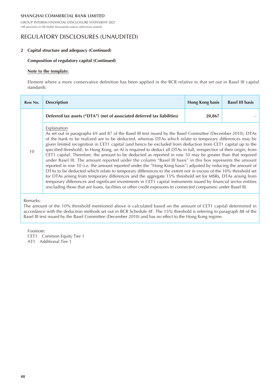GROUP INTERIM FINANCIAL DISCLOSURE STATEMENT 2021 (All amounts in HK dollar thousands unless otherwise stated)

### REGULATORY DISCLOSURES (UNAUDITED)

#### **2 Capital structure and adequacy (Continued)**

#### **Composition of regulatory capital (Continued)**

#### **Note to the template:**

Element where a more conservative definition has been applied in the BCR relative to that set out in Basel III capital standards:

| Row No. | <b>Description</b>                                                                                                                                                                                                                                                                                                                                                                                                                                                                                                                                                                                                                                                                                                                                                                                                                                                                                                                                                                                                                                                                                                                                                              | <b>Hong Kong basis</b> | <b>Basel III basis</b> |
|---------|---------------------------------------------------------------------------------------------------------------------------------------------------------------------------------------------------------------------------------------------------------------------------------------------------------------------------------------------------------------------------------------------------------------------------------------------------------------------------------------------------------------------------------------------------------------------------------------------------------------------------------------------------------------------------------------------------------------------------------------------------------------------------------------------------------------------------------------------------------------------------------------------------------------------------------------------------------------------------------------------------------------------------------------------------------------------------------------------------------------------------------------------------------------------------------|------------------------|------------------------|
|         | Deferred tax assets ("DTA") (net of associated deferred tax liabilities)                                                                                                                                                                                                                                                                                                                                                                                                                                                                                                                                                                                                                                                                                                                                                                                                                                                                                                                                                                                                                                                                                                        | 20,867                 |                        |
| 10      | Explanation<br>As set out in paragraphs 69 and 87 of the Basel III text issued by the Basel Committee (December 2010), DTAs<br>of the bank to be realized are to be deducted, whereas DTAs which relate to temporary differences may be<br>given limited recognition in CET1 capital (and hence be excluded from deduction from CET1 capital up to the<br>specified threshold). In Hong Kong, an AI is required to deduct all DTAs in full, irrespective of their origin, from<br>CET1 capital. Therefore, the amount to be deducted as reported in row 10 may be greater than that required<br>under Basel III. The amount reported under the column "Basel III basis" in this box represents the amount<br>reported in row 10 (i.e. the amount reported under the "Hong Kong basis") adjusted by reducing the amount of<br>DTAs to be deducted which relate to temporary differences to the extent not in excess of the 10% threshold set<br>for DTAs arising from temporary differences and the aggregate 15% threshold set for MSRs, DTAs arising from<br>temporary differences and significant investments in CET1 capital instruments issued by financial sector entities |                        |                        |

(excluding those that are loans, facilities or other credit exposures to connected companies) under Basel III.

Remarks:

The amount of the 10% threshold mentioned above is calculated based on the amount of CET1 capital determined in accordance with the deduction methods set out in BCR Schedule 4F. The 15% threshold is referring to paragraph 88 of the Basel III text issued by the Basel Committee (December 2010) and has no effect to the Hong Kong regime.

Footnote:

CET1 Common Equity Tier 1

AT1 Additional Tier 1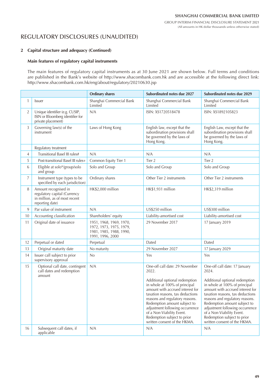# REGULATORY DISCLOSURES (UNAUDITED)

### **2 Capital structure and adequacy (Continued)**

### **Main features of regulatory capital instruments**

The main features of regulatory capital instruments as at 30 June 2021 are shown below. Full terms and conditions are published in the Bank's website of http://www.shacombank.com.hk and are accessible at the following direct link: http://www.shacombank.com.hk/eng/about/regulatory/20210630.jsp

|                |                                                                                                          | <b>Ordinary shares</b>                                                                            | Subordinated notes due 2027                                                                                                                                                                                                                                                                                                                                                          | Subordinated notes due 2029                                                                                                                                                                                                                                                                                                                                                         |
|----------------|----------------------------------------------------------------------------------------------------------|---------------------------------------------------------------------------------------------------|--------------------------------------------------------------------------------------------------------------------------------------------------------------------------------------------------------------------------------------------------------------------------------------------------------------------------------------------------------------------------------------|-------------------------------------------------------------------------------------------------------------------------------------------------------------------------------------------------------------------------------------------------------------------------------------------------------------------------------------------------------------------------------------|
| $\mathbf{1}$   | Issuer                                                                                                   | Shanghai Commercial Bank<br>Limited                                                               | Shanghai Commercial Bank<br>Limited                                                                                                                                                                                                                                                                                                                                                  | Shanghai Commercial Bank<br>Limited                                                                                                                                                                                                                                                                                                                                                 |
| $\overline{2}$ | Unique identifier (e.g. CUSIP,<br>ISIN or Bloomberg identifier for<br>private placement)                 | N/A                                                                                               | ISIN: XS1720518478                                                                                                                                                                                                                                                                                                                                                                   | ISIN: XS1892105823                                                                                                                                                                                                                                                                                                                                                                  |
| 3              | Governing law(s) of the<br>instrument                                                                    | Laws of Hong Kong                                                                                 | English law, except that the<br>subordination provisions shall<br>be governed by the laws of<br>Hong Kong.                                                                                                                                                                                                                                                                           | English Law, except that the<br>subordination provisions shall<br>be governed by the laws of<br>Hong Kong.                                                                                                                                                                                                                                                                          |
|                | Regulatory treatment                                                                                     |                                                                                                   |                                                                                                                                                                                                                                                                                                                                                                                      |                                                                                                                                                                                                                                                                                                                                                                                     |
| 4              | Transitional Basel III rules#                                                                            | N/A                                                                                               | N/A                                                                                                                                                                                                                                                                                                                                                                                  | N/A                                                                                                                                                                                                                                                                                                                                                                                 |
| 5              | Post-transitional Basel III rules+                                                                       | Common Equity Tier 1                                                                              | Tier 2                                                                                                                                                                                                                                                                                                                                                                               | Tier 2                                                                                                                                                                                                                                                                                                                                                                              |
| 6              | Eligible at solo*/group/solo<br>and group                                                                | Solo and Group                                                                                    | Solo and Group                                                                                                                                                                                                                                                                                                                                                                       | Solo and Group                                                                                                                                                                                                                                                                                                                                                                      |
| $\overline{7}$ | Instrument type (types to be<br>specified by each jurisdiction)                                          | Ordinary shares                                                                                   | Other Tier 2 instruments                                                                                                                                                                                                                                                                                                                                                             | Other Tier 2 instruments                                                                                                                                                                                                                                                                                                                                                            |
| 8              | Amount recognised in<br>regulatory capital (Currency<br>in million, as of most recent<br>reporting date) | HK\$2,000 million                                                                                 | HK\$1,931 million                                                                                                                                                                                                                                                                                                                                                                    | HK\$2,319 million                                                                                                                                                                                                                                                                                                                                                                   |
| 9              | Par value of instrument                                                                                  | N/A                                                                                               | US\$250 million                                                                                                                                                                                                                                                                                                                                                                      | US\$300 million                                                                                                                                                                                                                                                                                                                                                                     |
| 10             | Accounting classification                                                                                | Shareholders' equity                                                                              | Liability-amortised cost                                                                                                                                                                                                                                                                                                                                                             | Liability-amortised cost                                                                                                                                                                                                                                                                                                                                                            |
| 11             | Original date of issuance                                                                                | 1951, 1968, 1969, 1970,<br>1972, 1973, 1975, 1979,<br>1981, 1985, 1988, 1990,<br>1991, 1996, 2000 | 29 November 2017                                                                                                                                                                                                                                                                                                                                                                     | 17 January 2019                                                                                                                                                                                                                                                                                                                                                                     |
| 12             | Perpetual or dated                                                                                       | Perpetual                                                                                         | Dated                                                                                                                                                                                                                                                                                                                                                                                | Dated                                                                                                                                                                                                                                                                                                                                                                               |
| 13             | Original maturity date                                                                                   | No maturity                                                                                       | 29 November 2027                                                                                                                                                                                                                                                                                                                                                                     | 17 January 2029                                                                                                                                                                                                                                                                                                                                                                     |
| 14             | Issuer call subject to prior<br>supervisory approval                                                     | No                                                                                                | Yes                                                                                                                                                                                                                                                                                                                                                                                  | Yes                                                                                                                                                                                                                                                                                                                                                                                 |
| 15             | Optional call date, contingent<br>call dates and redemption<br>amount                                    | N/A                                                                                               | One-off call date: 29 November<br>2022.<br>Additional optional redemption<br>in whole at 100% of principal<br>amount with accrued interest for<br>taxation reasons, tax deductions<br>reasons and regulatory reasons.<br>Redemption amount subject to<br>adjustment following occurrence<br>of a Non-Viability Event.<br>Redemption subject to prior<br>written consent of the HKMA. | One-off call date: 17 January<br>2024.<br>Additional optional redemption<br>in whole at 100% of principal<br>amount with accrued interest for<br>taxation reasons, tax deductions<br>reasons and regulatory reasons.<br>Redemption amount subject to<br>adjustment following occurrence<br>of a Non-Viability Event.<br>Redemption subject to prior<br>written consent of the HKMA. |
| 16             | Subsequent call dates, if<br>applicable                                                                  | N/A                                                                                               | N/A                                                                                                                                                                                                                                                                                                                                                                                  | N/A                                                                                                                                                                                                                                                                                                                                                                                 |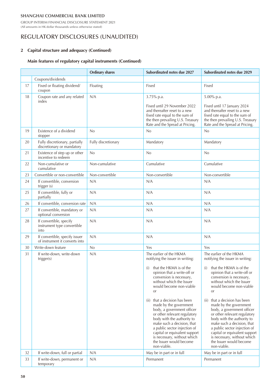GROUP INTERIM FINANCIAL DISCLOSURE STATEMENT 2021 (All amounts in HK dollar thousands unless otherwise stated)

# REGULATORY DISCLOSURES (UNAUDITED)

### **2 Capital structure and adequacy (Continued)**

### **Main features of regulatory capital instruments (Continued)**

|    |                                                                  | <b>Ordinary shares</b> | Subordinated notes due 2027                                                                                                                                                                                                                                                                                                                                                                                                                                                                                                                                   | Subordinated notes due 2029                                                                                                                                                                                                                                                                                                                                                                                                                                                                                                                                    |
|----|------------------------------------------------------------------|------------------------|---------------------------------------------------------------------------------------------------------------------------------------------------------------------------------------------------------------------------------------------------------------------------------------------------------------------------------------------------------------------------------------------------------------------------------------------------------------------------------------------------------------------------------------------------------------|----------------------------------------------------------------------------------------------------------------------------------------------------------------------------------------------------------------------------------------------------------------------------------------------------------------------------------------------------------------------------------------------------------------------------------------------------------------------------------------------------------------------------------------------------------------|
|    | Coupons/dividends                                                |                        |                                                                                                                                                                                                                                                                                                                                                                                                                                                                                                                                                               |                                                                                                                                                                                                                                                                                                                                                                                                                                                                                                                                                                |
| 17 | Fixed or floating dividend/<br>coupon                            | Floating               | Fixed                                                                                                                                                                                                                                                                                                                                                                                                                                                                                                                                                         | Fixed                                                                                                                                                                                                                                                                                                                                                                                                                                                                                                                                                          |
| 18 | Coupon rate and any related<br>index                             | N/A                    | 3.75% p.a.<br>Fixed until 29 November 2022<br>and thereafter reset to a new<br>fixed rate equal to the sum of<br>the then prevailing U.S. Treasury                                                                                                                                                                                                                                                                                                                                                                                                            | 5.00% p.a.<br>Fixed until 17 January 2024<br>and thereafter reset to a new<br>fixed rate equal to the sum of<br>the then prevailing U.S. Treasury                                                                                                                                                                                                                                                                                                                                                                                                              |
| 19 | Existence of a dividend<br>stopper                               | No                     | Rate and the Spread at Pricing.<br>No                                                                                                                                                                                                                                                                                                                                                                                                                                                                                                                         | Rate and the Spread at Pricing.<br>No                                                                                                                                                                                                                                                                                                                                                                                                                                                                                                                          |
| 20 | Fully discretionary, partially<br>discretionary or mandatory     | Fully discretionary    | Mandatory                                                                                                                                                                                                                                                                                                                                                                                                                                                                                                                                                     | Mandatory                                                                                                                                                                                                                                                                                                                                                                                                                                                                                                                                                      |
| 21 | Existence of step up or other<br>incentive to redeem             | No                     | No                                                                                                                                                                                                                                                                                                                                                                                                                                                                                                                                                            | No                                                                                                                                                                                                                                                                                                                                                                                                                                                                                                                                                             |
| 22 | Non-cumulative or<br>cumulative                                  | Non-cumulative         | Cumulative                                                                                                                                                                                                                                                                                                                                                                                                                                                                                                                                                    | Cumulative                                                                                                                                                                                                                                                                                                                                                                                                                                                                                                                                                     |
| 23 | Convertible or non-convertible                                   | Non-convertible        | Non-convertible                                                                                                                                                                                                                                                                                                                                                                                                                                                                                                                                               | Non-convertible                                                                                                                                                                                                                                                                                                                                                                                                                                                                                                                                                |
| 24 | If convertible, conversion<br>trigger (s)                        | N/A                    | N/A                                                                                                                                                                                                                                                                                                                                                                                                                                                                                                                                                           | N/A                                                                                                                                                                                                                                                                                                                                                                                                                                                                                                                                                            |
| 25 | If convertible, fully or<br>partially                            | N/A                    | N/A                                                                                                                                                                                                                                                                                                                                                                                                                                                                                                                                                           | N/A                                                                                                                                                                                                                                                                                                                                                                                                                                                                                                                                                            |
| 26 | If convertible, conversion rate                                  | N/A                    | N/A                                                                                                                                                                                                                                                                                                                                                                                                                                                                                                                                                           | N/A                                                                                                                                                                                                                                                                                                                                                                                                                                                                                                                                                            |
| 27 | If convertible, mandatory or<br>optional conversion              | N/A                    | N/A                                                                                                                                                                                                                                                                                                                                                                                                                                                                                                                                                           | N/A                                                                                                                                                                                                                                                                                                                                                                                                                                                                                                                                                            |
| 28 | If convertible, specify<br>instrument type convertible<br>into   | N/A                    | N/A                                                                                                                                                                                                                                                                                                                                                                                                                                                                                                                                                           | N/A                                                                                                                                                                                                                                                                                                                                                                                                                                                                                                                                                            |
| 29 | If convertible, specify issuer<br>of instrument it converts into | N/A                    | N/A                                                                                                                                                                                                                                                                                                                                                                                                                                                                                                                                                           | N/A                                                                                                                                                                                                                                                                                                                                                                                                                                                                                                                                                            |
| 30 | Write-down feature                                               | No                     | Yes                                                                                                                                                                                                                                                                                                                                                                                                                                                                                                                                                           | Yes                                                                                                                                                                                                                                                                                                                                                                                                                                                                                                                                                            |
| 31 | If write-down, write-down<br>trigger(s)                          | N/A                    | The earlier of the HKMA<br>notifying the issuer in writing:<br>(i) that the HKMA is of the<br>opinion that a write-off or<br>conversion is necessary,<br>without which the Issuer<br>would become non-viable<br><sub>O</sub> r<br>(ii) that a decision has been<br>made by the government<br>body, a government officer<br>or other relevant regulatory<br>body with the authority to<br>make such a decision, that<br>a public sector injection of<br>capital or equivalent support<br>is necessary, without which<br>the Issuer would become<br>non-viable. | The earlier of the HKMA<br>notifying the issuer in writing:<br>that the HKMA is of the<br>(i)<br>opinion that a write-off or<br>conversion is necessary,<br>without which the Issuer<br>would become non-viable<br><b>or</b><br>that a decision has been<br>(ii)<br>made by the government<br>body, a government officer<br>or other relevant regulatory<br>body with the authority to<br>make such a decision, that<br>a public sector injection of<br>capital or equivalent support<br>is necessary, without which<br>the Issuer would become<br>non-viable. |
| 32 | If write-down, full or partial                                   | N/A                    | May be in part or in full                                                                                                                                                                                                                                                                                                                                                                                                                                                                                                                                     | May be in part or in full                                                                                                                                                                                                                                                                                                                                                                                                                                                                                                                                      |
| 33 | If write-down, permanent or<br>temporary                         | N/A                    | Permanent                                                                                                                                                                                                                                                                                                                                                                                                                                                                                                                                                     | Permanent                                                                                                                                                                                                                                                                                                                                                                                                                                                                                                                                                      |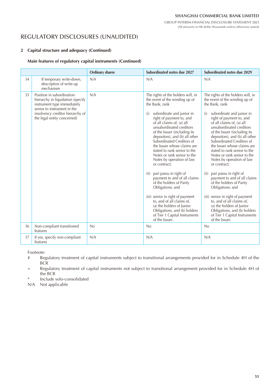(All amounts in HK dollar thousands unless otherwise stated)

REGULATORY DISCLOSURES (UNAUDITED)

### **2 Capital structure and adequacy (Continued)**

#### **Main features of regulatory capital instruments (Continued)**

|    |                                                                                                                                                                                                 | <b>Ordinary shares</b> | Subordinated notes due 2027                                                                                                                                                                                                                                                                                                                                                                                                                                                                                                                                                                                                                                                                                                                                  | Subordinated notes due 2029                                                                                                                                                                                                                                                                                                                                                                                                                                                                                                                                                                                                                                                                                                                                  |
|----|-------------------------------------------------------------------------------------------------------------------------------------------------------------------------------------------------|------------------------|--------------------------------------------------------------------------------------------------------------------------------------------------------------------------------------------------------------------------------------------------------------------------------------------------------------------------------------------------------------------------------------------------------------------------------------------------------------------------------------------------------------------------------------------------------------------------------------------------------------------------------------------------------------------------------------------------------------------------------------------------------------|--------------------------------------------------------------------------------------------------------------------------------------------------------------------------------------------------------------------------------------------------------------------------------------------------------------------------------------------------------------------------------------------------------------------------------------------------------------------------------------------------------------------------------------------------------------------------------------------------------------------------------------------------------------------------------------------------------------------------------------------------------------|
| 34 | If temporary write-down,<br>description of write-up<br>mechanism                                                                                                                                | N/A                    | N/A                                                                                                                                                                                                                                                                                                                                                                                                                                                                                                                                                                                                                                                                                                                                                          | N/A                                                                                                                                                                                                                                                                                                                                                                                                                                                                                                                                                                                                                                                                                                                                                          |
| 35 | Position in subordination<br>hierarchy in liquidation (specify<br>instrument type immediately<br>senior to instrument in the<br>insolvency creditor hierarchy of<br>the legal entity concerned) | N/A                    | The rights of the holders will, in<br>the event of the winding up of<br>the Bank, rank<br>subordinate and junior in<br>(i)<br>right of payment to, and<br>of all claims of, (a) all<br>unsubordinated creditors<br>of the Issuer (including its<br>depositors), and (b) all other<br>Subordinated Creditors of<br>the Issuer whose claims are<br>stated to rank senior to the<br>Notes or rank senior to the<br>Notes by operation of law<br>or contract;<br>pari passu in right of<br>(ii)<br>payment to and of all claims<br>of the holders of Parity<br>Obligations; and<br>(iii) senior in right of payment<br>to, and of all claims of,<br>(a) the holders of Junior<br>Obligations, and (b) holders<br>of Tier 1 Capital Instruments<br>of the Issuer. | The rights of the holders will, in<br>the event of the winding up of<br>the Bank, rank<br>subordinate and junior in<br>(i)<br>right of payment to, and<br>of all claims of, (a) all<br>unsubordinated creditors<br>of the Issuer (including its<br>depositors), and (b) all other<br>Subordinated Creditors of<br>the Issuer whose claims are<br>stated to rank senior to the<br>Notes or rank senior to the<br>Notes by operation of law<br>or contract;<br>pari passu in right of<br>(ii)<br>payment to and of all claims<br>of the holders of Parity<br>Obligations; and<br>(iii) senior in right of payment<br>to, and of all claims of,<br>(a) the holders of Junior<br>Obligations, and (b) holders<br>of Tier 1 Capital Instruments<br>of the Issuer. |
| 36 | Non-compliant transitioned<br>features                                                                                                                                                          | No                     | No                                                                                                                                                                                                                                                                                                                                                                                                                                                                                                                                                                                                                                                                                                                                                           | No                                                                                                                                                                                                                                                                                                                                                                                                                                                                                                                                                                                                                                                                                                                                                           |
| 37 | If yes, specify non-compliant<br>features                                                                                                                                                       | N/A                    | N/A                                                                                                                                                                                                                                                                                                                                                                                                                                                                                                                                                                                                                                                                                                                                                          | N/A                                                                                                                                                                                                                                                                                                                                                                                                                                                                                                                                                                                                                                                                                                                                                          |

Footnote:

- # Regulatory treatment of capital instruments subject to transitional arrangements provided for in Schedule 4H of the **BCR**
- + Regulatory treatment of capital instruments not subject to transitional arrangement provided for in Schedule 4H of the BCR
- Include solo-consolidated

N/A Not applicable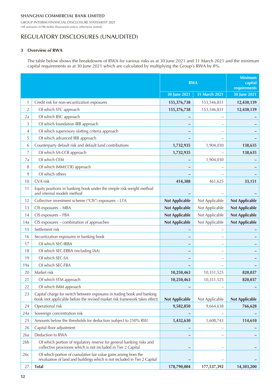GROUP INTERIM FINANCIAL DISCLOSURE STATEMENT 2021 (All amounts in HK dollar thousands unless otherwise stated)

# REGULATORY DISCLOSURES (UNAUDITED)

### **3 Overview of RWA**

The table below shows the breakdowns of RWA for various risks as at 30 June 2021 and 31 March 2021 and the minimum capital requirements as at 30 June 2021 which are calculated by multiplying the Group's RWA by 8%.

|                 |                                                                                                                                                        | <b>RWA</b>            |                | <b>Minimum</b><br>capital<br>requirements |
|-----------------|--------------------------------------------------------------------------------------------------------------------------------------------------------|-----------------------|----------------|-------------------------------------------|
|                 |                                                                                                                                                        | 30 June 2021          | 31 March 2021  | 30 June 2021                              |
| 1               | Credit risk for non-securitization exposures                                                                                                           | 155,376,738           | 153,546,831    | 12,430,139                                |
| $\overline{2}$  | Of which STC approach                                                                                                                                  | 155,376,738           | 153,546,831    | 12,430,139                                |
| 2a              | Of which BSC approach                                                                                                                                  |                       |                |                                           |
| 3               | Of which foundation IRB approach                                                                                                                       |                       |                |                                           |
| 4               | Of which supervisory slotting criteria approach                                                                                                        |                       |                |                                           |
| 5               | Of which advanced IRB approach                                                                                                                         |                       |                |                                           |
| 6               | Counterparty default risk and default fund contributions                                                                                               | 1,732,935             | 1,904,030      | 138,635                                   |
| 7               | Of which SA-CCR approach                                                                                                                               | 1,732,935             |                | 138,635                                   |
| 7a              | Of which CEM                                                                                                                                           |                       | 1,904,030      |                                           |
| 8               | Of which IMM(CCR) approach                                                                                                                             |                       |                |                                           |
| 9               | Of which others                                                                                                                                        |                       |                |                                           |
| 10              | CVA risk                                                                                                                                               | 414,388               | 461,625        | 33,151                                    |
| 11              | Equity positions in banking book under the simple risk-weight method<br>and internal models method                                                     |                       |                |                                           |
| 12              | Collective investment scheme ("CIS") exposures - LTA                                                                                                   | <b>Not Applicable</b> | Not Applicable | <b>Not Applicable</b>                     |
| 13              | CIS exposures - MBA                                                                                                                                    | <b>Not Applicable</b> | Not Applicable | <b>Not Applicable</b>                     |
| 14              | CIS exposures - FBA                                                                                                                                    | <b>Not Applicable</b> | Not Applicable | <b>Not Applicable</b>                     |
| 14a             | CIS exposures - combination of approaches                                                                                                              | <b>Not Applicable</b> | Not Applicable | <b>Not Applicable</b>                     |
| 15              | Settlement risk                                                                                                                                        |                       |                |                                           |
| 16              | Securitization exposures in banking book                                                                                                               |                       |                |                                           |
| 17              | Of which SEC-IRBA                                                                                                                                      |                       |                |                                           |
| 18              | Of which SEC-ERBA (including IAA)                                                                                                                      |                       |                |                                           |
| 19              | Of which SEC-SA                                                                                                                                        |                       |                |                                           |
| 19a             | Of which SEC-FBA                                                                                                                                       |                       |                |                                           |
| 20              | Market risk                                                                                                                                            | 10,250,463            | 10,351,525     | 820,037                                   |
| 21              | Of which STM approach                                                                                                                                  | 10,250,463            | 10,351,525     | 820,037                                   |
| 22              | Of which IMM approach                                                                                                                                  |                       |                |                                           |
| 23              | Capital charge for switch between exposures in trading book and banking<br>book (not applicable before the revised market risk framework takes effect) | <b>Not Applicable</b> | Not Applicable | <b>Not Applicable</b>                     |
| 24              | Operational risk                                                                                                                                       | 9,582,850             | 9,664,638      | 766,628                                   |
| 24a             | Sovereign concentration risk                                                                                                                           |                       |                |                                           |
| 25              | Amounts below the thresholds for deduction (subject to 250% RW)                                                                                        | 1,432,630             | 1,608,743      | 114,610                                   |
| 26              | Capital floor adjustment                                                                                                                               |                       | -              |                                           |
| 26a             | Deduction to RWA                                                                                                                                       |                       |                |                                           |
| 26 <sub>b</sub> | Of which portion of regulatory reserve for general banking risks and<br>collective provisions which is not included in Tier 2 Capital                  |                       |                |                                           |
| 26c             | Of which portion of cumulative fair value gains arising from the<br>revaluation of land and buildings which is not included in Tier 2 Capital          |                       |                |                                           |
| 27              | <b>Total</b>                                                                                                                                           | 178,790,004           | 177,537,392    | 14,303,200                                |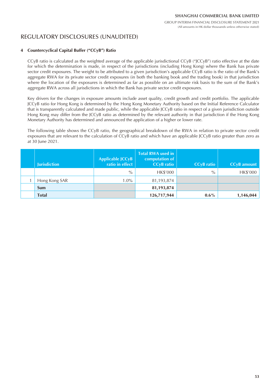# REGULATORY DISCLOSURES (UNAUDITED)

### **4 Countercyclical Capital Buffer ("CCyB") Ratio**

CCyB ratio is calculated as the weighted average of the applicable jurisdictional CCyB ("JCCyB") ratio effective at the date for which the determination is made, in respect of the jurisdictions (including Hong Kong) where the Bank has private sector credit exposures. The weight to be attributed to a given jurisdiction's applicable CCyB ratio is the ratio of the Bank's aggregate RWA for its private sector credit exposures (in both the banking book and the trading book) in that jurisdiction where the location of the exposures is determined as far as possible on an ultimate risk basis to the sum of the Bank's aggregate RWA across all jurisdictions in which the Bank has private sector credit exposures.

Key drivers for the changes in exposure amounts include asset quality, credit growth and credit portfolio. The applicable JCCyB ratio for Hong Kong is determined by the Hong Kong Monetary Authority based on the Initial Reference Calculator that is transparently calculated and made public, while the applicable JCCyB ratio in respect of a given jurisdiction outside Hong Kong may differ from the JCCyB ratio as determined by the relevant authority in that jurisdiction if the Hong Kong Monetary Authority has determined and announced the application of a higher or lower rate.

The following table shows the CCyB ratio, the geographical breakdown of the RWA in relation to private sector credit exposures that are relevant to the calculation of CCyB ratio and which have an applicable JCCyB ratio greater than zero as at 30 June 2021.

| <b>Jurisdiction</b> | Applicable JCCyB<br>ratio in effect | <b>Total RWA used in</b><br>computation of<br><b>CC<sub>V</sub>B</b> ratio | CCyB ratio | <b>CCyB</b> amount |
|---------------------|-------------------------------------|----------------------------------------------------------------------------|------------|--------------------|
|                     | $\%$                                | HK\$'000                                                                   | $\%$       | HK\$'000           |
| Hong Kong SAR       | $1.0\%$                             | 81,193,874                                                                 |            |                    |
| Sum                 |                                     | 81,193,874                                                                 |            |                    |
| <b>Total</b>        |                                     | 126,717,944                                                                | $0.6\%$    | 1,146,044          |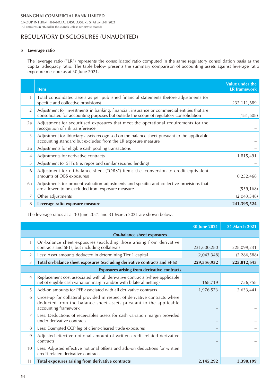GROUP INTERIM FINANCIAL DISCLOSURE STATEMENT 2021 (All amounts in HK dollar thousands unless otherwise stated)

# REGULATORY DISCLOSURES (UNAUDITED)

#### **5 Leverage ratio**

The leverage ratio ("LR") represents the consolidated ratio computed in the same regulatory consolidation basis as the capital adequacy ratio. The table below presents the summary comparison of accounting assets against leverage ratio exposure measure as at 30 June 2021.

|    | <b>Item</b>                                                                                                                                                                           | Value under the<br><b>LR</b> framework |
|----|---------------------------------------------------------------------------------------------------------------------------------------------------------------------------------------|----------------------------------------|
|    | Total consolidated assets as per published financial statements (before adjustments for<br>specific and collective provisions)                                                        | 232,111,689                            |
| 2  | Adjustment for investments in banking, financial, insurance or commercial entities that are<br>consolidated for accounting purposes but outside the scope of regulatory consolidation | (181, 608)                             |
| 2a | Adjustment for securitised exposures that meet the operational requirements for the<br>recognition of risk transference                                                               |                                        |
| 3  | Adjustment for fiduciary assets recognised on the balance sheet pursuant to the applicable<br>accounting standard but excluded from the LR exposure measure                           |                                        |
| 3a | Adjustments for eligible cash pooling transactions                                                                                                                                    |                                        |
| 4  | Adjustments for derivative contracts                                                                                                                                                  | 1,815,491                              |
| 5  | Adjustment for SFTs (i.e. repos and similar secured lending)                                                                                                                          |                                        |
| 6  | Adjustment for off-balance sheet ("OBS") items (i.e. conversion to credit equivalent<br>amounts of OBS exposures)                                                                     | 10,252,468                             |
| 6a | Adjustments for prudent valuation adjustments and specific and collective provisions that<br>are allowed to be excluded from exposure measure                                         | (559, 168)                             |
| 7  | Other adjustments                                                                                                                                                                     | (2,043,348)                            |
| 8  | Leverage ratio exposure measure                                                                                                                                                       | 241,395,524                            |

The leverage ratios as at 30 June 2021 and 31 March 2021 are shown below:

|                |                                                                                                                                                                        | <b>30 June 2021</b> | 31 March 2021 |
|----------------|------------------------------------------------------------------------------------------------------------------------------------------------------------------------|---------------------|---------------|
|                | On-balance sheet exposures                                                                                                                                             |                     |               |
| 1              | On-balance sheet exposures (excluding those arising from derivative<br>contracts and SFTs, but including collateral)                                                   | 231,600,280         | 228,099,231   |
| $\overline{2}$ | Less: Asset amounts deducted in determining Tier 1 capital                                                                                                             | (2,043,348)         | (2, 286, 588) |
| 3              | Total on-balance sheet exposures (excluding derivative contracts and SFTs)                                                                                             | 229,556,932         | 225,812,643   |
|                | <b>Exposures arising from derivative contracts</b>                                                                                                                     |                     |               |
| 4              | Replacement cost associated with all derivative contracts (where applicable<br>net of eligible cash variation margin and/or with bilateral netting)                    | 168,719             | 756,758       |
| 5              | Add-on amounts for PFE associated with all derivative contracts                                                                                                        | 1,976,573           | 2,633,441     |
| 6              | Gross-up for collateral provided in respect of derivative contracts where<br>deducted from the balance sheet assets pursuant to the applicable<br>accounting framework |                     |               |
| $\overline{7}$ | Less: Deductions of receivables assets for cash variation margin provided<br>under derivative contracts                                                                |                     |               |
| 8              | Less: Exempted CCP leg of client-cleared trade exposures                                                                                                               |                     |               |
| 9              | Adjusted effective notional amount of written credit-related derivative<br>contracts                                                                                   |                     |               |
| 10             | Less: Adjusted effective notional offsets and add-on deductions for written<br>credit-related derivative contracts                                                     |                     |               |
| 11             | Total exposures arising from derivative contracts                                                                                                                      | 2,145,292           | 3,390,199     |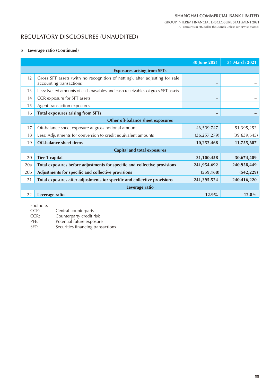GROUP INTERIM FINANCIAL DISCLOSURE STATEMENT 2021 (All amounts in HK dollar thousands unless otherwise stated)

# REGULATORY DISCLOSURES (UNAUDITED)

#### **5 Leverage ratio (Continued)**

|                 |                                                                                                        | 30 June 2021   | 31 March 2021 |  |  |  |  |  |  |  |
|-----------------|--------------------------------------------------------------------------------------------------------|----------------|---------------|--|--|--|--|--|--|--|
|                 | <b>Exposures arising from SFTs</b>                                                                     |                |               |  |  |  |  |  |  |  |
| 12              | Gross SFT assets (with no recognition of netting), after adjusting for sale<br>accounting transactions |                |               |  |  |  |  |  |  |  |
| 13              | Less: Netted amounts of cash payables and cash receivables of gross SFT assets                         |                |               |  |  |  |  |  |  |  |
| 14              | CCR exposure for SFT assets                                                                            |                |               |  |  |  |  |  |  |  |
| 15              | Agent transaction exposures                                                                            |                |               |  |  |  |  |  |  |  |
| 16              | <b>Total exposures arising from SFTs</b>                                                               |                |               |  |  |  |  |  |  |  |
|                 | Other off-balance sheet exposures                                                                      |                |               |  |  |  |  |  |  |  |
| 17              | Off-balance sheet exposure at gross notional amount                                                    | 46,509,747     | 51,395,252    |  |  |  |  |  |  |  |
| 18              | Less: Adjustments for conversion to credit equivalent amounts                                          | (36, 257, 279) | (39,639,645)  |  |  |  |  |  |  |  |
| 19              | <b>Off-balance sheet items</b>                                                                         | 10,252,468     | 11,755,607    |  |  |  |  |  |  |  |
|                 | <b>Capital and total exposures</b>                                                                     |                |               |  |  |  |  |  |  |  |
| 20              | <b>Tier 1 capital</b>                                                                                  | 31,100,458     | 30,674,409    |  |  |  |  |  |  |  |
| 20a             | Total exposures before adjustments for specific and collective provisions                              | 241,954,692    | 240,958,449   |  |  |  |  |  |  |  |
| 20 <sub>b</sub> | Adjustments for specific and collective provisions                                                     | (559, 168)     | (542, 229)    |  |  |  |  |  |  |  |
| 21              | Total exposures after adjustments for specific and collective provisions                               | 241,395,524    | 240,416,220   |  |  |  |  |  |  |  |
|                 | Leverage ratio                                                                                         |                |               |  |  |  |  |  |  |  |
| 22              | Leverage ratio                                                                                         | 12.9%          | 12.8%         |  |  |  |  |  |  |  |

Footnote:<br>CCP:

CCP: Central counterparty<br>CCR: Counterparty credit r

Counterparty credit risk

PFE: Potential future exposure<br>SFT: Securities financing transa

Securities financing transactions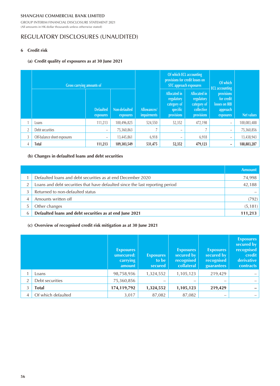GROUP INTERIM FINANCIAL DISCLOSURE STATEMENT 2021 (All amounts in HK dollar thousands unless otherwise stated)

# REGULATORY DISCLOSURES (UNAUDITED)

### **6 Credit risk**

#### **(a) Credit quality of exposures as at 30 June 2021**

|                | Gross carrying amounts of   |                               |                            |                                   |                                                                     | Of which ECL accounting<br>provisions for credit losses on<br><b>STC</b> approach exposures | Of which<br><b>ECL</b> accounting                                  |             |
|----------------|-----------------------------|-------------------------------|----------------------------|-----------------------------------|---------------------------------------------------------------------|---------------------------------------------------------------------------------------------|--------------------------------------------------------------------|-------------|
|                |                             | <b>Defaulted</b><br>exposures | Non-defaulted<br>exposures | Allowances/<br><i>impairments</i> | Allocated in<br>regulatory<br>category of<br>specific<br>provisions | <b>Allocated in</b><br>regulatory<br>category of<br>collective<br>provisions                | provisions<br>for credit<br>losses on IRB<br>approach<br>exposures | Net values  |
|                | Loans                       | 111,213                       | 100,496,825                | 524,550                           | 52,352                                                              | 472,198                                                                                     | $\overline{\phantom{0}}$                                           | 100,083,488 |
| $\overline{2}$ | Debt securities             | $\overline{\phantom{m}}$      | 75,360,863                 |                                   | $\overline{\phantom{0}}$                                            |                                                                                             | $\qquad \qquad -$                                                  | 75,360,856  |
| 3              | Off-balance sheet exposures | $\qquad \qquad -$             | 13,445,861                 | 6,918                             | $\qquad \qquad -$                                                   | 6,918                                                                                       | $\qquad \qquad -$                                                  | 13,438,943  |
| 4              | Total                       | 111,213                       | 189,303,549                | 531,475                           | 52,352                                                              | 479,123                                                                                     | -                                                                  | 188,883,287 |

### **(b) Changes in defaulted loans and debt securities**

|   |                                                                               | <b>Amount</b> |
|---|-------------------------------------------------------------------------------|---------------|
|   | Defaulted loans and debt securities as at end December 2020                   | 74,998        |
|   | Loans and debt securities that have defaulted since the last reporting period | 42,188        |
|   | Returned to non-defaulted status                                              |               |
|   | Amounts written off                                                           | (792)         |
|   | Other changes                                                                 | (5, 181)      |
| 6 | Defaulted loans and debt securities as at end June 2021                       | 111.213       |

### **(c) Overview of recognised credit risk mitigation as at 30 June 2021**

|                |                    | <b>Exposures</b><br>unsecured:<br>carrying<br>amount | <b>Exposures</b><br>to be<br>secured | <b>Exposures</b><br>secured by<br>recognised<br>collateral | <b>Exposures</b><br>secured by<br>recognised<br>guarantees | <b>Exposures</b><br>secured by<br>recognised<br>credit<br>derivative<br><b>contracts</b> |
|----------------|--------------------|------------------------------------------------------|--------------------------------------|------------------------------------------------------------|------------------------------------------------------------|------------------------------------------------------------------------------------------|
|                | Loans              | 98,758,936                                           | 1,324,552                            | 1,105,123                                                  | 219,429                                                    |                                                                                          |
| $\overline{2}$ | Debt securities    | 75,360,856                                           | –                                    | $\overline{\phantom{0}}$                                   | -                                                          |                                                                                          |
| 3              | Total              | 174,119,792                                          | 1,324,552                            | 1,105,123                                                  | 219,429                                                    |                                                                                          |
| 4              | Of which defaulted | 3,017                                                | 87,082                               | 87,082                                                     | -                                                          |                                                                                          |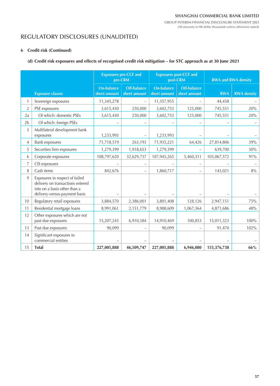# REGULATORY DISCLOSURES (UNAUDITED)

### **6 Credit risk (Continued)**

### **(d) Credit risk exposures and effects of recognised credit risk mitigation – for STC approach as at 30 June 2021**

|                |                                                                                                                                     |                                   | <b>Exposures pre-CCF and</b><br>pre-CRM |                                   | <b>Exposures post-CCF and</b><br>post-CRM | <b>RWA and RWA density</b> |                    |  |
|----------------|-------------------------------------------------------------------------------------------------------------------------------------|-----------------------------------|-----------------------------------------|-----------------------------------|-------------------------------------------|----------------------------|--------------------|--|
|                | <b>Exposure classes</b>                                                                                                             | <b>On-balance</b><br>sheet amount | Off-balance<br>sheet amount             | <b>On-balance</b><br>sheet amount | Off-balance<br>sheet amount               | <b>RWA</b>                 | <b>RWA</b> density |  |
| 1              | Sovereign exposures                                                                                                                 | 11,345,278                        |                                         | 11,357,955                        |                                           | 44,458                     |                    |  |
| $\overline{2}$ | PSE exposures                                                                                                                       | 3,615,430                         | 250,000                                 | 3,602,753                         | 125,000                                   | 745,551                    | 20%                |  |
| 2a             | Of which: domestic PSEs                                                                                                             | 3,615,430                         | 250,000                                 | 3,602,753                         | 125,000                                   | 745,551                    | 20%                |  |
| 2 <sub>b</sub> | Of which: foreign PSEs                                                                                                              |                                   |                                         |                                   |                                           |                            |                    |  |
| 3              | Multilateral development bank<br>exposures                                                                                          | 1,233,993                         |                                         | 1,233,993                         |                                           |                            |                    |  |
| 4              | <b>Bank exposures</b>                                                                                                               | 71,718,519                        | 263,193                                 | 71,935,221                        | 64,426                                    | 27,814,806                 | 39%                |  |
| 5              | Securities firm exposures                                                                                                           | 1,279,399                         | 1,918,653                               | 1,279,399                         |                                           | 639,700                    | 50%                |  |
| 6              | Corporate exposures                                                                                                                 | 108,797,620                       | 32,629,737                              | 107,945,265                       | 5,460,311                                 | 103,067,572                | 91%                |  |
| 7              | CIS exposures                                                                                                                       |                                   |                                         |                                   | -                                         |                            |                    |  |
| 8              | Cash items                                                                                                                          | 842,676                           |                                         | 1,860,717                         | -                                         | 143,021                    | $8\%$              |  |
| 9              | Exposures in respect of failed<br>delivery on transactions entered<br>into on a basis other than a<br>delivery-versus-payment basis |                                   |                                         |                                   |                                           |                            |                    |  |
| 10             | Regulatory retail exposures                                                                                                         | 3,884,570                         | 2,386,001                               | 3,801,408                         | 128,126                                   | 2,947,151                  | 75%                |  |
| 11             | Residential mortgage loans                                                                                                          | 8,991,061                         | 2,151,779                               | 8,988,609                         | 1,067,364                                 | 4,871,686                  | 48%                |  |
| 12             | Other exposures which are not<br>past due exposures                                                                                 | 15,207,243                        | 6,910,384                               | 14,910,469                        | 100,853                                   | 15,011,323                 | 100%               |  |
| 13             | Past due exposures                                                                                                                  | 90,099                            |                                         | 90,099                            |                                           | 91,470                     | 102%               |  |
| 14             | Significant exposures to<br>commercial entities                                                                                     |                                   |                                         |                                   |                                           |                            |                    |  |
| 15             | <b>Total</b>                                                                                                                        | 227,005,888                       | 46,509,747                              | 227,005,888                       | 6,946,080                                 | 155,376,738                | 66%                |  |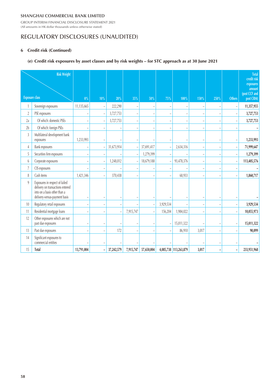GROUP INTERIM FINANCIAL DISCLOSURE STATEMENT 2021 (All amounts in HK dollar thousands unless otherwise stated)

# REGULATORY DISCLOSURES (UNAUDITED)

### **6 Credit risk (Continued)**

### **(e) Credit risk exposures by asset classes and by risk weights – for STC approach as at 30 June 2021**

|                  | <b>Risk Weight</b>                                                                                                                  |                |                          |                          |                          |            |                          |                          |                          |                   |                          | <b>Total</b><br>credit risk                       |
|------------------|-------------------------------------------------------------------------------------------------------------------------------------|----------------|--------------------------|--------------------------|--------------------------|------------|--------------------------|--------------------------|--------------------------|-------------------|--------------------------|---------------------------------------------------|
|                  | <b>Exposure class</b>                                                                                                               | $0\%$          | 10%                      | 20%                      | 35%                      | 50%        | 75%                      | 100%                     | 150%                     | 250%              | <b>Others</b>            | exposures<br>amount<br>(post CCF and<br>post CRM) |
|                  | Sovereign exposures                                                                                                                 | 11,135,665     | $\overline{\phantom{a}}$ | 222,290                  | $\overline{\phantom{0}}$ |            |                          |                          |                          | $\qquad \qquad -$ |                          | 11,357,955                                        |
| $\boldsymbol{2}$ | PSE exposures                                                                                                                       |                | $\overline{a}$           | 3,727,753                | $\overline{a}$           |            |                          |                          |                          | ÷                 |                          | 3,727,753                                         |
| 2a               | Of which: domestic PSEs                                                                                                             |                |                          | 3,727,753                | -                        |            |                          | $\overline{\phantom{0}}$ |                          | $\overline{a}$    |                          | 3,727,753                                         |
| 2b               | Of which: foreign PSEs                                                                                                              |                |                          |                          |                          |            |                          |                          |                          | L,                |                          |                                                   |
| $\sqrt{3}$       | Multilateral development bank<br>exposures                                                                                          | 1,233,993      |                          |                          |                          |            |                          |                          |                          | $\overline{a}$    |                          | 1,233,993                                         |
| $\overline{4}$   | <b>Bank exposures</b>                                                                                                               |                | $\overline{\phantom{a}}$ | 31,673,914               | $\overline{a}$           | 37,691,417 |                          | 2,634,316                |                          | $\qquad \qquad -$ | $\overline{\phantom{a}}$ | 71,999,647                                        |
| $5\,$            | Securities firm exposures                                                                                                           |                |                          |                          | $\frac{1}{2}$            | 1,279,399  |                          |                          |                          | $\overline{a}$    |                          | 1,279,399                                         |
| 6                | Corporate exposures                                                                                                                 |                |                          | 1,248,012                | ÷,                       | 18,679,188 |                          | 93,478,376               |                          | $\qquad \qquad -$ |                          | 113,405,576                                       |
| $\overline{7}$   | CIS exposures                                                                                                                       | $\overline{a}$ | $\sim$                   |                          | L,                       |            | $\overline{a}$           |                          | $\overline{a}$           | $\overline{a}$    |                          |                                                   |
| 8                | Cash items                                                                                                                          | 1,421,346      | ۰                        | 370,438                  | $\overline{\phantom{0}}$ |            | $\overline{\phantom{0}}$ | 68,933                   | $\overline{\phantom{a}}$ | $\qquad \qquad -$ | ÷,                       | 1,860,717                                         |
| 9                | Exposures in respect of failed<br>delivery on transactions entered<br>into on a basis other than a<br>delivery-versus-payment basis | $\overline{a}$ |                          |                          |                          |            |                          |                          |                          | $\qquad \qquad -$ |                          |                                                   |
| 10 <sup>1</sup>  | Regulatory retail exposures                                                                                                         | $\overline{a}$ | $\overline{a}$           | $\overline{a}$           | $\overline{\phantom{0}}$ | ÷          | 3,929,534                |                          | $\overline{\phantom{0}}$ | $\qquad \qquad -$ |                          | 3,929,534                                         |
| 11               | Residential mortgage loans                                                                                                          | ۳              | ٠                        | $\overline{\phantom{a}}$ | 7,915,747                |            | 156,204                  | 1,984,022                |                          | Ĭ.                |                          | 10,055,973                                        |
| 12               | Other exposures which are not<br>past due exposures                                                                                 |                |                          |                          |                          |            |                          | 15,011,322               |                          | Ĭ.                |                          | 15,011,322                                        |
| 13               | Past due exposures                                                                                                                  |                |                          | 172                      | ÷,                       |            |                          | 86,910                   | 3,017                    | $\overline{a}$    |                          | 90,099                                            |
| 14               | Significant exposures to<br>commercial entities                                                                                     |                |                          |                          |                          |            |                          |                          |                          |                   |                          |                                                   |
| 15               | <b>Total</b>                                                                                                                        | 13,791,004     | $\qquad \qquad -$        | 37,242,579               | 7,915,747                | 57,650,004 |                          | 4,085,738 113,263,879    | 3,017                    | $\overline{a}$    | $\overline{\phantom{a}}$ | 233,951,968                                       |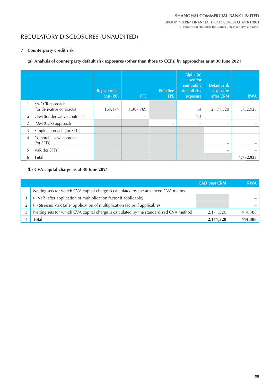# REGULATORY DISCLOSURES (UNAUDITED)

### **7 Counterparty credit risk**

### **(a) Analysis of counterparty default risk exposures (other than those to CCPs) by approaches as at 30 June 2021**

|                |                                               | <b>Replacement</b><br>cost (RC) | <b>PFE</b> | <b>Effective</b><br><b>EPE</b> | Alpha $(a)$<br>used for<br>computing<br>default risk<br>exposure | <b>Default risk</b><br>exposure<br>after CRM | <b>RWA</b> |
|----------------|-----------------------------------------------|---------------------------------|------------|--------------------------------|------------------------------------------------------------------|----------------------------------------------|------------|
|                | SA-CCR approach<br>(for derivative contracts) | 163,174                         | 1,387,769  |                                | 1.4                                                              | 2,171,320                                    | 1,732,935  |
| 1a             | CEM (for derivative contracts)                | $\qquad \qquad -$               | -          |                                | 1.4                                                              | -                                            |            |
| $\overline{2}$ | IMM (CCR) approach                            |                                 |            | $\overline{\phantom{0}}$       | $\overline{\phantom{m}}$                                         | -                                            |            |
| 3              | Simple approach (for SFTs)                    |                                 |            |                                |                                                                  | $\overline{\phantom{0}}$                     |            |
| $\overline{4}$ | Comprehensive approach<br>(for SFTs)          |                                 |            |                                |                                                                  | -                                            |            |
| 5              | VaR (for SFTs)                                |                                 |            |                                |                                                                  | -                                            |            |
| 6              | <b>Total</b>                                  |                                 |            |                                |                                                                  |                                              | 1,732,935  |

### **(b) CVA capital charge as at 30 June 2021**

|                                                                                        | <b>EAD post CRM</b> | <b>RWA</b> |
|----------------------------------------------------------------------------------------|---------------------|------------|
| Netting sets for which CVA capital charge is calculated by the advanced CVA method     |                     |            |
| (i) VaR (after application of multiplication factor if applicable)                     |                     |            |
| (ii) Stressed VaR (after application of multiplication factor if applicable)           |                     |            |
| Netting sets for which CVA capital charge is calculated by the standardized CVA method | 2,171,320           | 414,388    |
| Total                                                                                  | 2,171,320           | 414,388    |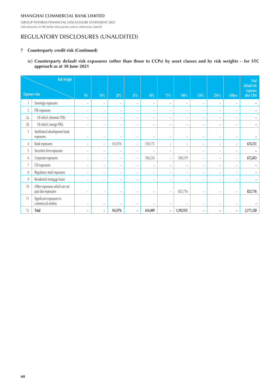GROUP INTERIM FINANCIAL DISCLOSURE STATEMENT 2021 (All amounts in HK dollar thousands unless otherwise stated)

# REGULATORY DISCLOSURES (UNAUDITED)

#### **7 Counterparty credit risk (Continued)**

**(c) Counterparty default risk exposures (other than those to CCPs) by asset classes and by risk weights – for STC approach as at 30 June 2021**

|                  | <b>Risk Weight</b>                                  |                          |                          |                          |                          |                          |                          |                          |                          |                          |                          | <b>Total</b><br>default risk |
|------------------|-----------------------------------------------------|--------------------------|--------------------------|--------------------------|--------------------------|--------------------------|--------------------------|--------------------------|--------------------------|--------------------------|--------------------------|------------------------------|
|                  | <b>Exposure class</b>                               | $0\%$                    | 10%                      | 20%                      | 35%                      | 50%                      | 75%                      | 100%                     | 150%                     | 250%                     | <b>Others</b>            | exposure<br>after CRM        |
|                  | Sovereign exposures                                 | $\overline{\phantom{a}}$ | $\overline{\phantom{a}}$ | $\overline{\phantom{a}}$ | $\overline{\phantom{a}}$ | -                        | $\qquad \qquad -$        | $\qquad \qquad -$        | $\overline{\phantom{a}}$ | $\overline{\phantom{a}}$ | $\overline{\phantom{a}}$ |                              |
| $\boldsymbol{2}$ | PSE exposures                                       | -                        | $\overline{\phantom{a}}$ | $\equiv$                 | -                        | $\equiv$                 | $\overline{\phantom{m}}$ | $\overline{\phantom{a}}$ | -                        | $\overline{\phantom{a}}$ | $\overline{\phantom{m}}$ |                              |
| 2a               | Of which: domestic PSEs                             | $\overline{\phantom{0}}$ | $\equiv$                 | $\overline{\phantom{a}}$ | $\overline{\phantom{a}}$ | $\overline{\phantom{0}}$ | $\overline{\phantom{a}}$ | $\overline{\phantom{a}}$ | $\overline{\phantom{0}}$ | $\overline{\phantom{a}}$ | $\equiv$                 |                              |
| 2b               | Of which: foreign PSEs                              | $\overline{\phantom{0}}$ | $\overline{\phantom{a}}$ | $\overline{\phantom{a}}$ | $\overline{\phantom{a}}$ | $\overline{\phantom{0}}$ | $\overline{\phantom{a}}$ | $\overline{\phantom{a}}$ | $\overline{\phantom{0}}$ | $\overline{\phantom{a}}$ | $\overline{\phantom{a}}$ |                              |
| $\overline{3}$   | Multilateral development bank<br>exposures          | $\overline{\phantom{0}}$ | -                        | -                        | -                        |                          | $\overline{\phantom{m}}$ | $\overline{\phantom{m}}$ | -                        | $\overline{\phantom{m}}$ | $\overline{\phantom{a}}$ |                              |
| 4                | <b>Bank exposures</b>                               | $\overline{\phantom{0}}$ | $\qquad \qquad -$        | 163,976                  | $\overline{\phantom{a}}$ | 510,175                  | $\qquad \qquad -$        | $\overline{\phantom{a}}$ | $\overline{\phantom{0}}$ | $\overline{\phantom{a}}$ | $\overline{\phantom{a}}$ | 674,151                      |
| 5                | Securities firm exposures                           | -                        | $\overline{\phantom{a}}$ | $\overline{\phantom{a}}$ | $\overline{\phantom{a}}$ | -                        | -                        | $\overline{\phantom{a}}$ | -                        | $\overline{\phantom{a}}$ | $\overline{\phantom{a}}$ |                              |
| 6                | Corporate exposures                                 | -                        | $\overline{\phantom{a}}$ | $\overline{\phantom{m}}$ | $\overline{\phantom{a}}$ | 104,234                  | $\overline{\phantom{a}}$ | 569,219                  | $\overline{\phantom{m}}$ | $\overline{\phantom{m}}$ | $\overline{\phantom{m}}$ | 673,453                      |
| $\overline{7}$   | CIS exposures                                       | -                        | $\overline{\phantom{a}}$ | $\overline{\phantom{a}}$ | $\qquad \qquad -$        | -                        | $\overline{\phantom{a}}$ | $\qquad \qquad -$        | -                        | $\overline{\phantom{a}}$ | $\overline{\phantom{m}}$ |                              |
| 8                | Regulatory retail exposures                         | $\overline{\phantom{0}}$ | -                        | -                        | -                        | -                        | $\overline{\phantom{m}}$ | $\overline{\phantom{m}}$ | -                        | $\overline{\phantom{m}}$ | $\overline{\phantom{a}}$ |                              |
| 9                | Residential mortgage loans                          | $\qquad \qquad -$        | $\overline{\phantom{a}}$ | $\overline{\phantom{a}}$ | $\overline{\phantom{a}}$ | $\overline{\phantom{0}}$ | $\overline{\phantom{a}}$ | $\qquad \qquad -$        | $\overline{\phantom{a}}$ | $\overline{\phantom{a}}$ | $\overline{\phantom{m}}$ |                              |
| 10               | Other exposures which are not<br>past due exposures | $\overline{\phantom{0}}$ | ۳                        | $\overline{\phantom{0}}$ | $\overline{\phantom{0}}$ | $\overline{\phantom{0}}$ | $\qquad \qquad -$        | 823,716                  | -                        | $\overline{\phantom{0}}$ | $\overline{\phantom{m}}$ | 823,716                      |
| 11               | Significant exposures to<br>commercial entities     | $\overline{\phantom{0}}$ | -                        | -                        | $\overline{\phantom{0}}$ |                          | ۳                        | $\overline{\phantom{m}}$ | $\overline{\phantom{0}}$ | $\overline{\phantom{a}}$ | $\overline{\phantom{0}}$ |                              |
| 12               | <b>Total</b>                                        | $\overline{\phantom{a}}$ | $\overline{\phantom{a}}$ | 163,976                  | $\overline{\phantom{a}}$ | 614,409                  | $\overline{\phantom{a}}$ | 1,392,935                | $\overline{\phantom{a}}$ | $\overline{\phantom{a}}$ | $\overline{\phantom{a}}$ | 2,171,320                    |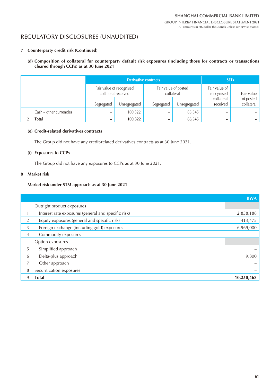# REGULATORY DISCLOSURES (UNAUDITED)

### **7 Counterparty credit risk (Continued)**

### **(d) Composition of collateral for counterparty default risk exposures (including those for contracts or transactions cleared through CCPs) as at 30 June 2021**

|  |                         | <b>Derivative contracts</b>                     |              |                                    |              | <b>SFT<sub>s</sub></b>      |                         |
|--|-------------------------|-------------------------------------------------|--------------|------------------------------------|--------------|-----------------------------|-------------------------|
|  |                         | Fair value of recognised<br>collateral received |              | Fair value of posted<br>collateral |              | Fair value of<br>recognised | Fair value              |
|  |                         | Segregated                                      | Unsegregated | Segregated                         | Unsegregated | collateral<br>received      | of posted<br>collateral |
|  | Cash – other currencies | —                                               | 100,322      | $\qquad \qquad -$                  | 66,545       | -                           |                         |
|  | Total                   | -                                               | 100,322      |                                    | 66,545       |                             |                         |

### **(e) Credit-related derivatives contracts**

The Group did not have any credit-related derivatives contracts as at 30 June 2021.

### **(f) Exposures to CCPs**

The Group did not have any exposures to CCPs as at 30 June 2021.

#### **8 Market risk**

#### **Market risk under STM approach as at 30 June 2021**

|                |                                                     | <b>RWA</b> |
|----------------|-----------------------------------------------------|------------|
|                | Outright product exposures                          |            |
| 1              | Interest rate exposures (general and specific risk) | 2,858,188  |
| $\overline{2}$ | Equity exposures (general and specific risk)        | 413,475    |
| 3              | Foreign exchange (including gold) exposures         | 6,969,000  |
| $\overline{4}$ | Commodity exposures                                 |            |
|                | Option exposures                                    |            |
| 5              | Simplified approach                                 |            |
| 6              | Delta-plus approach                                 | 9,800      |
| 7              | Other approach                                      |            |
| 8              | Securitization exposures                            |            |
| 9              | <b>Total</b>                                        | 10,250,463 |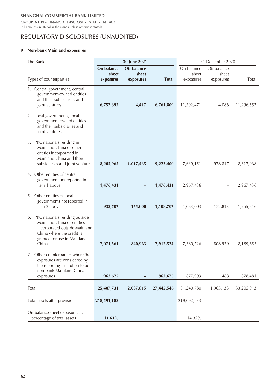GROUP INTERIM FINANCIAL DISCLOSURE STATEMENT 2021 (All amounts in HK dollar thousands unless otherwise stated)

# REGULATORY DISCLOSURES (UNAUDITED)

#### **9 Non-bank Mainland exposures**

| The Bank                                                                                                                                                              | 30 June 2021                     |                                   |              | 31 December 2020                 |                                   |            |
|-----------------------------------------------------------------------------------------------------------------------------------------------------------------------|----------------------------------|-----------------------------------|--------------|----------------------------------|-----------------------------------|------------|
| Types of counterparties                                                                                                                                               | On-balance<br>sheet<br>exposures | Off-balance<br>sheet<br>exposures | <b>Total</b> | On-balance<br>sheet<br>exposures | Off-balance<br>sheet<br>exposures | Total      |
| 1. Central government, central<br>government-owned entities<br>and their subsidiaries and<br>joint ventures                                                           | 6,757,392                        | 4,417                             | 6,761,809    | 11,292,471                       | 4,086                             | 11,296,557 |
| 2. Local governments, local<br>government-owned entities<br>and their subsidiaries and<br>joint ventures                                                              |                                  |                                   |              |                                  |                                   |            |
| 3. PRC nationals residing in<br>Mainland China or other<br>entities incorporated in<br>Mainland China and their<br>subsidiaries and joint ventures                    | 8,205,965                        | 1,017,435                         | 9,223,400    | 7,639,151                        | 978,817                           | 8,617,968  |
| 4. Other entities of central<br>government not reported in<br>item 1 above                                                                                            | 1,476,431                        |                                   | 1,476,431    | 2,967,436                        |                                   | 2,967,436  |
| 5. Other entities of local<br>governments not reported in<br>item 2 above                                                                                             | 933,707                          | 175,000                           | 1,108,707    | 1,083,003                        | 172,813                           | 1,255,816  |
| 6. PRC nationals residing outside<br>Mainland China or entities<br>incorporated outside Mainland<br>China where the credit is<br>granted for use in Mainland<br>China | 7,071,561                        | 840,963                           | 7,912,524    | 7,380,726                        | 808,929                           | 8,189,655  |
| 7. Other counterparties where the<br>exposures are considered by<br>the reporting institution to be<br>non-bank Mainland China<br>exposures                           | 962,675                          |                                   | 962,675      | 877,993                          | 488                               | 878,481    |
| Total                                                                                                                                                                 | 25,407,731                       | 2,037,815                         | 27,445,546   | 31,240,780                       | 1,965,133                         | 33,205,913 |
| Total assets after provision                                                                                                                                          | 218,491,183                      |                                   |              | 218,092,633                      |                                   |            |
| On-balance sheet exposures as<br>percentage of total assets                                                                                                           | 11.63%                           |                                   |              | 14.32%                           |                                   |            |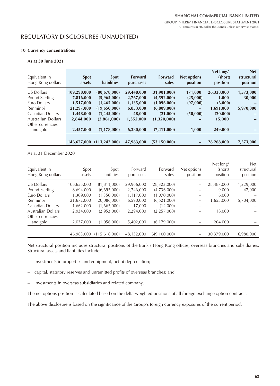### REGULATORY DISCLOSURES (UNAUDITED)

#### **10 Currency concentrations**

#### **As at 30 June 2021**

| Equivalent in<br>Hong Kong dollars | <b>Spot</b><br>assets | <b>Spot</b><br><b>liabilities</b> | <b>Forward</b><br>purchases | <b>Forward</b><br>sales | <b>Net options</b><br>position | Net long/<br>(short)<br>position | <b>Net</b><br>structural<br>position |
|------------------------------------|-----------------------|-----------------------------------|-----------------------------|-------------------------|--------------------------------|----------------------------------|--------------------------------------|
| US Dollars                         | 109,298,000           | (80, 678, 000)                    | 29,448,000                  | (31,901,000)            | 171,000                        | 26,338,000                       | 1,573,000                            |
| Pound Sterling                     | 7,816,000             | (5,965,000)                       | 2,767,000                   | (4,592,000)             | (25,000)                       | 1,000                            | 30,000                               |
| Euro Dollars                       | 1,517,000             | (1,465,000)                       | 1,135,000                   | (1,096,000)             | (97,000)                       | (6,000)                          |                                      |
| Renminbi                           | 21,297,000            | (19,650,000)                      | 6,853,000                   | (6,809,000)             |                                | 1,691,000                        | 5,970,000                            |
| Canadian Dollars                   | 1,448,000             | (1,445,000)                       | 48,000                      | (21,000)                | (50,000)                       | (20,000)                         |                                      |
| Australian Dollars                 | 2,844,000             | (2,861,000)                       | 1,352,000                   | (1,320,000)             |                                | 15,000                           |                                      |
| Other currencies                   |                       |                                   |                             |                         |                                |                                  |                                      |
| and gold                           | 2,457,000             | (1,178,000)                       | 6,380,000                   | (7,411,000)             | 1,000                          | 249,000                          |                                      |
|                                    |                       |                                   |                             |                         |                                |                                  |                                      |
|                                    | 146,677,000           | (113, 242, 000)                   | 47,983,000                  | (53, 150, 000)          |                                | 28,268,000                       | 7,573,000                            |

#### As at 31 December 2020

| Equivalent in<br>Hong Kong dollars | Spot<br>assets | Spot<br>liabilities | Forward<br>purchases | Forward<br>sales | Net options<br>position | Net long/<br>(short)<br>position | <b>Net</b><br>structural<br>position |
|------------------------------------|----------------|---------------------|----------------------|------------------|-------------------------|----------------------------------|--------------------------------------|
| US Dollars                         | 108,655,000    | (81, 811, 000)      | 29,966,000           | (28, 323, 000)   |                         | 28,487,000                       | 1,229,000                            |
| Pound Sterling                     | 8,694,000      | (6,695,000)         | 2,746,000            | (4,736,000)      |                         | 9,000                            | 47,000                               |
| Euro Dollars                       | 1.309.000      | (1,350,000)         | 1,117,000            | (1,070,000)      |                         | 6,000                            |                                      |
| Renminbi                           | 21,672,000     | (20,086,000)        | 6,590,000            | (6,521,000)      | —                       | 1,655,000                        | 5,704,000                            |
| Canadian Dollars                   | 1,662,000      | (1,665,000)         | 17,000               | (14,000)         |                         |                                  |                                      |
| Australian Dollars                 | 2,934,000      | (2,953,000)         | 2,294,000            | (2,257,000)      |                         | 18,000                           |                                      |
| Other currencies<br>and gold       | 2,037,000      | (1,056,000)         | 5,402,000            | (6, 179, 000)    |                         | 204,000                          |                                      |
|                                    | 146,963,000    | (115.616.000)       | 48.132.000           | (49.100.000)     |                         | 30.379.000                       | 6.980.000                            |

Net structural position includes structural positions of the Bank's Hong Kong offices, overseas branches and subsidiaries. Structural assets and liabilities include:

- investments in properties and equipment, net of depreciation;
- capital, statutory reserves and unremitted profits of overseas branches; and
- investments in overseas subsidiaries and related company.

The net options position is calculated based on the delta-weighted positions of all foreign exchange option contracts.

The above disclosure is based on the significance of the Group's foreign currency exposures of the current period.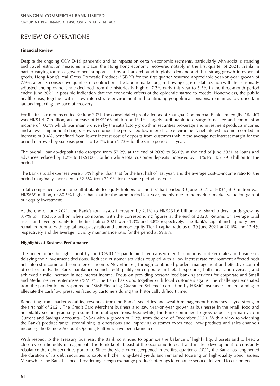# REVIEW OF OPERATIONS

#### **Financial Review**

Despite the ongoing COVID-19 pandemic and its impacts on certain economic segments, particularly with social distancing and travel restriction measures in place, the Hong Kong economy recovered notably in the first quarter of 2021, thanks in part to varying forms of government support. Led by a sharp rebound in global demand and thus strong growth in export of goods, Hong Kong's real Gross Domestic Product ("GDP") for the first quarter resumed appreciable year-on-year growth of 7.9%, after six consecutive quarters of contraction. The labour market began showing signs of stabilization with the seasonally adjusted unemployment rate declined from the historically high of 7.2% early this year to 5.5% in the three-month period ended June 2021, a possible indication that the economic effects of the epidemic started to recede. Nonetheless, the public health crisis, together with a low interest rate environment and continuing geopolitical tensions, remain as key uncertain factors impacting the pace of recovery.

For the first six months ended 30 June 2021, the consolidated profit after tax of Shanghai Commercial Bank Limited (the "Bank") was HK\$1,447 million, an increase of HK\$168 million or 13.1%, largely attributable to a surge in net fee and commission income of 10.7% which was mainly driven by the satisfactory growth in securities brokerage and investment products income, and a lower impairment charge. However, under the protracted low interest rate environment, net interest income recorded an increase of 3.4%, benefitted from lower interest cost of deposits from customers while the average net interest margin for the period narrowed by six basis points to 1.67% from 1.73% for the same period last year.

The overall loan-to-deposit ratio dropped from 57.2% at the end of 2020 to 56.0% at the end of June 2021 as loans and advances reduced by 1.2% to HK\$100.1 billion while total customer deposits increased by 1.1% to HK\$179.8 billion for the period.

The Bank's total expenses were 7.3% higher than that for the first half of last year, and the average cost-to-income ratio for the period marginally increased to 32.6%, from 31.9% for the same period last year.

Total comprehensive income attributable to equity holders for the first half ended 30 June 2021 at HK\$1,500 million was HK\$669 million, or 80.5% higher than that for the same period last year, mainly due to the mark-to-market valuation gain of our equity investment.

At the end of June 2021, the Bank's total assets increased by 2.1% to HK\$231.6 billion and shareholders' funds grew by 3.7% to HK\$33.6 billion when compared with the corresponding figures at the end of 2020. Returns on average total assets and average equity for the first half of 2021 were 1.3% and 8.8% respectively. The Bank's capital and liquidity levels remained robust, with capital adequacy ratio and common equity Tier 1 capital ratio as of 30 June 2021 at 20.6% and 17.4% respectively and the average liquidity maintenance ratio for the period at 59.9%.

#### **Highlights of Business Performance**

The uncertainties brought about by the COVID-19 pandemic have caused credit conditions to deteriorate and businesses delaying their investment decisions. Reduced customer activities coupled with a low interest rate environment affected both net interest income and non-interest income. Nevertheless, through continued prudent management and effective control of cost of funds, the Bank maintained sound credit quality on corporate and retail exposures, both local and overseas, and achieved a mild increase in net interest income. Focus on providing personalized banking services for corporate and Small and Medium-sized enterprises ("SMEs"), the Bank has stood together with local customers against the challenges emanated from the pandemic and supports the "SME Financing Guarantee Scheme" carried on by HKMC Insurance Limited, aiming to alleviate the cashflow pressures faced by customers during this historically difficult time.

Benefitting from market volatility, revenues from the Bank's securities and wealth management businesses stayed strong in the first half of 2021. The Credit Card Merchant business also saw year-on-year growth as businesses in the retail, food and hospitality sectors gradually resumed normal operations. Meanwhile, the Bank continued to grow deposits primarily from Current and Savings Accounts (CASA) with a growth of 7.2% from the end of December 2020. With a view to widening the Bank's product range, streamlining its operations and improving customer experience, new products and sales channels including the Remote Account Opening Platform, have been launched.

With respect to the Treasury business, the Bank continued to optimize the balance of highly liquid assets and to keep a close eye on liquidity management. The Bank kept abreast of the economic forecast and market development to constantly rebalance the debt securities portfolio. Since the yield curve steepened in the first quarter of 2021, the Bank has lengthened the duration of its debt securities to capture higher long-dated yields and remained focusing on high-quality bond issuers. Meanwhile, the Bank has been broadening foreign exchange products offerings to enhance service delivered to customers.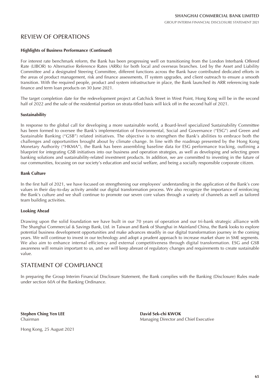### REVIEW OF OPERATIONS

#### **Highlights of Business Performance (Continued)**

For interest rate benchmark reform, the Bank has been progressing well on transitioning from the London Interbank Offered Rate (LIBOR) to Alternative Reference Rates (ARRs) for both local and overseas branches. Led by the Asset and Liability Committee and a designated Steering Committee, different functions across the Bank have contributed dedicated efforts in the areas of product management, risk and finance assessments, IT system upgrades, and client outreach to ensure a smooth transition. With the required people, product and system infrastructure in place, the Bank launched its ARR referencing trade finance and term loan products on 30 June 2021.

The target completion date for the redevelopment project at Catchick Street in West Point, Hong Kong will be in the second half of 2022 and the sale of the residential portion on strata-titled basis will kick off in the second half of 2021.

#### **Sustainability**

In response to the global call for developing a more sustainable world, a Board-level specialized Sustainability Committee has been formed to oversee the Bank's implementation of Environmental, Social and Governance ("ESG") and Green and Sustainable Banking ("GSB") related initiatives. The objective is to strengthen the Bank's abilities to embrace both the challenges and opportunities brought about by climate change. In line with the roadmap presented by the Hong Kong Monetary Authority ("HKMA"), the Bank has been assembling baseline data for ESG performance tracking, outlining a blueprint for integrating GSB initiatives into our business and operation strategies, as well as developing and selecting green banking solutions and sustainability-related investment products. In addition, we are committed to investing in the future of our communities, focusing on our society's education and social welfare, and being a socially responsible corporate citizen.

#### **Bank Culture**

In the first half of 2021, we have focused on strengthening our employees' understanding in the application of the Bank's core values in their day-to-day activity amidst our digital transformation process. We also recognize the importance of reinforcing the Bank's culture and we shall continue to promote our seven core values through a variety of channels as well as tailored team building activities.

#### **Looking Ahead**

Drawing upon the solid foundation we have built in our 70 years of operation and our tri-bank strategic alliance with The Shanghai Commercial & Savings Bank, Ltd. in Taiwan and Bank of Shanghai in Mainland China, the Bank looks to explore potential business development opportunities and make advances steadily in our digital transformation journey in the coming years. We will continue to invest in our technology and adopt a prudent approach to increase market share in SME segments. We also aim to enhance internal efficiency and external competitiveness through digital transformation. ESG and GSB awareness will remain important to us, and we will keep abreast of regulatory changes and requirements to create sustainable value.

### STATEMENT OF COMPLIANCE

In preparing the Group Interim Financial Disclosure Statement, the Bank complies with the Banking (Disclosure) Rules made under section 60A of the Banking Ordinance.

**Stephen Ching Yen LEE** David Sek-chi KWOK

Hong Kong, 25 August 2021

Chairman Managing Director and Chief Executive